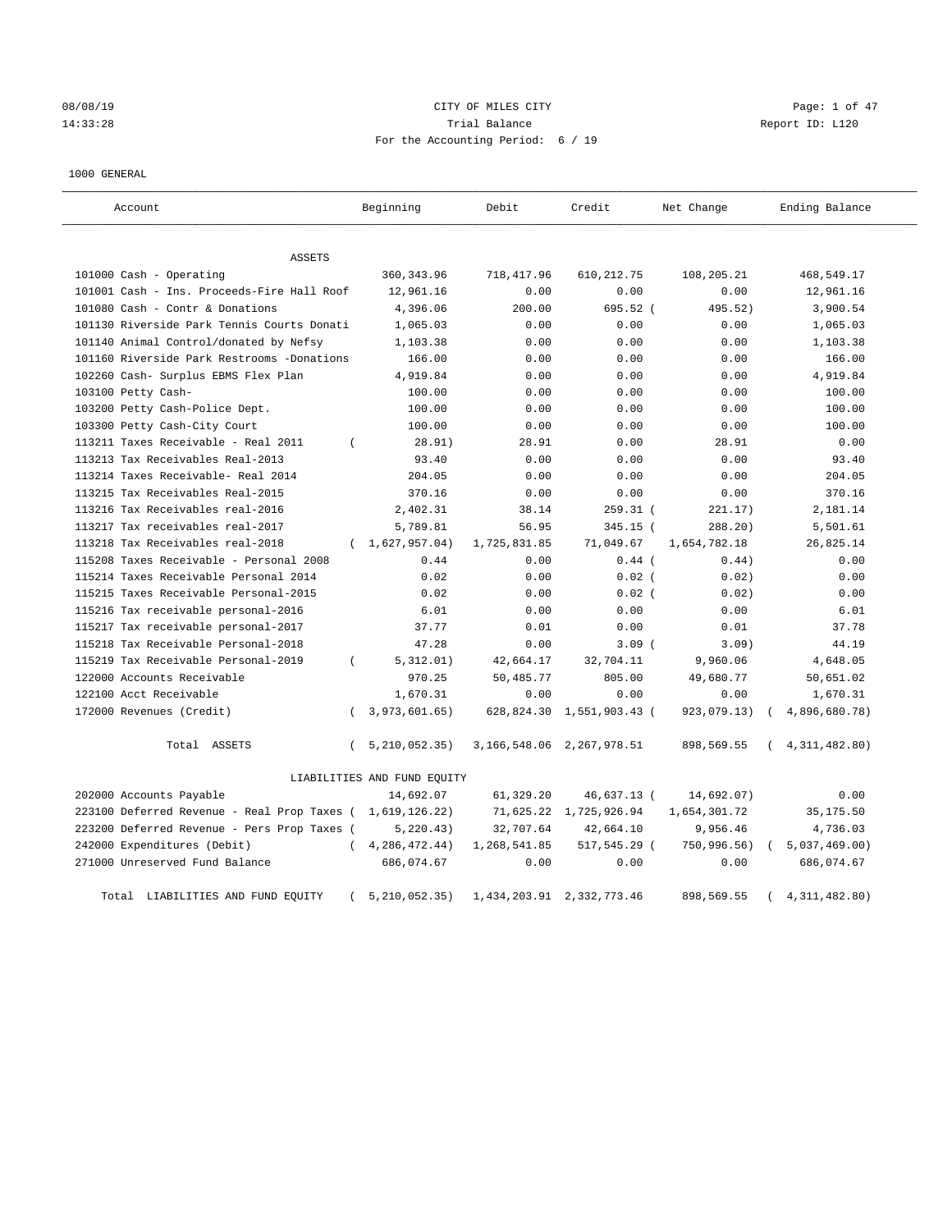08/08/19 CITY OF MILES CITY Page: 1 of 47 14:33:28 Trial Balance Report ID: L120 For the Accounting Period: 6 / 19

### 1000 GENERAL

| Account                                     | Beginning                      | Debit        | Credit                          | Net Change   | Ending Balance  |
|---------------------------------------------|--------------------------------|--------------|---------------------------------|--------------|-----------------|
| <b>ASSETS</b>                               |                                |              |                                 |              |                 |
| 101000 Cash - Operating                     | 360, 343.96                    | 718, 417.96  | 610, 212.75                     | 108,205.21   | 468,549.17      |
| 101001 Cash - Ins. Proceeds-Fire Hall Roof  | 12,961.16                      | 0.00         | 0.00                            | 0.00         | 12,961.16       |
| 101080 Cash - Contr & Donations             | 4,396.06                       | 200.00       | 695.52 (                        | 495.52)      | 3,900.54        |
| 101130 Riverside Park Tennis Courts Donati  | 1,065.03                       | 0.00         | 0.00                            | 0.00         | 1,065.03        |
| 101140 Animal Control/donated by Nefsy      | 1,103.38                       | 0.00         | 0.00                            | 0.00         | 1,103.38        |
| 101160 Riverside Park Restrooms -Donations  | 166.00                         | 0.00         | 0.00                            | 0.00         | 166.00          |
| 102260 Cash- Surplus EBMS Flex Plan         | 4,919.84                       | 0.00         | 0.00                            | 0.00         | 4,919.84        |
| 103100 Petty Cash-                          | 100.00                         | 0.00         | 0.00                            | 0.00         | 100.00          |
| 103200 Petty Cash-Police Dept.              | 100.00                         | 0.00         | 0.00                            | 0.00         | 100.00          |
| 103300 Petty Cash-City Court                | 100.00                         | 0.00         | 0.00                            | 0.00         | 100.00          |
| 113211 Taxes Receivable - Real 2011         | 28.91)<br>$\left($             | 28.91        | 0.00                            | 28.91        | 0.00            |
| 113213 Tax Receivables Real-2013            | 93.40                          | 0.00         | 0.00                            | 0.00         | 93.40           |
| 113214 Taxes Receivable- Real 2014          | 204.05                         | 0.00         | 0.00                            | 0.00         | 204.05          |
| 113215 Tax Receivables Real-2015            | 370.16                         | 0.00         | 0.00                            | 0.00         | 370.16          |
| 113216 Tax Receivables real-2016            | 2,402.31                       | 38.14        | $259.31$ (                      | 221.17)      | 2,181.14        |
| 113217 Tax receivables real-2017            | 5,789.81                       | 56.95        | 345.15 (                        | 288.20)      | 5,501.61        |
| 113218 Tax Receivables real-2018            | (1,627,957.04)                 | 1,725,831.85 | 71,049.67                       | 1,654,782.18 | 26,825.14       |
| 115208 Taxes Receivable - Personal 2008     | 0.44                           | 0.00         | $0.44$ (                        | 0.44)        | 0.00            |
| 115214 Taxes Receivable Personal 2014       | 0.02                           | 0.00         | $0.02$ (                        | 0.02)        | 0.00            |
| 115215 Taxes Receivable Personal-2015       | 0.02                           | 0.00         | $0.02$ (                        | 0.02)        | 0.00            |
| 115216 Tax receivable personal-2016         | 6.01                           | 0.00         | 0.00                            | 0.00         | 6.01            |
| 115217 Tax receivable personal-2017         | 37.77                          | 0.01         | 0.00                            | 0.01         | 37.78           |
| 115218 Tax Receivable Personal-2018         | 47.28                          | 0.00         | $3.09$ (                        | 3.09)        | 44.19           |
| 115219 Tax Receivable Personal-2019         | 5,312.01)<br>$\left($          | 42,664.17    | 32,704.11                       | 9,960.06     | 4,648.05        |
| 122000 Accounts Receivable                  | 970.25                         | 50,485.77    | 805.00                          | 49,680.77    | 50,651.02       |
| 122100 Acct Receivable                      | 1,670.31                       | 0.00         | 0.00                            | 0.00         | 1,670.31        |
| 172000 Revenues (Credit)                    | 3,973,601.65)<br>$\left($      | 628,824.30   | 1,551,903.43 (                  | 923,079.13)  | 4,896,680.78)   |
| Total ASSETS                                | $\left($<br>5, 210, 052.35)    |              | 3, 166, 548.06 2, 267, 978.51   | 898,569.55   | 4, 311, 482.80) |
|                                             | LIABILITIES AND FUND EQUITY    |              |                                 |              |                 |
| 202000 Accounts Payable                     | 14,692.07                      | 61,329.20    | 46,637.13 (                     | 14,692.07)   | 0.00            |
| 223100 Deferred Revenue - Real Prop Taxes ( | 1,619,126.22)                  | 71,625.22    | 1,725,926.94                    | 1,654,301.72 | 35, 175.50      |
| 223200 Deferred Revenue - Pers Prop Taxes ( | 5, 220.43)                     | 32,707.64    | 42,664.10                       | 9,956.46     | 4,736.03        |
| 242000 Expenditures (Debit)                 | 4, 286, 472. 44)<br>$\left($   | 1,268,541.85 | 517,545.29 (                    | 750, 996.56) | 5,037,469.00    |
| 271000 Unreserved Fund Balance              | 686,074.67                     | 0.00         | 0.00                            | 0.00         | 686,074.67      |
| Total LIABILITIES AND FUND EQUITY           | 5, 210, 052, 35)<br>$\epsilon$ |              | 1, 434, 203. 91 2, 332, 773. 46 | 898,569.55   | 4, 311, 482.80) |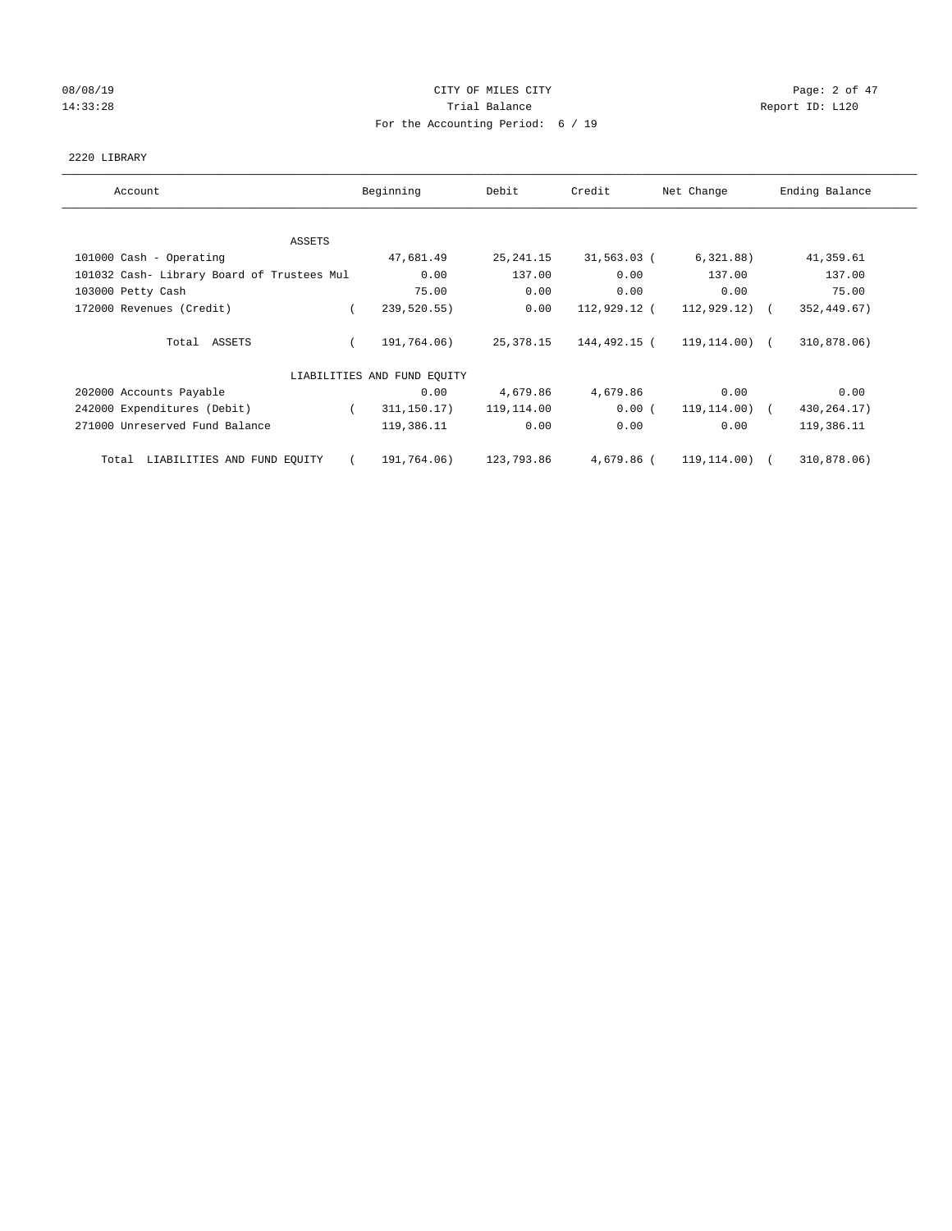# 08/08/19 Page: 2 of 47 14:33:28 Report ID: L120 For the Accounting Period: 6 / 19

## 2220 LIBRARY

| Account                                    | Beginning                   | Debit      | Credit       | Net Change       | Ending Balance |
|--------------------------------------------|-----------------------------|------------|--------------|------------------|----------------|
| ASSETS                                     |                             |            |              |                  |                |
| 101000 Cash - Operating                    | 47,681.49                   | 25, 241.15 | 31,563.03 (  | 6, 321.88)       | 41,359.61      |
| 101032 Cash- Library Board of Trustees Mul | 0.00                        | 137.00     | 0.00         | 137.00           | 137.00         |
| 103000 Petty Cash                          | 75.00                       | 0.00       | 0.00         | 0.00             | 75.00          |
| 172000 Revenues (Credit)                   | 239,520.55)<br>$\left($     | 0.00       | 112,929.12 ( | $112,929.12$ ) ( | 352, 449.67)   |
| Total ASSETS                               | 191,764.06)                 | 25,378.15  | 144,492.15 ( | 119,114.00) (    | 310,878.06)    |
|                                            | LIABILITIES AND FUND EQUITY |            |              |                  |                |
| 202000 Accounts Payable                    | 0.00                        | 4,679.86   | 4,679.86     | 0.00             | 0.00           |
| 242000 Expenditures (Debit)                | 311,150.17)                 | 119,114.00 | 0.00(        | 119,114.00) (    | 430, 264. 17)  |
| 271000 Unreserved Fund Balance             | 119,386.11                  | 0.00       | 0.00         | 0.00             | 119,386.11     |
| LIABILITIES AND FUND EQUITY<br>Total       | 191,764.06)<br>$\sqrt{2}$   | 123,793.86 | 4,679.86 (   | 119,114.00) (    | 310,878.06)    |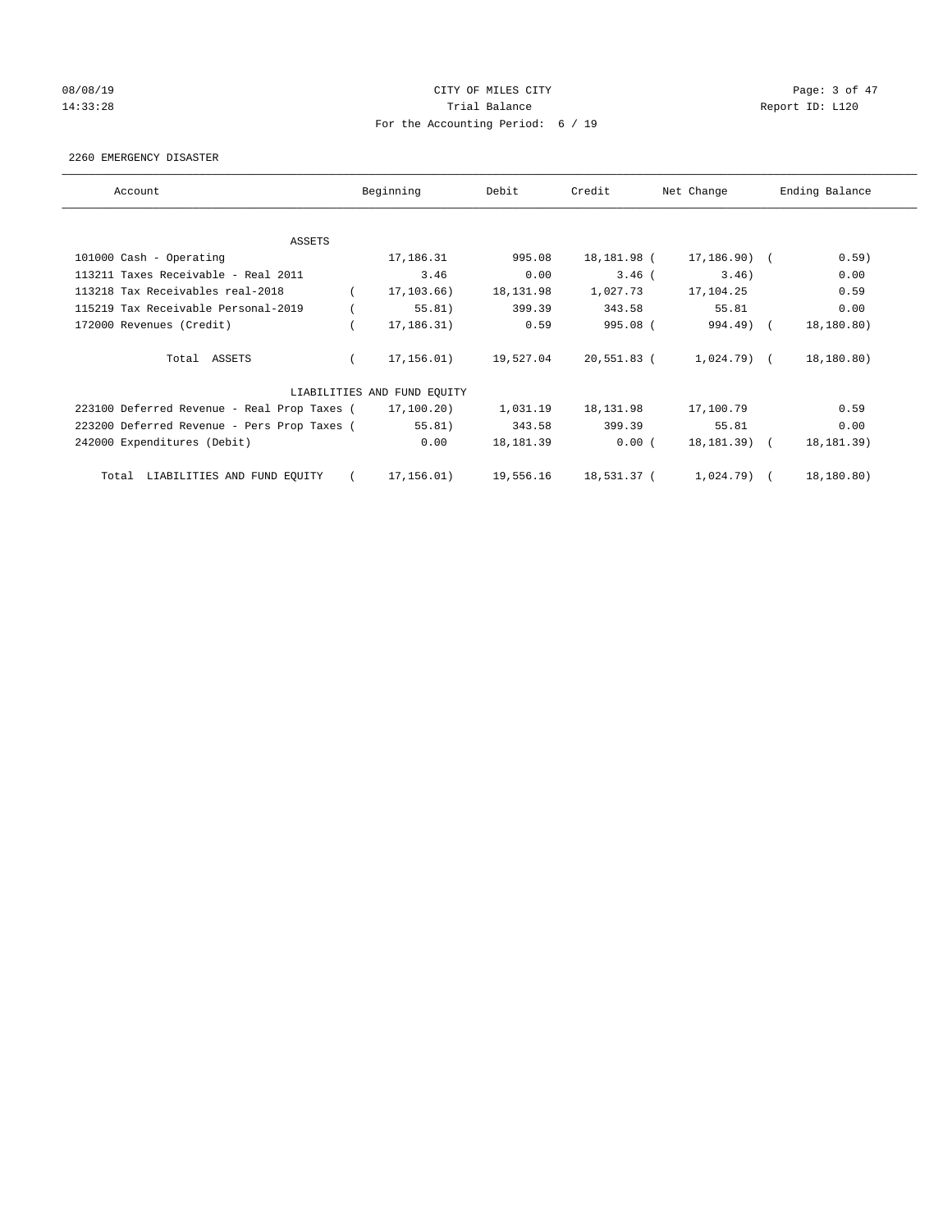# 08/08/19 Page: 3 of 47 14:33:28 Report ID: L120 For the Accounting Period: 6 / 19

### 2260 EMERGENCY DISASTER

| Account                                     | Beginning                   | Debit      | Credit      | Net Change     | Ending Balance |
|---------------------------------------------|-----------------------------|------------|-------------|----------------|----------------|
|                                             |                             |            |             |                |                |
| ASSETS                                      |                             |            |             |                |                |
| 101000 Cash - Operating                     | 17,186.31                   | 995.08     | 18,181.98 ( | $17, 186.90$ ( | 0.59)          |
| 113211 Taxes Receivable - Real 2011         | 3.46                        | 0.00       | $3.46$ (    | 3.46)          | 0.00           |
| 113218 Tax Receivables real-2018            | 17,103.66)                  | 18, 131.98 | 1,027.73    | 17,104.25      | 0.59           |
| 115219 Tax Receivable Personal-2019         | 55.81)                      | 399.39     | 343.58      | 55.81          | 0.00           |
| 172000 Revenues (Credit)                    | 17,186.31)                  | 0.59       | 995.08 (    | $994.49$ $($   | 18,180.80)     |
| Total ASSETS                                | 17,156.01)                  | 19,527.04  | 20,551.83 ( | $1,024.79$ (   | 18,180.80)     |
|                                             | LIABILITIES AND FUND EQUITY |            |             |                |                |
| 223100 Deferred Revenue - Real Prop Taxes ( | 17,100.20)                  | 1,031.19   | 18,131.98   | 17,100.79      | 0.59           |
| 223200 Deferred Revenue - Pers Prop Taxes ( | 55.81)                      | 343.58     | 399.39      | 55.81          | 0.00           |
| 242000 Expenditures (Debit)                 | 0.00                        | 18, 181.39 | 0.00(       | 18,181.39) (   | 18, 181. 39)   |
| LIABILITIES AND FUND EQUITY<br>Total        | 17,156.01)                  | 19,556.16  | 18,531.37 ( | 1,024.79)      | 18,180.80)     |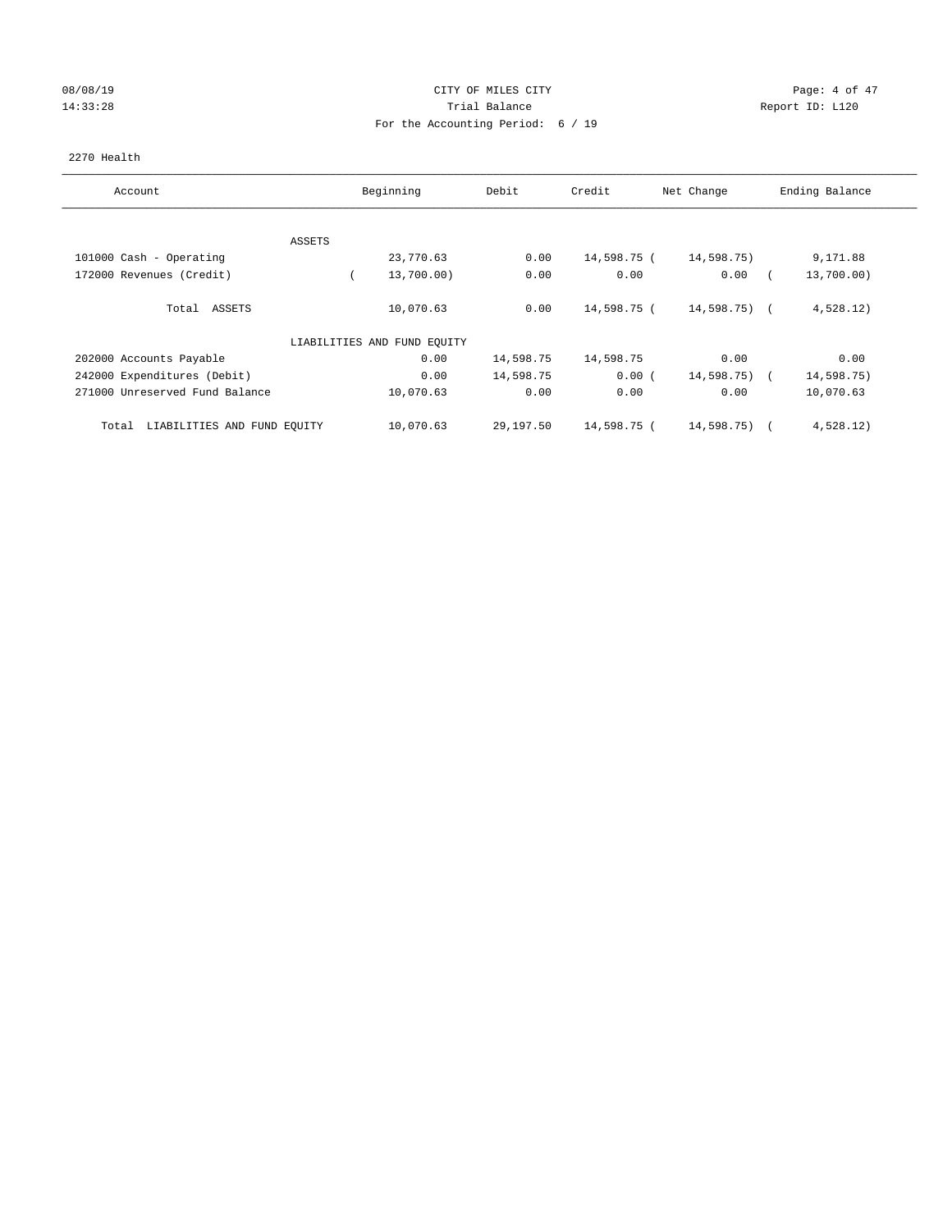## 08/08/19 Page: 4 of 47 14:33:28 Report ID: L120 For the Accounting Period: 6 / 19

## 2270 Health

| Account                              | Beginning                   | Debit     | Credit      | Net Change      | Ending Balance |
|--------------------------------------|-----------------------------|-----------|-------------|-----------------|----------------|
|                                      |                             |           |             |                 |                |
| ASSETS                               |                             |           |             |                 |                |
| 101000 Cash - Operating              | 23,770.63                   | 0.00      | 14,598.75 ( | 14,598.75)      | 9,171.88       |
| 172000 Revenues (Credit)             | 13,700.00)                  | 0.00      | 0.00        | 0.00            | 13,700.00)     |
| Total ASSETS                         | 10,070.63                   | 0.00      | 14,598.75 ( | 14,598.75) (    | 4,528.12)      |
|                                      | LIABILITIES AND FUND EQUITY |           |             |                 |                |
| 202000 Accounts Payable              | 0.00                        | 14,598.75 | 14,598.75   | 0.00            | 0.00           |
| 242000 Expenditures (Debit)          | 0.00                        | 14,598.75 | 0.00(       | $14,598.75$ ) ( | 14,598.75)     |
| 271000 Unreserved Fund Balance       | 10,070.63                   | 0.00      | 0.00        | 0.00            | 10,070.63      |
| LIABILITIES AND FUND EQUITY<br>Total | 10,070.63                   | 29,197.50 | 14,598.75 ( | 14,598.75)      | 4,528.12)      |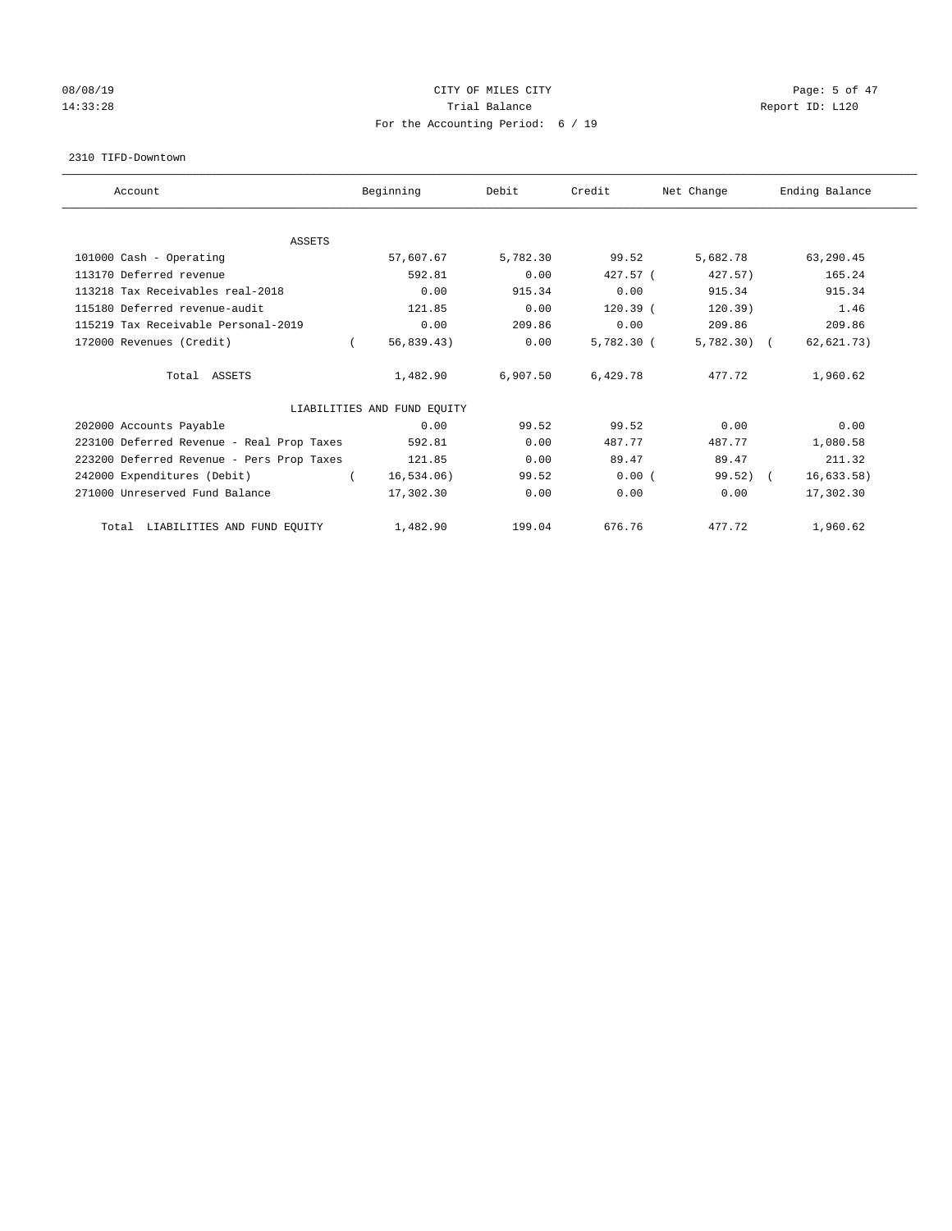## 08/08/19 Page: 5 of 47 14:33:28 Report ID: L120 For the Accounting Period: 6 / 19

#### 2310 TIFD-Downtown

| Account                                   | Beginning                   | Debit    | Credit       | Net Change   | Ending Balance |  |
|-------------------------------------------|-----------------------------|----------|--------------|--------------|----------------|--|
|                                           |                             |          |              |              |                |  |
| <b>ASSETS</b>                             |                             |          |              |              |                |  |
| 101000 Cash - Operating                   | 57,607.67                   | 5,782.30 | 99.52        | 5,682.78     | 63,290.45      |  |
| 113170 Deferred revenue                   | 592.81                      | 0.00     | $427.57$ (   | 427.57)      | 165.24         |  |
| 113218 Tax Receivables real-2018          | 0.00                        | 915.34   | 0.00         | 915.34       | 915.34         |  |
| 115180 Deferred revenue-audit             | 121.85                      | 0.00     | $120.39$ (   | 120.39)      | 1.46           |  |
| 115219 Tax Receivable Personal-2019       | 0.00                        | 209.86   | 0.00         | 209.86       | 209.86         |  |
| 172000 Revenues (Credit)                  | 56, 839.43)                 | 0.00     | $5,782.30$ ( | $5,782.30$ ( | 62,621.73)     |  |
| Total ASSETS                              | 1,482.90                    | 6,907.50 | 6,429.78     | 477.72       | 1,960.62       |  |
|                                           | LIABILITIES AND FUND EQUITY |          |              |              |                |  |
| 202000 Accounts Payable                   | 0.00                        | 99.52    | 99.52        | 0.00         | 0.00           |  |
| 223100 Deferred Revenue - Real Prop Taxes | 592.81                      | 0.00     | 487.77       | 487.77       | 1,080.58       |  |
| 223200 Deferred Revenue - Pers Prop Taxes | 121.85                      | 0.00     | 89.47        | 89.47        | 211.32         |  |
| 242000 Expenditures (Debit)               | 16, 534.06)                 | 99.52    | 0.00(        | $99.52$ (    | 16,633.58)     |  |
| 271000 Unreserved Fund Balance            | 17,302.30                   | 0.00     | 0.00         | 0.00         | 17,302.30      |  |
| Total LIABILITIES AND FUND EQUITY         | 1,482.90                    | 199.04   | 676.76       | 477.72       | 1,960.62       |  |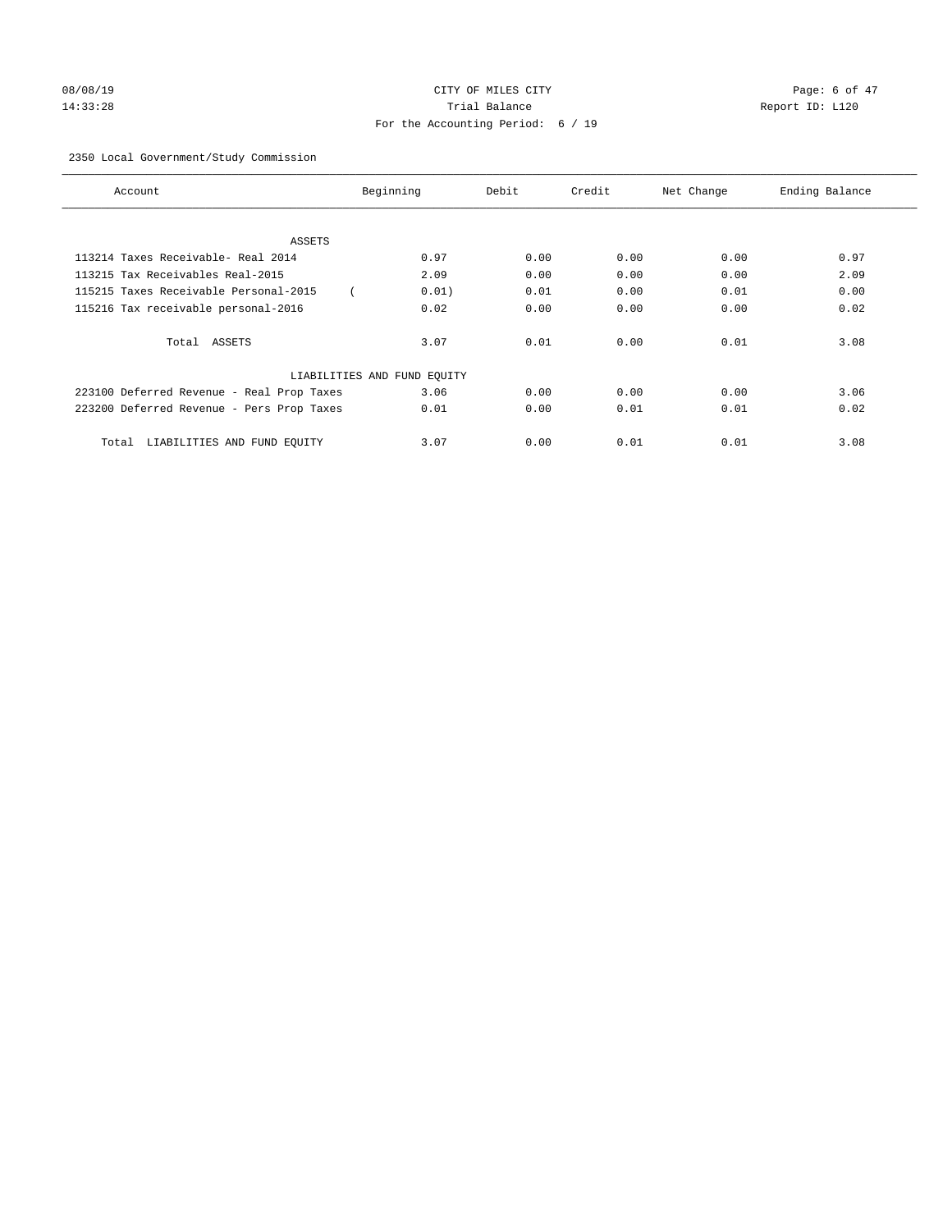# 08/08/19 Page: 6 of 47 14:33:28 Trial Balance Report ID: L120 For the Accounting Period: 6 / 19

## 2350 Local Government/Study Commission

| Account                                   | Beginning                   | Debit | Credit | Net Change | Ending Balance |
|-------------------------------------------|-----------------------------|-------|--------|------------|----------------|
|                                           |                             |       |        |            |                |
| ASSETS                                    |                             |       |        |            |                |
| 113214 Taxes Receivable- Real 2014        | 0.97                        | 0.00  | 0.00   | 0.00       | 0.97           |
| 113215 Tax Receivables Real-2015          | 2.09                        | 0.00  | 0.00   | 0.00       | 2.09           |
| 115215 Taxes Receivable Personal-2015     | 0.01)                       | 0.01  | 0.00   | 0.01       | 0.00           |
| 115216 Tax receivable personal-2016       | 0.02                        | 0.00  | 0.00   | 0.00       | 0.02           |
| Total ASSETS                              | 3.07                        | 0.01  | 0.00   | 0.01       | 3.08           |
|                                           | LIABILITIES AND FUND EQUITY |       |        |            |                |
| 223100 Deferred Revenue - Real Prop Taxes | 3.06                        | 0.00  | 0.00   | 0.00       | 3.06           |
| 223200 Deferred Revenue - Pers Prop Taxes | 0.01                        | 0.00  | 0.01   | 0.01       | 0.02           |
| LIABILITIES AND FUND EQUITY<br>Total      | 3.07                        | 0.00  | 0.01   | 0.01       | 3.08           |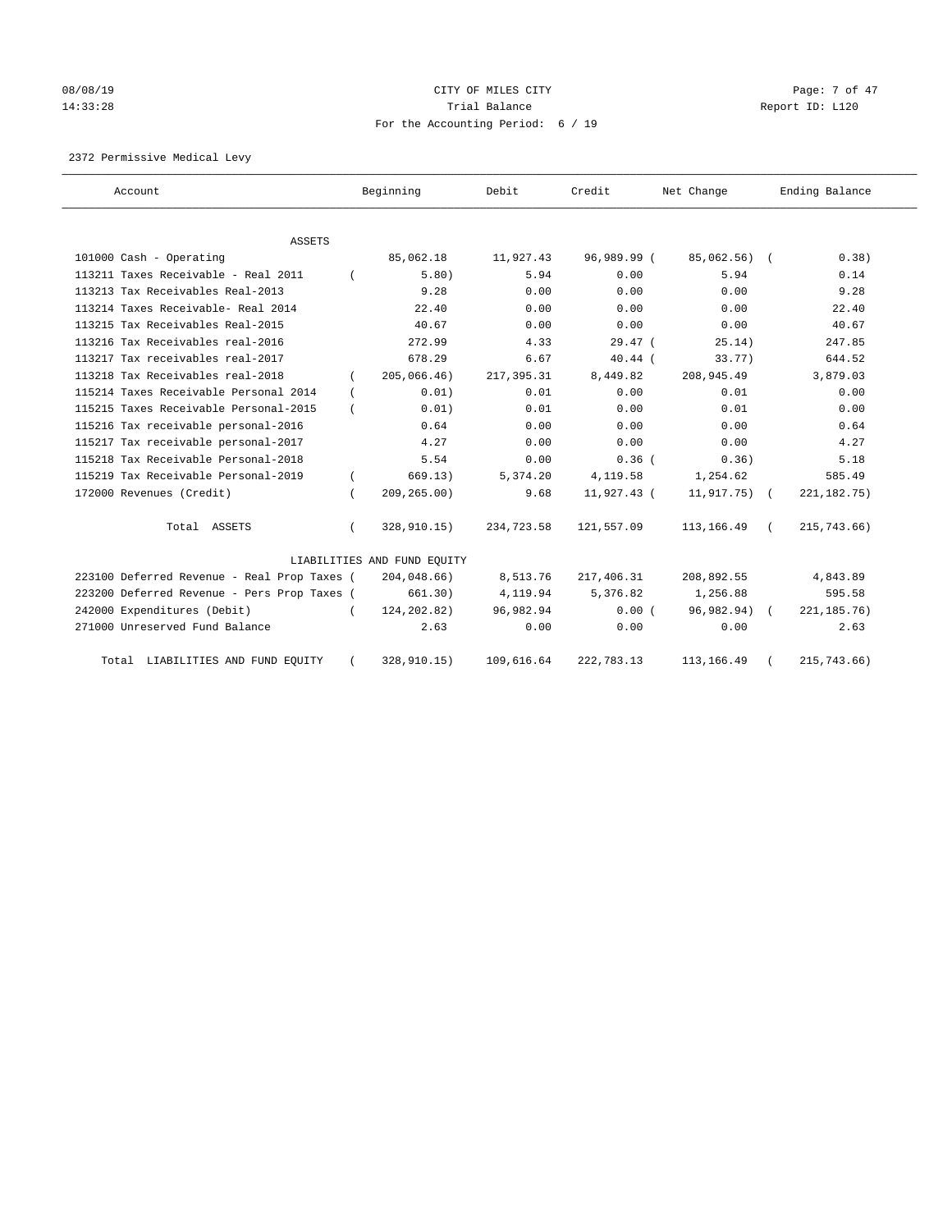# 08/08/19 Page: 7 of 47 14:33:28 Report ID: L120 For the Accounting Period: 6 / 19

2372 Permissive Medical Levy

| Account                                     |          | Beginning                   | Debit       | Credit      | Net Change      | Ending Balance |
|---------------------------------------------|----------|-----------------------------|-------------|-------------|-----------------|----------------|
| <b>ASSETS</b>                               |          |                             |             |             |                 |                |
| 101000 Cash - Operating                     |          | 85,062.18                   | 11,927.43   | 96,989.99 ( | 85,062.56) (    | 0.38)          |
| 113211 Taxes Receivable - Real 2011         |          | 5.80)                       | 5.94        | 0.00        | 5.94            | 0.14           |
| 113213 Tax Receivables Real-2013            |          | 9.28                        | 0.00        | 0.00        | 0.00            | 9.28           |
| 113214 Taxes Receivable- Real 2014          |          | 22.40                       | 0.00        | 0.00        | 0.00            | 22.40          |
| 113215 Tax Receivables Real-2015            |          | 40.67                       | 0.00        | 0.00        | 0.00            | 40.67          |
| 113216 Tax Receivables real-2016            |          | 272.99                      | 4.33        | $29.47$ (   | 25.14)          | 247.85         |
| 113217 Tax receivables real-2017            |          | 678.29                      | 6.67        | $40.44$ (   | 33.77)          | 644.52         |
| 113218 Tax Receivables real-2018            |          | 205,066.46)                 | 217, 395.31 | 8,449.82    | 208,945.49      | 3,879.03       |
| 115214 Taxes Receivable Personal 2014       | $\left($ | 0.01)                       | 0.01        | 0.00        | 0.01            | 0.00           |
| 115215 Taxes Receivable Personal-2015       |          | 0.01)                       | 0.01        | 0.00        | 0.01            | 0.00           |
| 115216 Tax receivable personal-2016         |          | 0.64                        | 0.00        | 0.00        | 0.00            | 0.64           |
| 115217 Tax receivable personal-2017         |          | 4.27                        | 0.00        | 0.00        | 0.00            | 4.27           |
| 115218 Tax Receivable Personal-2018         |          | 5.54                        | 0.00        | 0.36(       | 0.36)           | 5.18           |
| 115219 Tax Receivable Personal-2019         |          | 669.13)                     | 5,374.20    | 4,119.58    | 1,254.62        | 585.49         |
| 172000 Revenues (Credit)                    |          | 209, 265.00)                | 9.68        | 11,927.43 ( | $11,917.75$ ) ( | 221, 182. 75)  |
| Total ASSETS                                |          | 328,910.15)                 | 234,723.58  | 121,557.09  | 113, 166.49     | 215,743.66)    |
|                                             |          | LIABILITIES AND FUND EQUITY |             |             |                 |                |
| 223100 Deferred Revenue - Real Prop Taxes ( |          | 204,048.66)                 | 8,513.76    | 217,406.31  | 208,892.55      | 4,843.89       |
| 223200 Deferred Revenue - Pers Prop Taxes ( |          | 661.30)                     | 4,119.94    | 5,376.82    | 1,256.88        | 595.58         |
| 242000 Expenditures (Debit)                 |          | 124,202.82)                 | 96,982.94   | 0.00(       | 96,982.94) (    | 221, 185. 76)  |
| 271000 Unreserved Fund Balance              |          | 2.63                        | 0.00        | 0.00        | 0.00            | 2.63           |
| Total LIABILITIES AND FUND EQUITY           |          | 328,910.15)                 | 109,616.64  | 222,783.13  | 113, 166.49     | 215,743.66)    |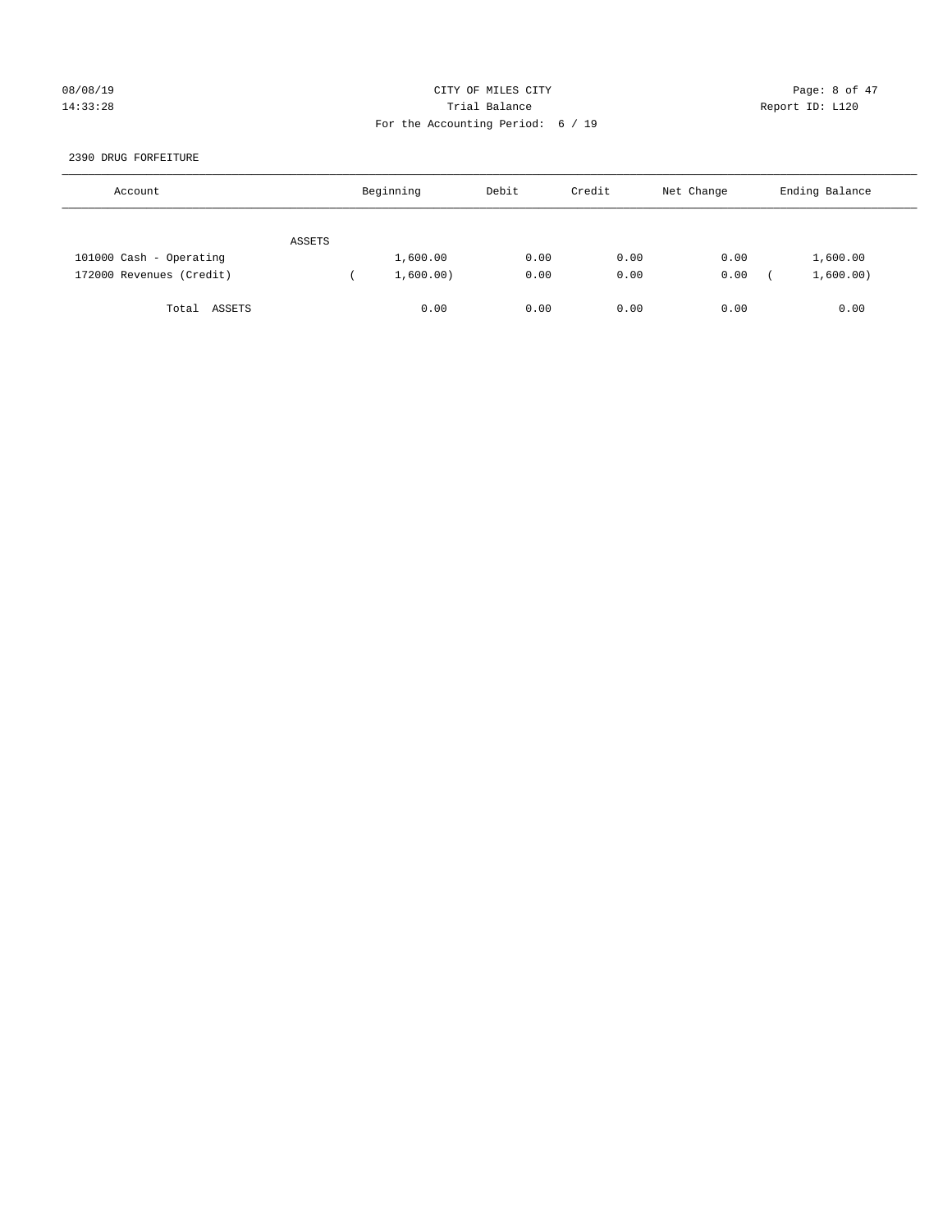## 08/08/19 CITY OF MILES CITY Page: 8 of 47 14:33:28 Trial Balance Report ID: L120 For the Accounting Period: 6 / 19

## 2390 DRUG FORFEITURE

| Account                  |        | Beginning | Debit | Credit | Net Change | Ending Balance |
|--------------------------|--------|-----------|-------|--------|------------|----------------|
|                          | ASSETS |           |       |        |            |                |
| 101000 Cash - Operating  |        | 1,600.00  | 0.00  | 0.00   | 0.00       | 1,600.00       |
| 172000 Revenues (Credit) |        | 1,600.00) | 0.00  | 0.00   | 0.00       | 1,600.00)      |
| Total ASSETS             |        | 0.00      | 0.00  | 0.00   | 0.00       | 0.00           |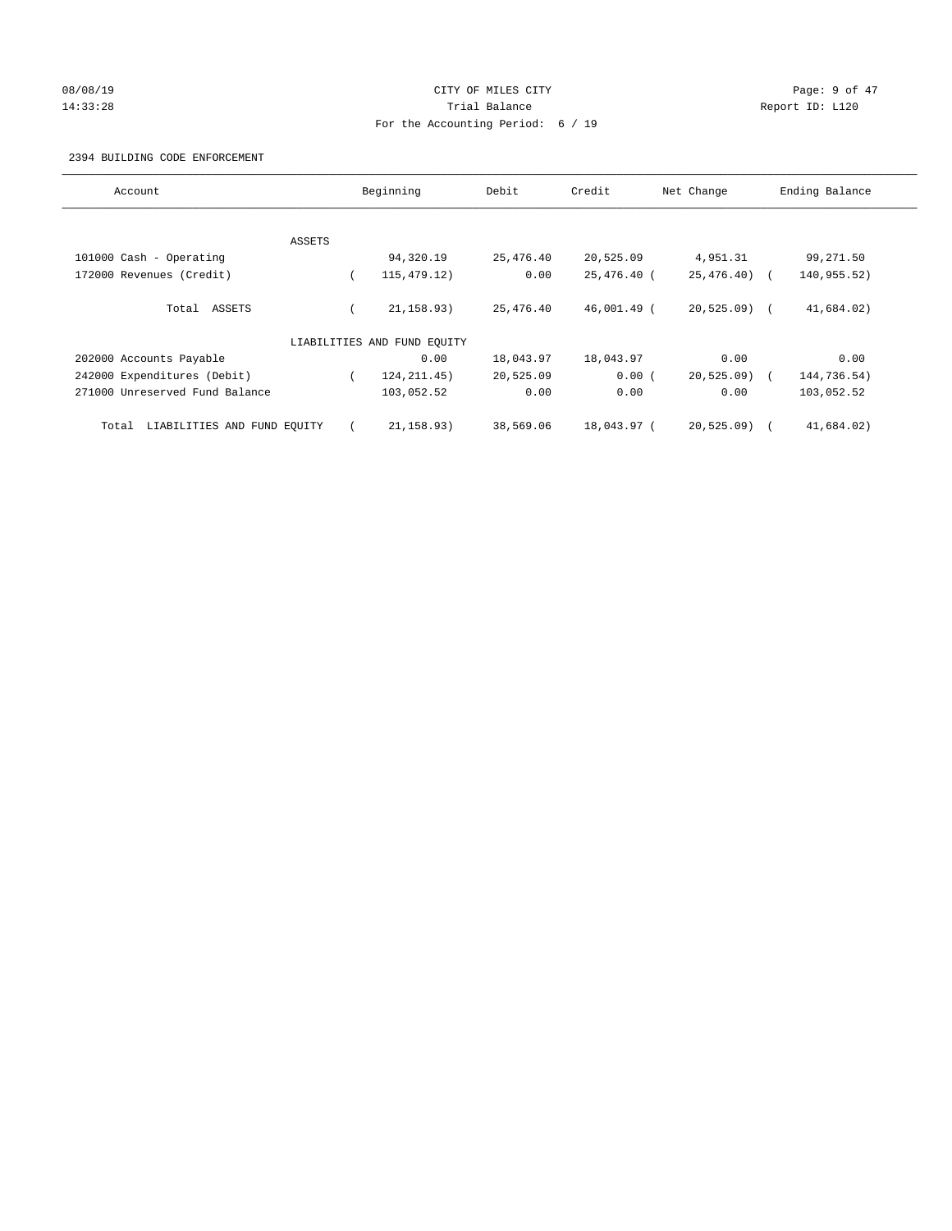# 08/08/19 Page: 9 of 47 14:33:28 Report ID: L120 For the Accounting Period: 6 / 19

## 2394 BUILDING CODE ENFORCEMENT

| Account                              | Beginning |                             | Debit<br>Credit |             | Net Change     | Ending Balance |  |  |
|--------------------------------------|-----------|-----------------------------|-----------------|-------------|----------------|----------------|--|--|
|                                      |           |                             |                 |             |                |                |  |  |
|                                      | ASSETS    |                             |                 |             |                |                |  |  |
| 101000 Cash - Operating              |           | 94,320.19                   | 25,476.40       | 20,525.09   | 4,951.31       | 99,271.50      |  |  |
| 172000 Revenues (Credit)             |           | 115, 479. 12)               | 0.00            | 25,476.40 ( | $25,476.40$ (  | 140,955.52)    |  |  |
| Total ASSETS                         |           | 21, 158.93)                 | 25,476.40       | 46,001.49 ( | $20,525.09$ (  | 41,684.02)     |  |  |
|                                      |           | LIABILITIES AND FUND EQUITY |                 |             |                |                |  |  |
| 202000 Accounts Payable              |           | 0.00                        | 18,043.97       | 18,043.97   | 0.00           | 0.00           |  |  |
| 242000 Expenditures (Debit)          |           | 124, 211.45)                | 20,525.09       | 0.00(       | 20, 525.09     | 144,736.54)    |  |  |
| 271000 Unreserved Fund Balance       |           | 103,052.52                  | 0.00            | 0.00        | 0.00           | 103,052.52     |  |  |
| LIABILITIES AND FUND EQUITY<br>Total |           | 21, 158.93)                 | 38,569.06       | 18,043.97 ( | $20, 525.09$ ) | 41,684.02)     |  |  |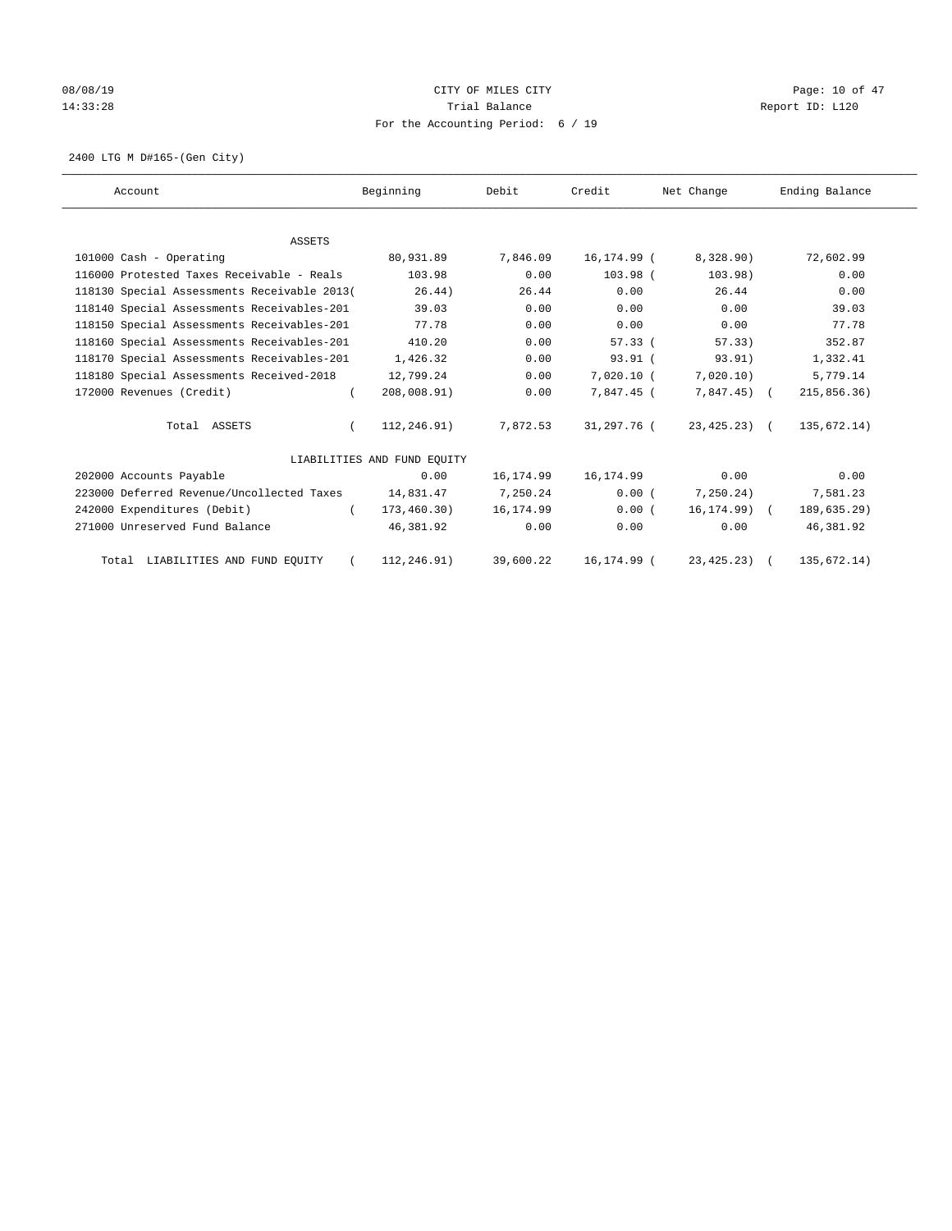# 08/08/19 Page: 10 of 47 14:33:28 Report ID: L120 For the Accounting Period: 6 / 19

2400 LTG M D#165-(Gen City)

| Account                                     | Beginning                   | Debit      | Credit       | Net Change     | Ending Balance |
|---------------------------------------------|-----------------------------|------------|--------------|----------------|----------------|
|                                             |                             |            |              |                |                |
| ASSETS                                      |                             |            |              |                |                |
| 101000 Cash - Operating                     | 80,931.89                   | 7,846.09   | 16,174.99 (  | 8,328.90)      | 72,602.99      |
| 116000 Protested Taxes Receivable - Reals   | 103.98                      | 0.00       | $103.98$ (   | 103.98)        | 0.00           |
| 118130 Special Assessments Receivable 2013( | 26.44)                      | 26.44      | 0.00         | 26.44          | 0.00           |
| 118140 Special Assessments Receivables-201  | 39.03                       | 0.00       | 0.00         | 0.00           | 39.03          |
| 118150 Special Assessments Receivables-201  | 77.78                       | 0.00       | 0.00         | 0.00           | 77.78          |
| 118160 Special Assessments Receivables-201  | 410.20                      | 0.00       | 57.33(       | 57.33)         | 352.87         |
| 118170 Special Assessments Receivables-201  | 1,426.32                    | 0.00       | $93.91$ (    | 93.91)         | 1,332.41       |
| 118180 Special Assessments Received-2018    | 12,799.24                   | 0.00       | $7,020.10$ ( | 7,020.10)      | 5,779.14       |
| 172000 Revenues (Credit)                    | 208,008.91)<br>$\left($     | 0.00       | 7,847.45 (   | $7,847.45$ (   | 215,856.36)    |
| Total ASSETS                                | 112,246.91)<br>$\left($     | 7,872.53   | 31,297.76 (  | $23, 425.23$ ( | 135,672.14)    |
|                                             | LIABILITIES AND FUND EQUITY |            |              |                |                |
| 202000 Accounts Payable                     | 0.00                        | 16, 174.99 | 16,174.99    | 0.00           | 0.00           |
| 223000 Deferred Revenue/Uncollected Taxes   | 14,831.47                   | 7,250.24   | 0.00(        | 7, 250.24)     | 7,581.23       |
| 242000 Expenditures (Debit)                 | 173, 460.30)<br>$\left($    | 16,174.99  | 0.00(        | $16, 174.99$ ( | 189,635.29)    |
| 271000 Unreserved Fund Balance              | 46,381.92                   | 0.00       | 0.00         | 0.00           | 46,381.92      |
| Total LIABILITIES AND FUND EQUITY           | 112,246.91)                 | 39,600.22  | 16,174.99 (  | $23, 425.23$ ( | 135,672.14)    |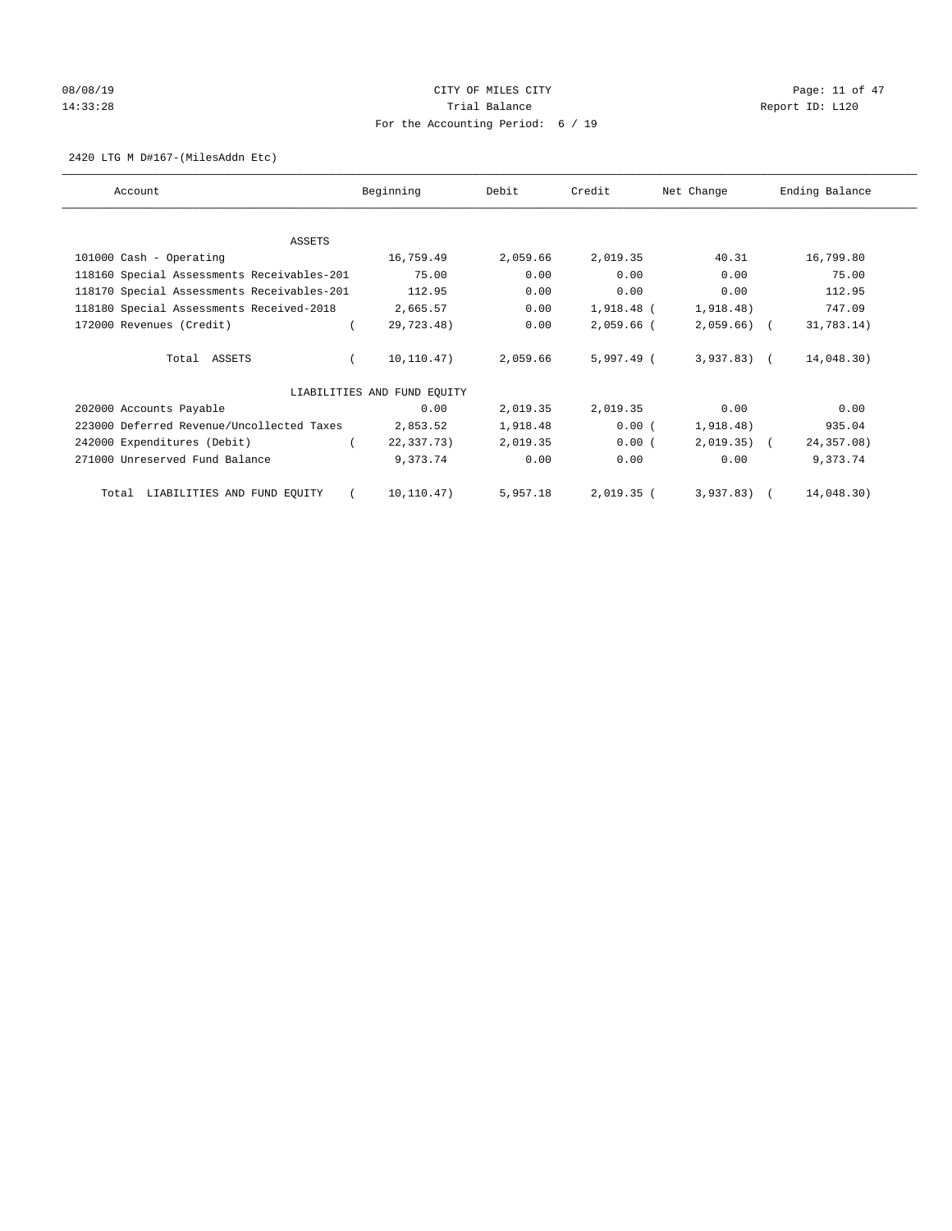# 08/08/19 Page: 11 of 47 14:33:28 Report ID: L120 For the Accounting Period: 6 / 19

## 2420 LTG M D#167-(MilesAddn Etc)

| Account                                    | Beginning                   |            | Debit    | Credit       | Net Change     | Ending Balance |
|--------------------------------------------|-----------------------------|------------|----------|--------------|----------------|----------------|
|                                            |                             |            |          |              |                |                |
| ASSETS                                     |                             |            |          |              |                |                |
| 101000 Cash - Operating                    |                             | 16,759.49  | 2,059.66 | 2,019.35     | 40.31          | 16,799.80      |
| 118160 Special Assessments Receivables-201 |                             | 75.00      | 0.00     | 0.00         | 0.00           | 75.00          |
| 118170 Special Assessments Receivables-201 |                             | 112.95     | 0.00     | 0.00         | 0.00           | 112.95         |
| 118180 Special Assessments Received-2018   |                             | 2,665.57   | 0.00     | 1,918.48 (   | 1,918.48)      | 747.09         |
| 172000 Revenues (Credit)                   |                             | 29,723.48) | 0.00     | 2,059.66 (   | $2,059.66$ (   | 31,783.14)     |
| Total ASSETS                               |                             | 10,110.47) | 2,059.66 | 5,997.49 (   | $3,937.83$ (   | 14,048.30)     |
|                                            | LIABILITIES AND FUND EQUITY |            |          |              |                |                |
| 202000 Accounts Payable                    |                             | 0.00       | 2,019.35 | 2,019.35     | 0.00           | 0.00           |
| 223000 Deferred Revenue/Uncollected Taxes  |                             | 2,853.52   | 1,918.48 | 0.00(        | 1,918.48)      | 935.04         |
| 242000 Expenditures (Debit)                |                             | 22,337.73) | 2,019.35 | 0.00(        | $2,019.35$ (   | 24, 357.08)    |
| 271000 Unreserved Fund Balance             |                             | 9,373.74   | 0.00     | 0.00         | 0.00           | 9,373.74       |
| Total LIABILITIES AND FUND EQUITY          |                             | 10,110.47) | 5,957.18 | $2,019.35$ ( | $3,937.83$ ) ( | 14,048.30)     |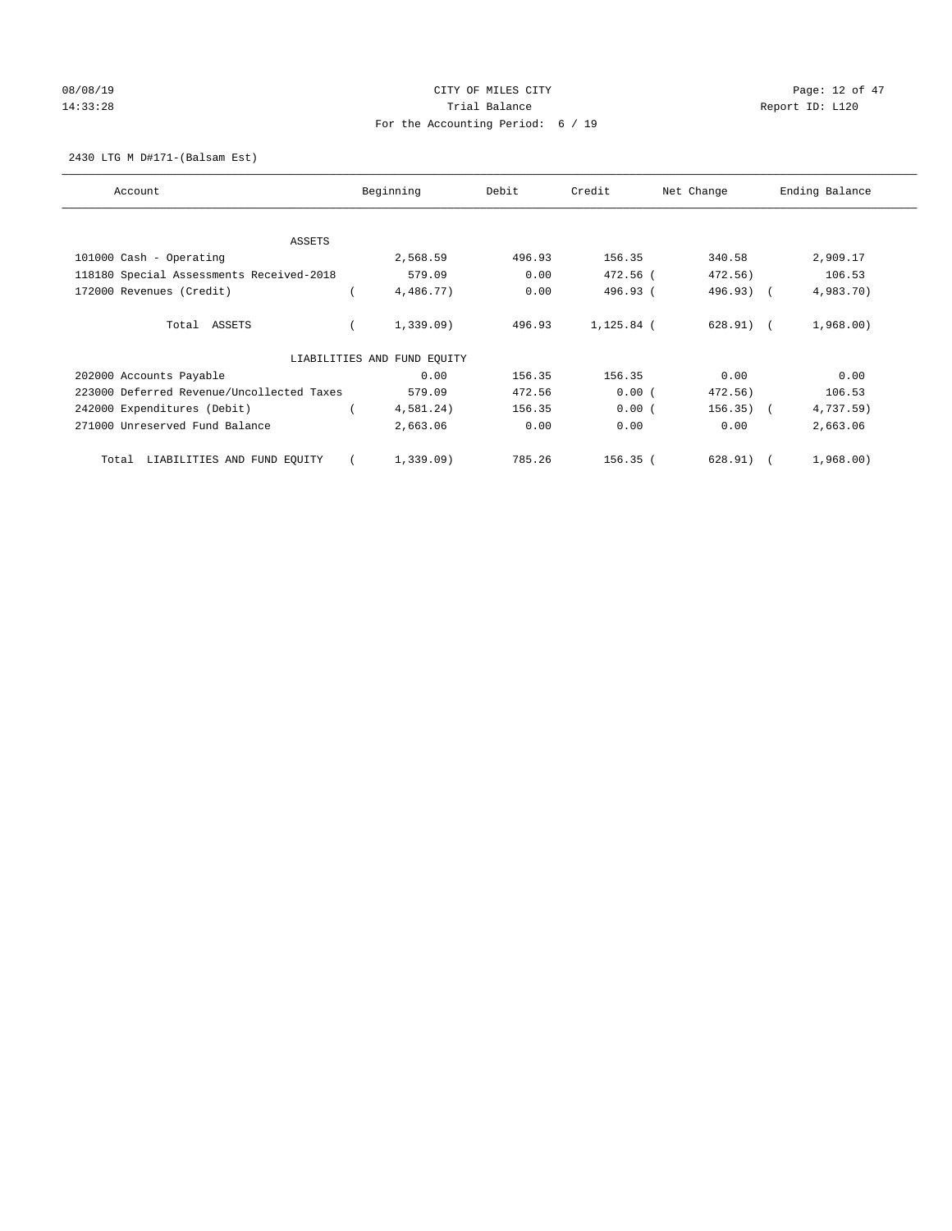# 08/08/19 Page: 12 of 47 14:33:28 Report ID: L120 For the Accounting Period: 6 / 19

## 2430 LTG M D#171-(Balsam Est)

| Account                                   |  | Beginning                   | Debit  | Credit     | Net Change  | Ending Balance |           |  |
|-------------------------------------------|--|-----------------------------|--------|------------|-------------|----------------|-----------|--|
| ASSETS                                    |  |                             |        |            |             |                |           |  |
| 101000 Cash - Operating                   |  | 2,568.59                    | 496.93 | 156.35     | 340.58      |                | 2,909.17  |  |
| 118180 Special Assessments Received-2018  |  | 579.09                      | 0.00   | 472.56 (   | 472.56)     |                | 106.53    |  |
| 172000 Revenues (Credit)                  |  | 4,486.77)                   | 0.00   | 496.93 (   | 496.93) (   |                | 4,983.70) |  |
| Total ASSETS                              |  | 1,339.09                    | 496.93 | 1,125.84 ( | $628.91)$ ( |                | 1,968.00) |  |
|                                           |  | LIABILITIES AND FUND EQUITY |        |            |             |                |           |  |
| 202000 Accounts Payable                   |  | 0.00                        | 156.35 | 156.35     | 0.00        |                | 0.00      |  |
| 223000 Deferred Revenue/Uncollected Taxes |  | 579.09                      | 472.56 | 0.00(      | 472.56)     |                | 106.53    |  |
| 242000 Expenditures (Debit)               |  | 4,581.24)                   | 156.35 | 0.00(      | $156.35)$ ( |                | 4,737.59) |  |
| 271000 Unreserved Fund Balance            |  | 2,663.06                    | 0.00   | 0.00       | 0.00        |                | 2,663.06  |  |
| LIABILITIES AND FUND EQUITY<br>Total      |  | 1,339.09                    | 785.26 | $156.35$ ( | 628.91)     |                | 1,968.00) |  |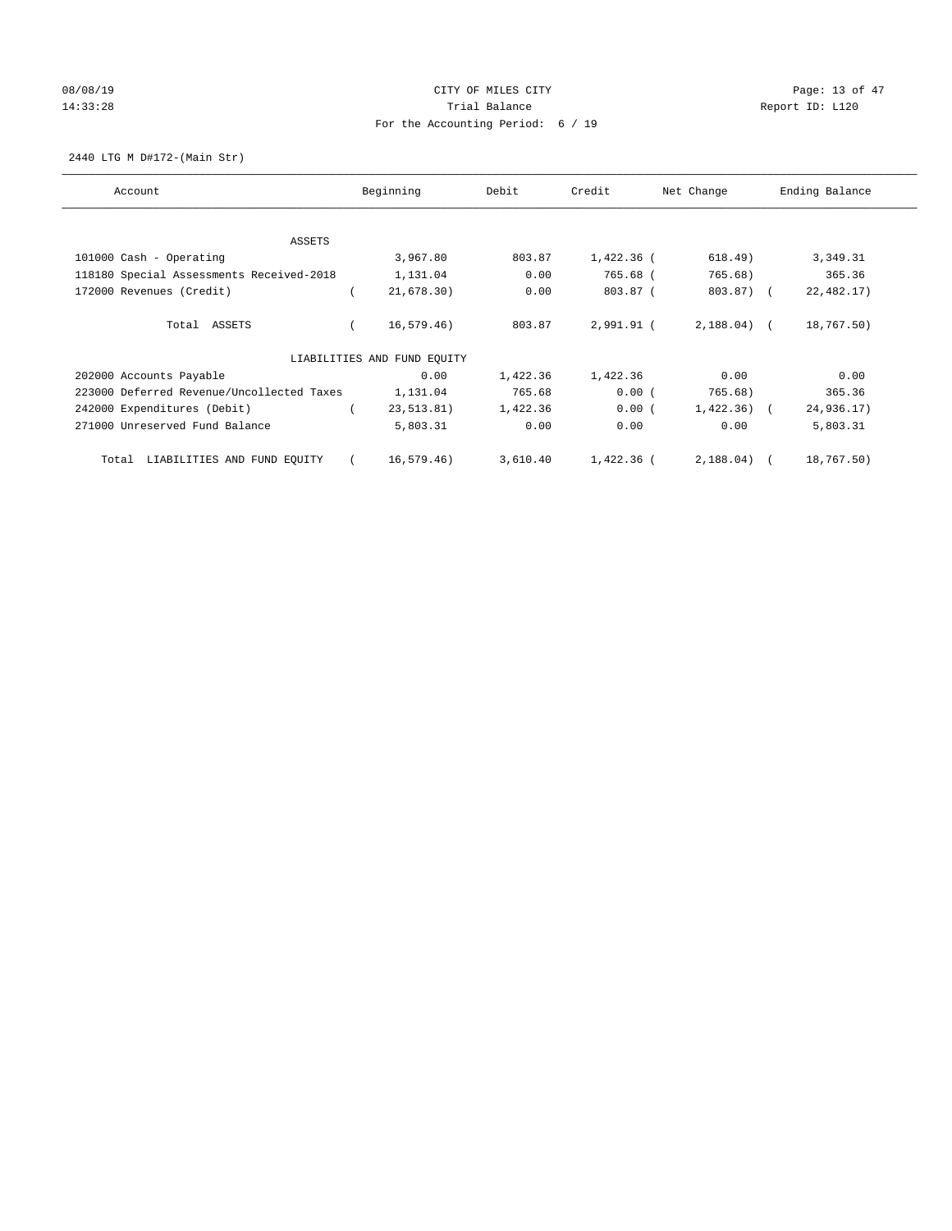# 08/08/19 Page: 13 of 47 14:33:28 Report ID: L120 For the Accounting Period: 6 / 19

2440 LTG M D#172-(Main Str)

| Account                                   | Beginning                   |             | Debit    | Credit     | Net Change   | Ending Balance |
|-------------------------------------------|-----------------------------|-------------|----------|------------|--------------|----------------|
| ASSETS                                    |                             |             |          |            |              |                |
|                                           |                             | 3,967.80    | 803.87   | 1,422.36 ( | 618.49)      | 3,349.31       |
| 101000 Cash - Operating                   |                             |             |          |            |              |                |
| 118180 Special Assessments Received-2018  |                             | 1,131.04    | 0.00     | 765.68 (   | 765.68)      | 365.36         |
| 172000 Revenues (Credit)                  |                             | 21,678.30)  | 0.00     | 803.87 (   | 803.87) (    | 22,482.17)     |
| Total ASSETS                              |                             | 16, 579.46) | 803.87   | 2,991.91 ( | $2,188.04$ ( | 18,767.50)     |
|                                           | LIABILITIES AND FUND EQUITY |             |          |            |              |                |
| 202000 Accounts Payable                   |                             | 0.00        | 1,422.36 | 1,422.36   | 0.00         | 0.00           |
| 223000 Deferred Revenue/Uncollected Taxes |                             | 1,131.04    | 765.68   | 0.00(      | 765.68)      | 365.36         |
| 242000 Expenditures (Debit)               |                             | 23,513.81)  | 1,422.36 | 0.00(      | $1,422.36$ ( | 24,936.17)     |
| 271000 Unreserved Fund Balance            |                             | 5,803.31    | 0.00     | 0.00       | 0.00         | 5,803.31       |
| LIABILITIES AND FUND EQUITY<br>Total      |                             | 16.579.46)  | 3,610.40 | 1,422.36 ( | $2,188.04$ ( | 18,767.50)     |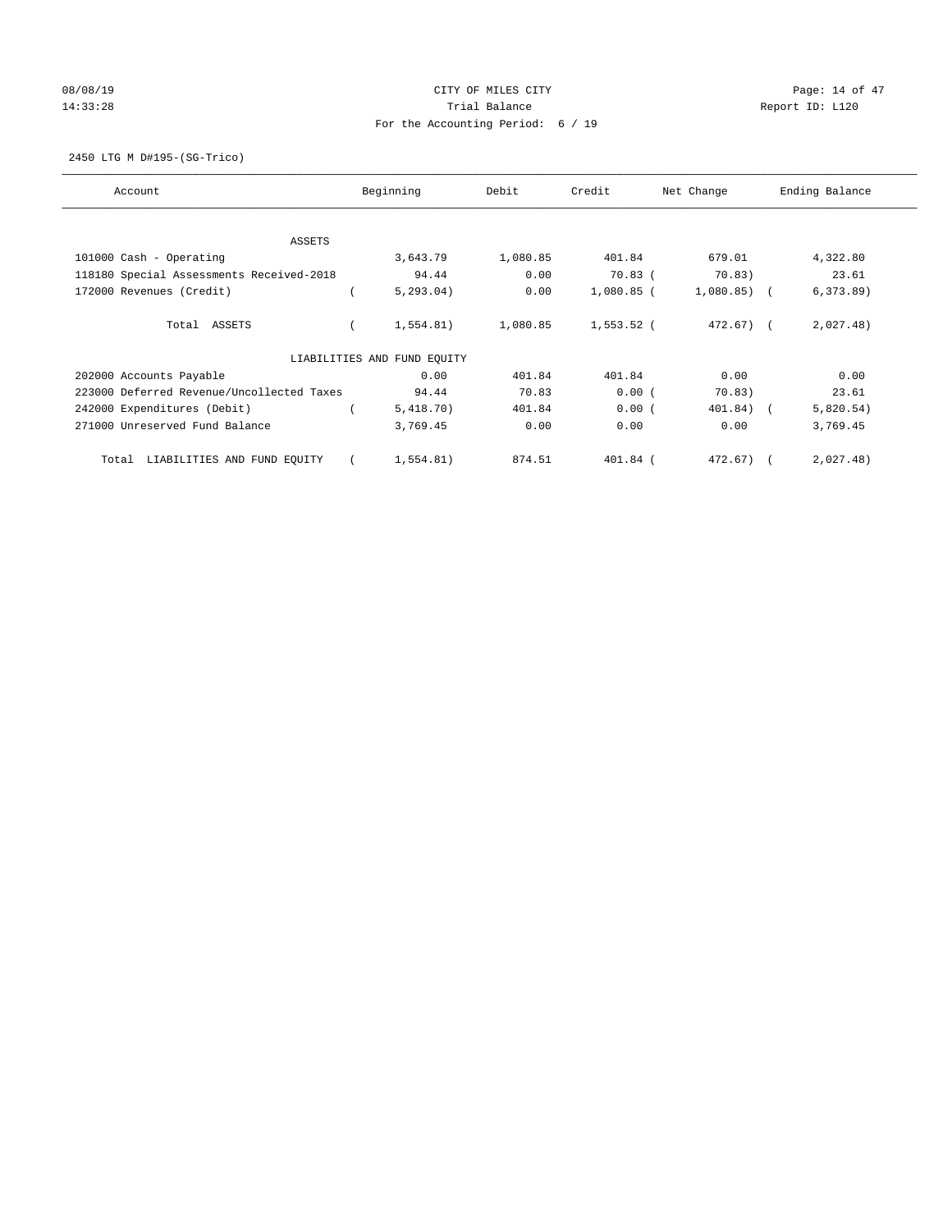# 08/08/19 Page: 14 of 47 14:33:28 Report ID: L120 For the Accounting Period: 6 / 19

2450 LTG M D#195-(SG-Trico)

| Account                                   | Beginning                   | Debit    | Credit       | Net Change    | Ending Balance |  |
|-------------------------------------------|-----------------------------|----------|--------------|---------------|----------------|--|
| ASSETS                                    |                             |          |              |               |                |  |
| 101000 Cash - Operating                   | 3,643.79                    | 1,080.85 | 401.84       | 679.01        | 4,322.80       |  |
| 118180 Special Assessments Received-2018  | 94.44                       | 0.00     | $70.83$ (    | 70.83)        | 23.61          |  |
| 172000 Revenues (Credit)                  | 5, 293.04)                  | 0.00     | $1,080.85$ ( | $1,080.85)$ ( | 6, 373.89)     |  |
| Total ASSETS                              | 1,554.81)                   | 1,080.85 | 1,553.52 (   | $472.67$ (    | 2,027.48)      |  |
|                                           | LIABILITIES AND FUND EQUITY |          |              |               |                |  |
| 202000 Accounts Payable                   | 0.00                        | 401.84   | 401.84       | 0.00          | 0.00           |  |
| 223000 Deferred Revenue/Uncollected Taxes | 94.44                       | 70.83    | 0.00(        | 70.83)        | 23.61          |  |
| 242000 Expenditures (Debit)               | 5,418.70)                   | 401.84   | 0.00(        | 401.84) (     | 5,820.54)      |  |
| 271000 Unreserved Fund Balance            | 3,769.45                    | 0.00     | 0.00         | 0.00          | 3,769.45       |  |
| LIABILITIES AND FUND EQUITY<br>Total      | 1,554.81)                   | 874.51   | 401.84 (     | $472.67$ (    | 2,027.48)      |  |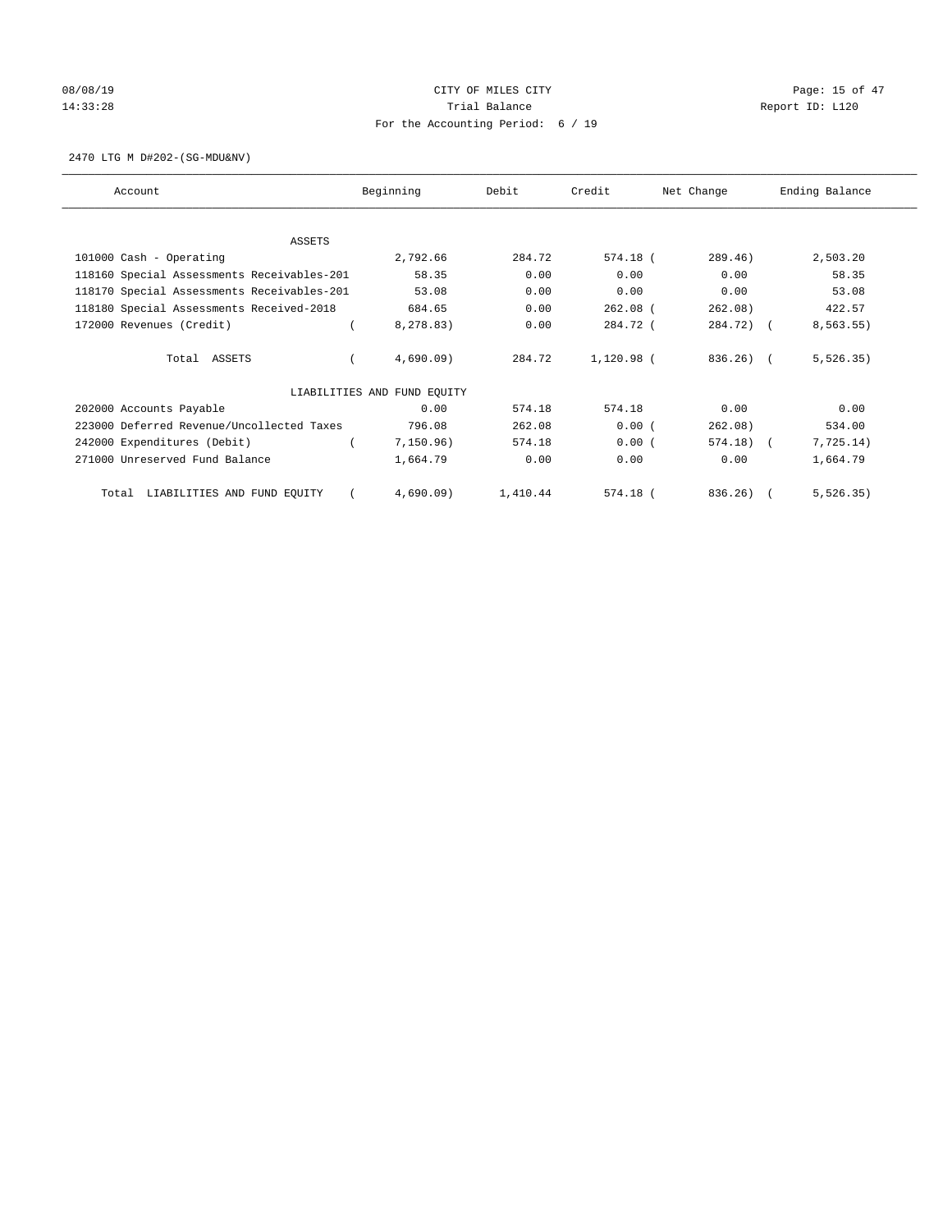# 08/08/19 Page: 15 of 47 14:33:28 Report ID: L120 For the Accounting Period: 6 / 19

2470 LTG M D#202-(SG-MDU&NV)

| Account                                    | Beginning                   | Debit    | Credit     | Net Change   | Ending Balance |
|--------------------------------------------|-----------------------------|----------|------------|--------------|----------------|
|                                            |                             |          |            |              |                |
| <b>ASSETS</b>                              |                             |          |            |              |                |
| 101000 Cash - Operating                    | 2,792.66                    | 284.72   | 574.18 (   | 289.46)      | 2,503.20       |
| 118160 Special Assessments Receivables-201 | 58.35                       | 0.00     | 0.00       | 0.00         | 58.35          |
| 118170 Special Assessments Receivables-201 | 53.08                       | 0.00     | 0.00       | 0.00         | 53.08          |
| 118180 Special Assessments Received-2018   | 684.65                      | 0.00     | $262.08$ ( | 262.08)      | 422.57         |
| 172000 Revenues (Credit)                   | 8,278.83)                   | 0.00     | 284.72 (   | 284.72) (    | 8, 563.55)     |
| Total ASSETS                               | 4,690.09                    | 284.72   | 1,120.98 ( | 836.26) (    | 5, 526.35)     |
|                                            | LIABILITIES AND FUND EQUITY |          |            |              |                |
| 202000 Accounts Payable                    | 0.00                        | 574.18   | 574.18     | 0.00         | 0.00           |
| 223000 Deferred Revenue/Uncollected Taxes  | 796.08                      | 262.08   | 0.00(      | 262.08)      | 534.00         |
| 242000 Expenditures (Debit)                | 7,150.96)                   | 574.18   | 0.00(      | $574.18$ ) ( | 7,725.14)      |
| 271000 Unreserved Fund Balance             | 1,664.79                    | 0.00     | 0.00       | 0.00         | 1,664.79       |
| LIABILITIES AND FUND EQUITY<br>Total       | 4,690.09                    | 1,410.44 | 574.18 (   | 836.26)      | 5, 526.35)     |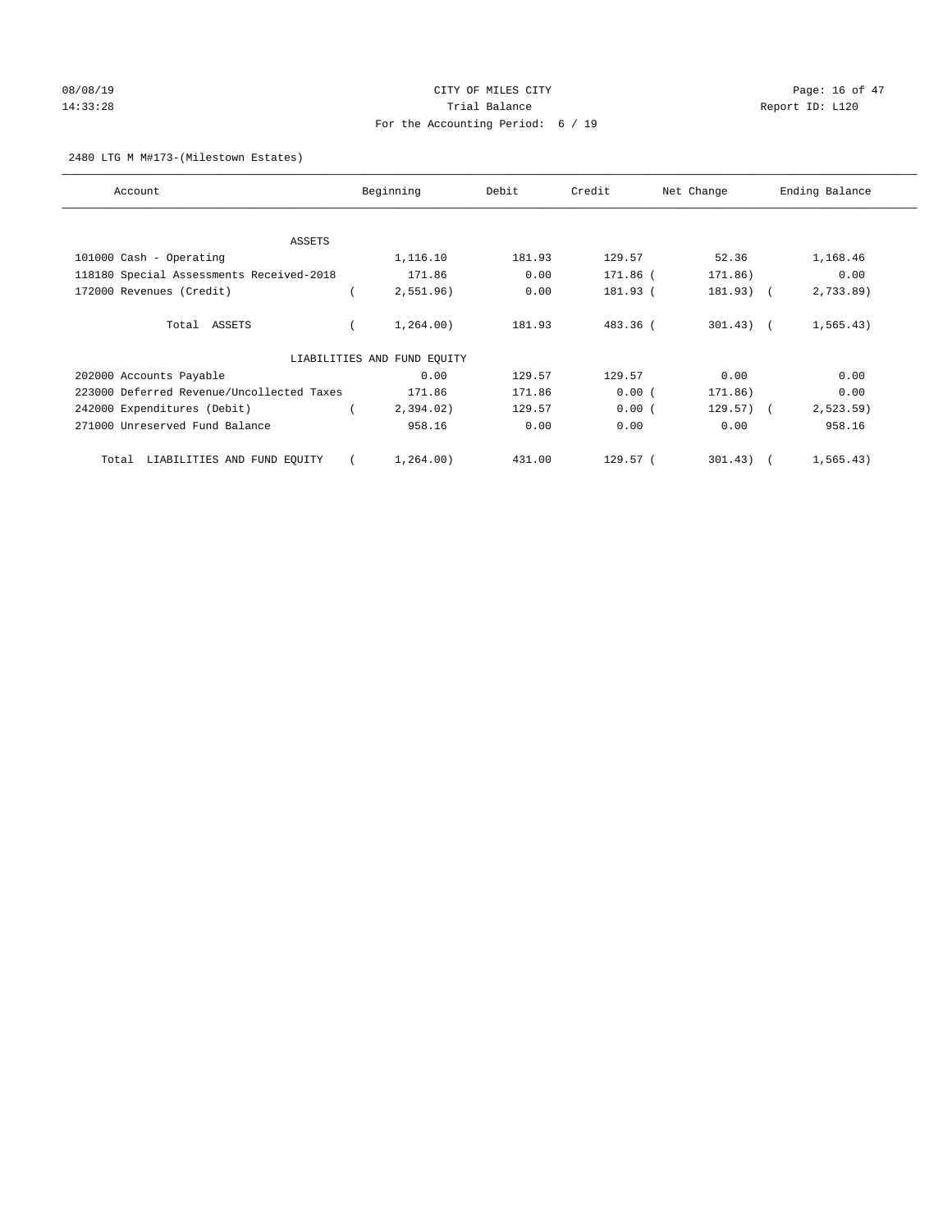# 08/08/19 Page: 16 of 47 14:33:28 Report ID: L120 For the Accounting Period: 6 / 19

## 2480 LTG M M#173-(Milestown Estates)

| Account                                   | Beginning                   | Debit  | Credit              | Net Change   | Ending Balance |
|-------------------------------------------|-----------------------------|--------|---------------------|--------------|----------------|
| <b>ASSETS</b>                             |                             |        |                     |              |                |
| 101000 Cash - Operating                   | 1,116.10                    | 181.93 | 129.57              | 52.36        | 1,168.46       |
| 118180 Special Assessments Received-2018  | 171.86                      | 0.00   | 171.86 (            | 171.86)      | 0.00           |
| 172000 Revenues (Credit)                  | 2,551.96)                   | 0.00   | 181.93 (            | 181.93) (    | 2,733.89)      |
| Total ASSETS                              | 1,264.00)                   | 181.93 | 483.36 (            | $301.43$ ) ( | 1, 565.43)     |
|                                           | LIABILITIES AND FUND EQUITY |        |                     |              |                |
| 202000 Accounts Payable                   | 0.00                        | 129.57 | 129.57              | 0.00         | 0.00           |
| 223000 Deferred Revenue/Uncollected Taxes | 171.86                      | 171.86 | 0.00(               | 171.86)      | 0.00           |
| 242000 Expenditures (Debit)               | 2,394.02)                   | 129.57 | 0.00(               | $129.57$ ) ( | 2, 523.59)     |
| 271000 Unreserved Fund Balance            | 958.16                      | 0.00   | 0.00                | 0.00         | 958.16         |
| LIABILITIES AND FUND EQUITY<br>Total      | 1,264.00)                   | 431.00 | 129.57 <sub>0</sub> | $301.43$ ) ( | 1, 565.43)     |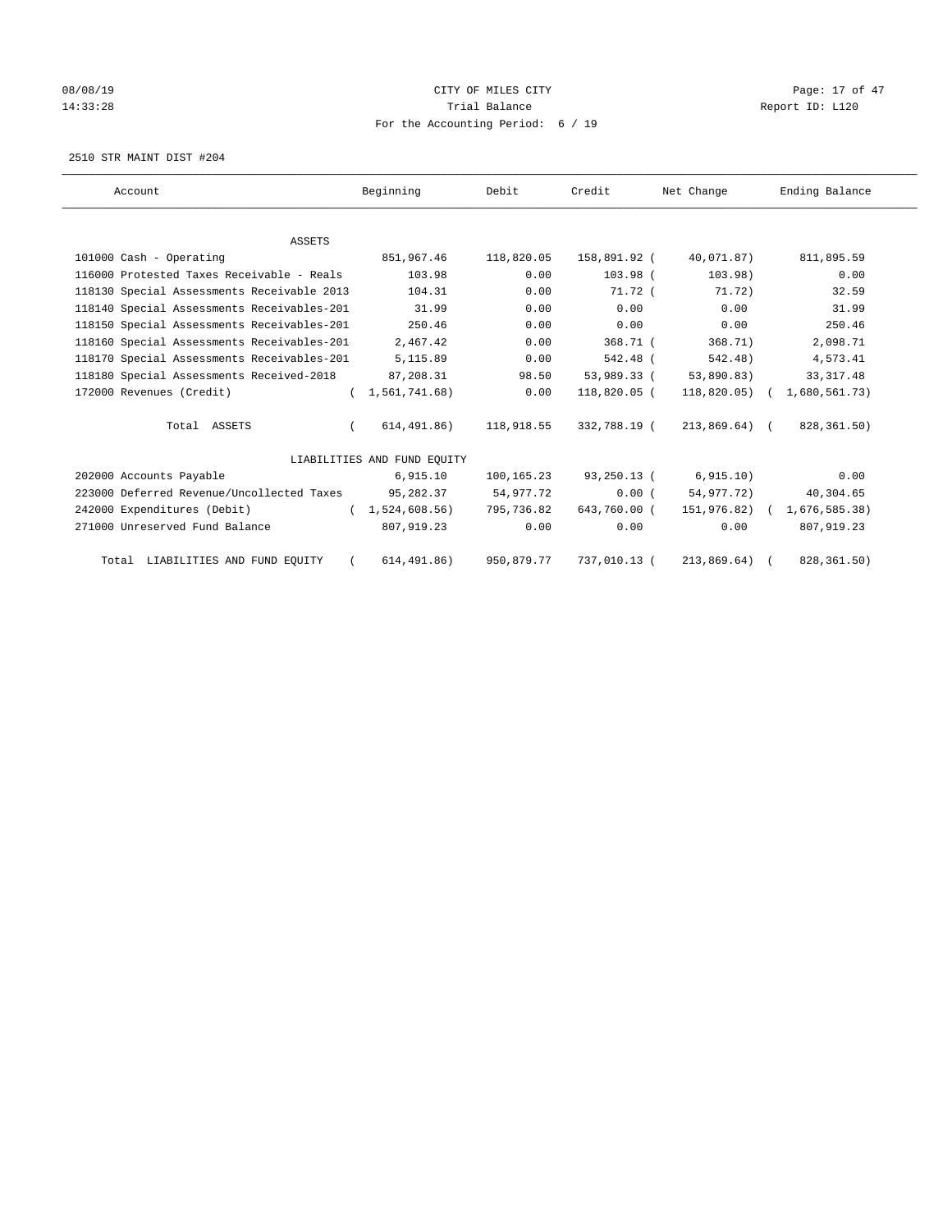# 08/08/19 Page: 17 of 47 14:33:28 Report ID: L120 For the Accounting Period: 6 / 19

2510 STR MAINT DIST #204

| Account                                    | Beginning                   | Debit      | Credit             | Net Change           | Ending Balance              |
|--------------------------------------------|-----------------------------|------------|--------------------|----------------------|-----------------------------|
|                                            |                             |            |                    |                      |                             |
| <b>ASSETS</b>                              |                             |            |                    |                      |                             |
| 101000 Cash - Operating                    | 851,967.46                  | 118,820.05 | 158,891.92 (       | 40,071.87)           | 811,895.59                  |
| 116000 Protested Taxes Receivable - Reals  | 103.98                      | 0.00       | 103.98 (           | 103.98)              | 0.00                        |
| 118130 Special Assessments Receivable 2013 | 104.31                      | 0.00       | 71.72 <sub>0</sub> | 71.72)               | 32.59                       |
| 118140 Special Assessments Receivables-201 | 31.99                       | 0.00       | 0.00               | 0.00                 | 31.99                       |
| 118150 Special Assessments Receivables-201 | 250.46                      | 0.00       | 0.00               | 0.00                 | 250.46                      |
| 118160 Special Assessments Receivables-201 | 2,467.42                    | 0.00       | $368.71$ (         | 368.71)              | 2,098.71                    |
| 118170 Special Assessments Receivables-201 | 5,115.89                    | 0.00       | 542.48 (           | 542.48)              | 4,573.41                    |
| 118180 Special Assessments Received-2018   | 87,208.31                   | 98.50      | 53,989.33 (        | 53,890.83)           | 33, 317.48                  |
| 172000 Revenues (Credit)                   | (1, 561, 741.68)            | 0.00       | 118,820.05 (       |                      | 118,820.05) ( 1,680,561.73) |
| Total ASSETS                               | 614,491.86)<br>$\left($     | 118,918.55 | 332,788.19 (       | 213,869.64) (        | 828,361.50)                 |
|                                            | LIABILITIES AND FUND EQUITY |            |                    |                      |                             |
| 202000 Accounts Payable                    | 6,915.10                    | 100,165.23 |                    | 93,250.13 (6,915.10) | 0.00                        |
| 223000 Deferred Revenue/Uncollected Taxes  | 95,282.37                   | 54,977.72  | 0.00(              | 54,977.72)           | 40,304.65                   |
| 242000 Expenditures (Debit)                | (1,524,608.56)              | 795,736.82 | 643,760.00 (       |                      | 151,976.82) ( 1,676,585.38) |
| 271000 Unreserved Fund Balance             | 807,919.23                  | 0.00       | 0.00               | 0.00                 | 807, 919.23                 |
| Total LIABILITIES AND FUND EQUITY          | 614, 491.86)                | 950,879.77 | 737,010.13 (       | 213,869.64)          | 828, 361.50)                |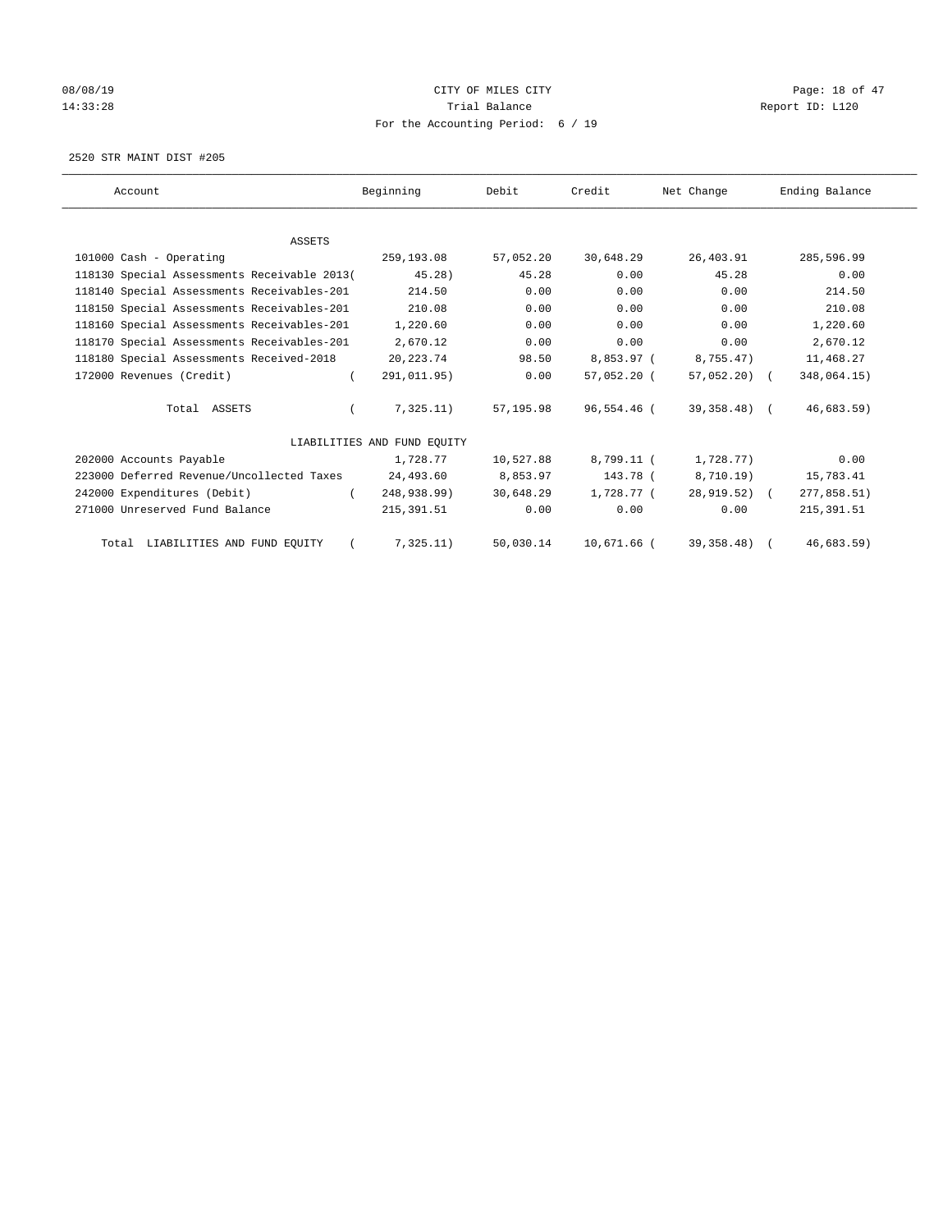# 08/08/19 Page: 18 of 47 14:33:28 Report ID: L120 For the Accounting Period: 6 / 19

2520 STR MAINT DIST #205

| Account                                     | Beginning                   | Debit     | Credit      | Net Change     | Ending Balance |
|---------------------------------------------|-----------------------------|-----------|-------------|----------------|----------------|
|                                             |                             |           |             |                |                |
| <b>ASSETS</b>                               |                             |           |             |                |                |
| 101000 Cash - Operating                     | 259,193.08                  | 57,052.20 | 30,648.29   | 26,403.91      | 285,596.99     |
| 118130 Special Assessments Receivable 2013( | 45.28)                      | 45.28     | 0.00        | 45.28          | 0.00           |
| 118140 Special Assessments Receivables-201  | 214.50                      | 0.00      | 0.00        | 0.00           | 214.50         |
| 118150 Special Assessments Receivables-201  | 210.08                      | 0.00      | 0.00        | 0.00           | 210.08         |
| 118160 Special Assessments Receivables-201  | 1,220.60                    | 0.00      | 0.00        | 0.00           | 1,220.60       |
| 118170 Special Assessments Receivables-201  | 2,670.12                    | 0.00      | 0.00        | 0.00           | 2,670.12       |
| 118180 Special Assessments Received-2018    | 20, 223. 74                 | 98.50     | 8,853.97 (  | 8,755.47)      | 11,468.27      |
| 172000 Revenues (Credit)                    | 291,011.95)                 | 0.00      | 57,052.20 ( | $57,052,20$ (  | 348,064.15)    |
| Total ASSETS                                | 7,325.11)                   | 57,195.98 | 96,554.46 ( | 39,358.48) (   | $46,683.59$ )  |
|                                             | LIABILITIES AND FUND EQUITY |           |             |                |                |
| 202000 Accounts Payable                     | 1,728.77                    | 10,527.88 | 8,799.11 (  | 1,728.77)      | 0.00           |
| 223000 Deferred Revenue/Uncollected Taxes   | 24,493.60                   | 8,853.97  | 143.78 (    | 8,710.19)      | 15,783.41      |
| 242000 Expenditures (Debit)                 | 248,938.99)                 | 30,648.29 | 1,728.77 (  | $28,919.52)$ ( | 277,858.51)    |
| 271000 Unreserved Fund Balance              | 215, 391.51                 | 0.00      | 0.00        | 0.00           | 215, 391.51    |
| Total LIABILITIES AND FUND EQUITY           | 7,325.11)                   | 50,030.14 | 10,671.66 ( | 39, 358. 48)   | 46,683.59)     |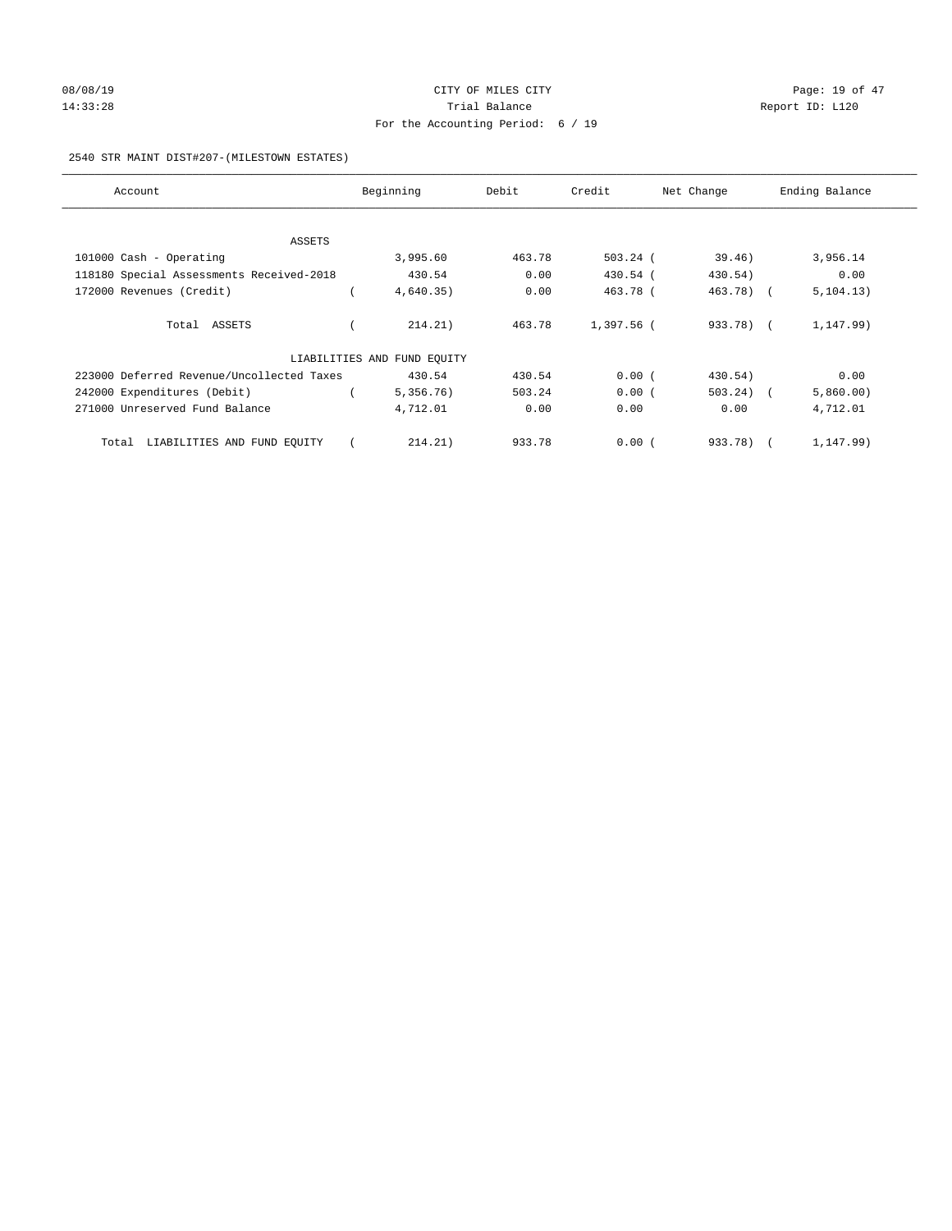# 08/08/19 Page: 19 of 47 14:33:28 Report ID: L120 For the Accounting Period: 6 / 19

## 2540 STR MAINT DIST#207-(MILESTOWN ESTATES)

| Account                                   | Beginning                   | Debit  | Credit     | Net Change  | Ending Balance |
|-------------------------------------------|-----------------------------|--------|------------|-------------|----------------|
|                                           |                             |        |            |             |                |
| ASSETS                                    |                             |        |            |             |                |
| 101000 Cash - Operating                   | 3,995.60                    | 463.78 | $503.24$ ( | 39.46)      | 3,956.14       |
| 118180 Special Assessments Received-2018  | 430.54                      | 0.00   | 430.54 (   | 430.54)     | 0.00           |
| 172000 Revenues (Credit)                  | 4,640.35)                   | 0.00   | 463.78 (   | 463.78) (   | 5, 104.13)     |
|                                           |                             |        |            |             |                |
| Total ASSETS                              | 214.21)                     | 463.78 | 1,397.56 ( | 933.78) (   | 1,147.99)      |
|                                           | LIABILITIES AND FUND EQUITY |        |            |             |                |
| 223000 Deferred Revenue/Uncollected Taxes | 430.54                      | 430.54 | 0.00(      | 430.54)     | 0.00           |
| 242000 Expenditures (Debit)               | 5,356.76)                   | 503.24 | 0.00(      | $503.24)$ ( | 5,860.00)      |
| 271000 Unreserved Fund Balance            | 4,712.01                    | 0.00   | 0.00       | 0.00        | 4,712.01       |
|                                           |                             |        |            |             |                |
| Total LIABILITIES AND FUND EQUITY         | 214.21)                     | 933.78 | 0.00(      | 933.78) (   | 1,147.99)      |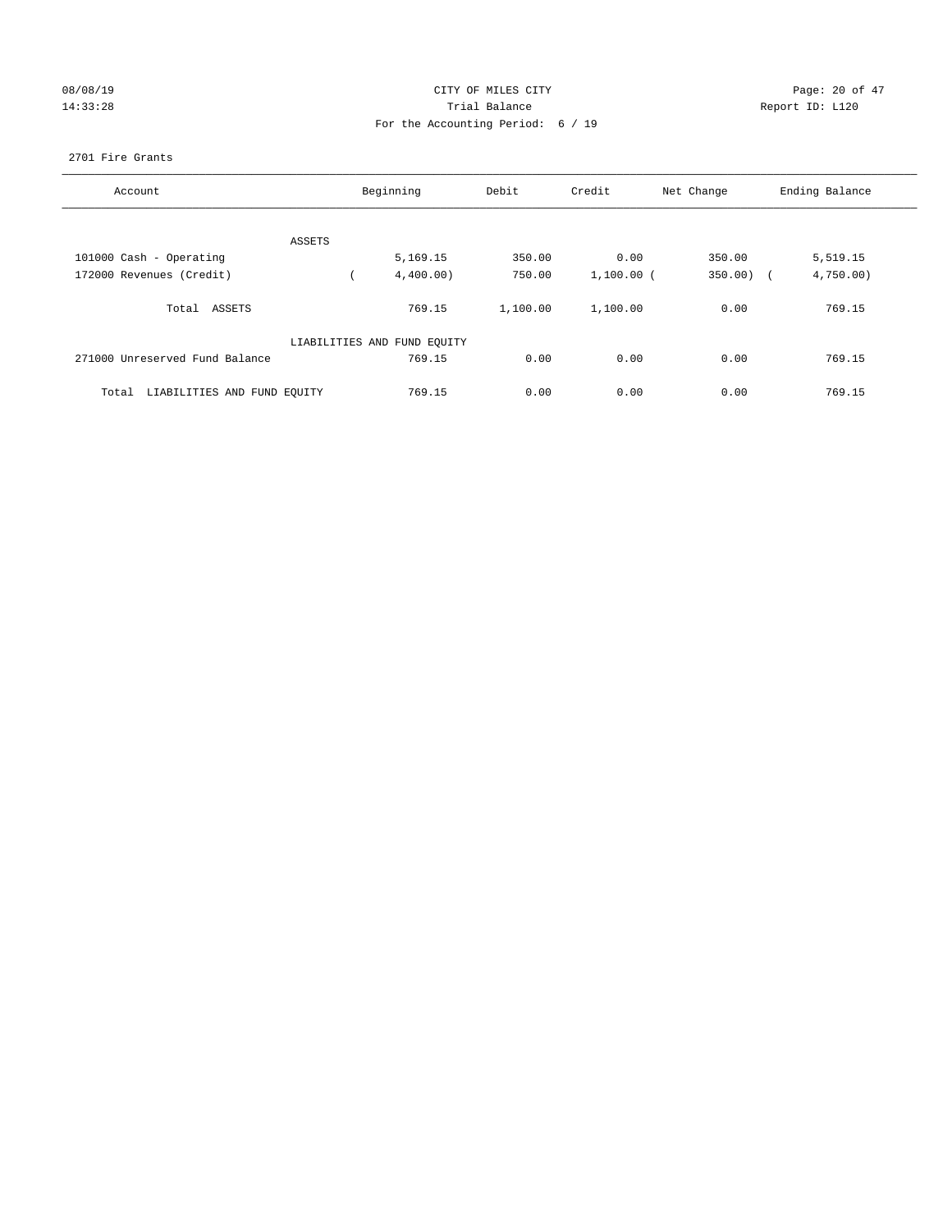## 08/08/19 Page: 20 of 47 14:33:28 Report ID: L120 For the Accounting Period: 6 / 19

## 2701 Fire Grants

| Account                              |        | Beginning                   | Debit    | Credit       | Net Change   | Ending Balance |
|--------------------------------------|--------|-----------------------------|----------|--------------|--------------|----------------|
|                                      |        |                             |          |              |              |                |
|                                      | ASSETS |                             |          |              |              |                |
| 101000 Cash - Operating              |        | 5,169.15                    | 350.00   | 0.00         | 350.00       | 5,519.15       |
| 172000 Revenues (Credit)             |        | 4,400.00)                   | 750.00   | $1,100.00$ ( | $350.00$ ) ( | 4,750.00       |
| Total ASSETS                         |        | 769.15                      | 1,100.00 | 1,100.00     | 0.00         | 769.15         |
|                                      |        | LIABILITIES AND FUND EQUITY |          |              |              |                |
| 271000 Unreserved Fund Balance       |        | 769.15                      | 0.00     | 0.00         | 0.00         | 769.15         |
| LIABILITIES AND FUND EQUITY<br>Total |        | 769.15                      | 0.00     | 0.00         | 0.00         | 769.15         |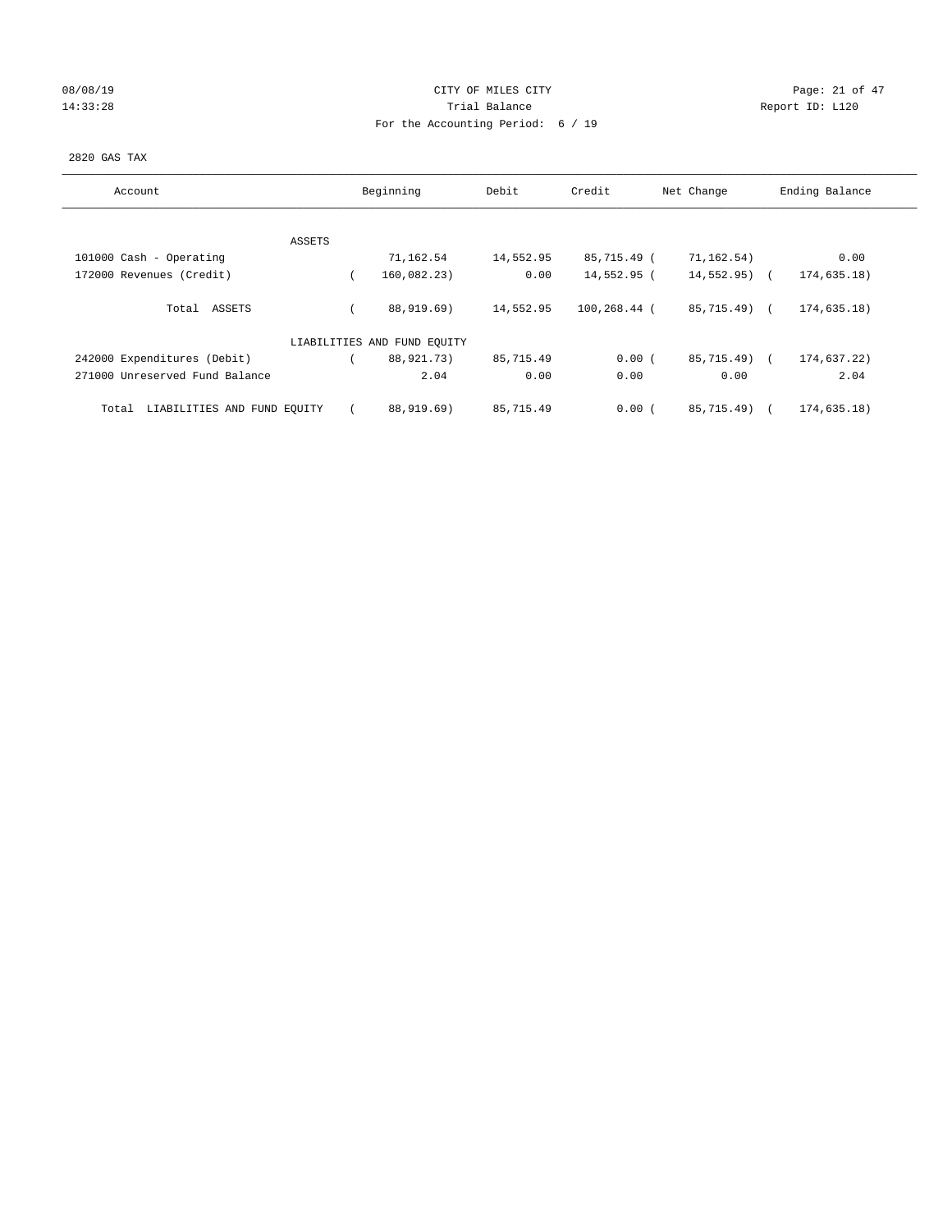# 08/08/19 Page: 21 of 47 14:33:28 Report ID: L120 For the Accounting Period: 6 / 19

## 2820 GAS TAX

| Account                              |        | Beginning                   | Debit     | Credit       | Net Change    | Ending Balance |
|--------------------------------------|--------|-----------------------------|-----------|--------------|---------------|----------------|
|                                      |        |                             |           |              |               |                |
|                                      | ASSETS |                             |           |              |               |                |
| 101000 Cash - Operating              |        | 71,162.54                   | 14,552.95 | 85,715.49 (  | 71,162.54)    | 0.00           |
| 172000 Revenues (Credit)             |        | 160,082.23)                 | 0.00      | 14,552.95 (  | $14,552.95$ ( | 174,635.18)    |
|                                      |        |                             |           |              |               |                |
| Total ASSETS                         |        | 88,919.69)                  | 14,552.95 | 100,268.44 ( | 85,715.49) (  | 174,635.18)    |
|                                      |        |                             |           |              |               |                |
|                                      |        | LIABILITIES AND FUND EQUITY |           |              |               |                |
| 242000 Expenditures (Debit)          |        | 88,921.73)                  | 85,715.49 | 0.00(        | 85,715.49) (  | 174,637.22)    |
| 271000 Unreserved Fund Balance       |        | 2.04                        | 0.00      | 0.00         | 0.00          | 2.04           |
|                                      |        |                             |           |              |               |                |
| LIABILITIES AND FUND EQUITY<br>Total |        | 88,919.69)                  | 85,715.49 | 0.00(        | 85,715.49)    | 174,635.18)    |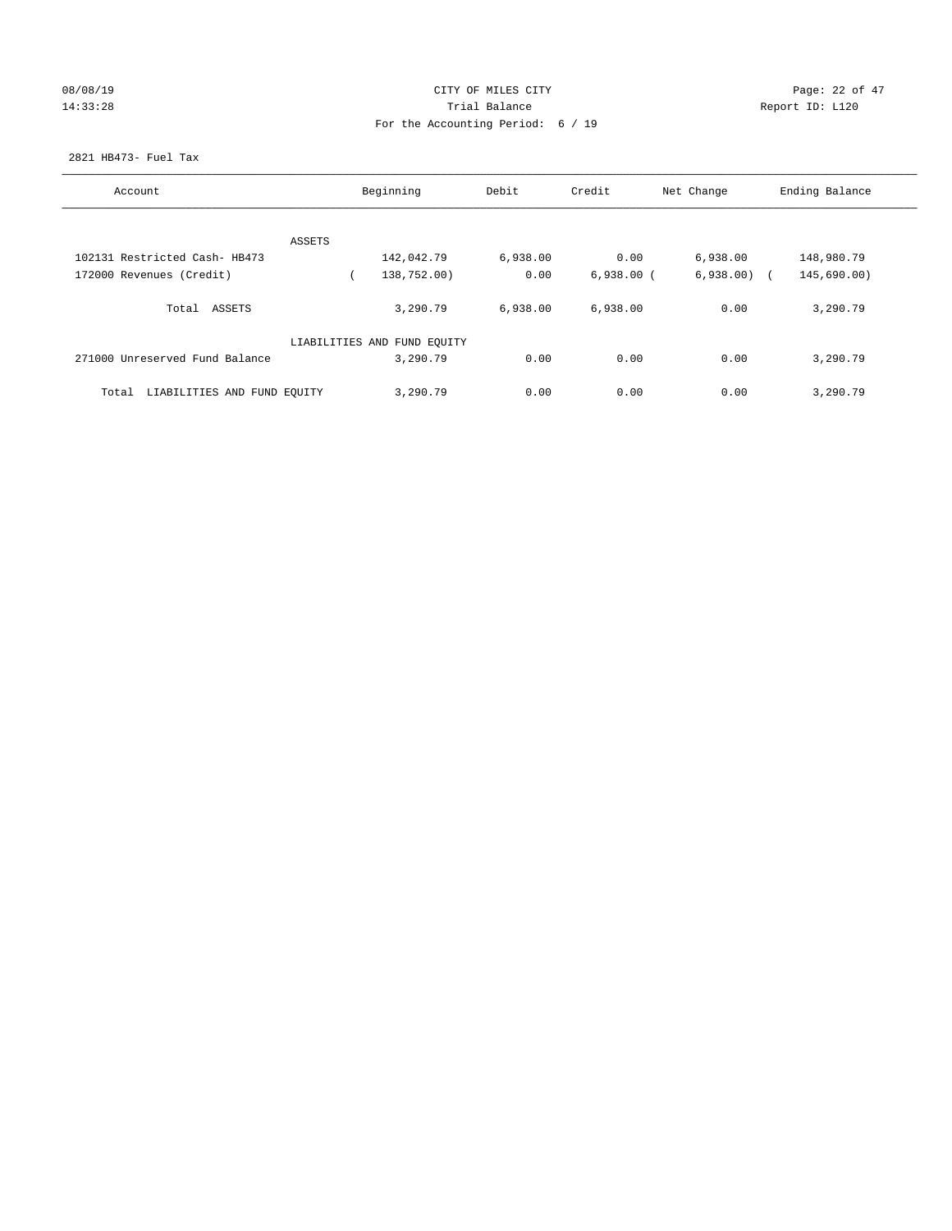|  | 08/08/19 |  |
|--|----------|--|
|  | 14:33:28 |  |

## CITY OF MILES CITY CONTROL CONTROL CONTROL CITY 14:33:28 Report ID: L120 For the Accounting Period: 6 / 19

## 2821 HB473- Fuel Tax

| Account                              | Beginning                   | Debit    | Credit       | Net Change | Ending Balance |
|--------------------------------------|-----------------------------|----------|--------------|------------|----------------|
|                                      |                             |          |              |            |                |
| ASSETS                               |                             |          |              |            |                |
| 102131 Restricted Cash- HB473        | 142,042.79                  | 6,938.00 | 0.00         | 6,938.00   | 148,980.79     |
| 172000 Revenues (Credit)             | 138,752.00)                 | 0.00     | $6,938.00$ ( | 6,938.00   | 145,690.00)    |
| Total ASSETS                         | 3,290.79                    | 6,938.00 | 6,938.00     | 0.00       | 3,290.79       |
|                                      | LIABILITIES AND FUND EQUITY |          |              |            |                |
| 271000 Unreserved Fund Balance       | 3,290.79                    | 0.00     | 0.00         | 0.00       | 3,290.79       |
| LIABILITIES AND FUND EQUITY<br>Total | 3,290.79                    | 0.00     | 0.00         | 0.00       | 3,290.79       |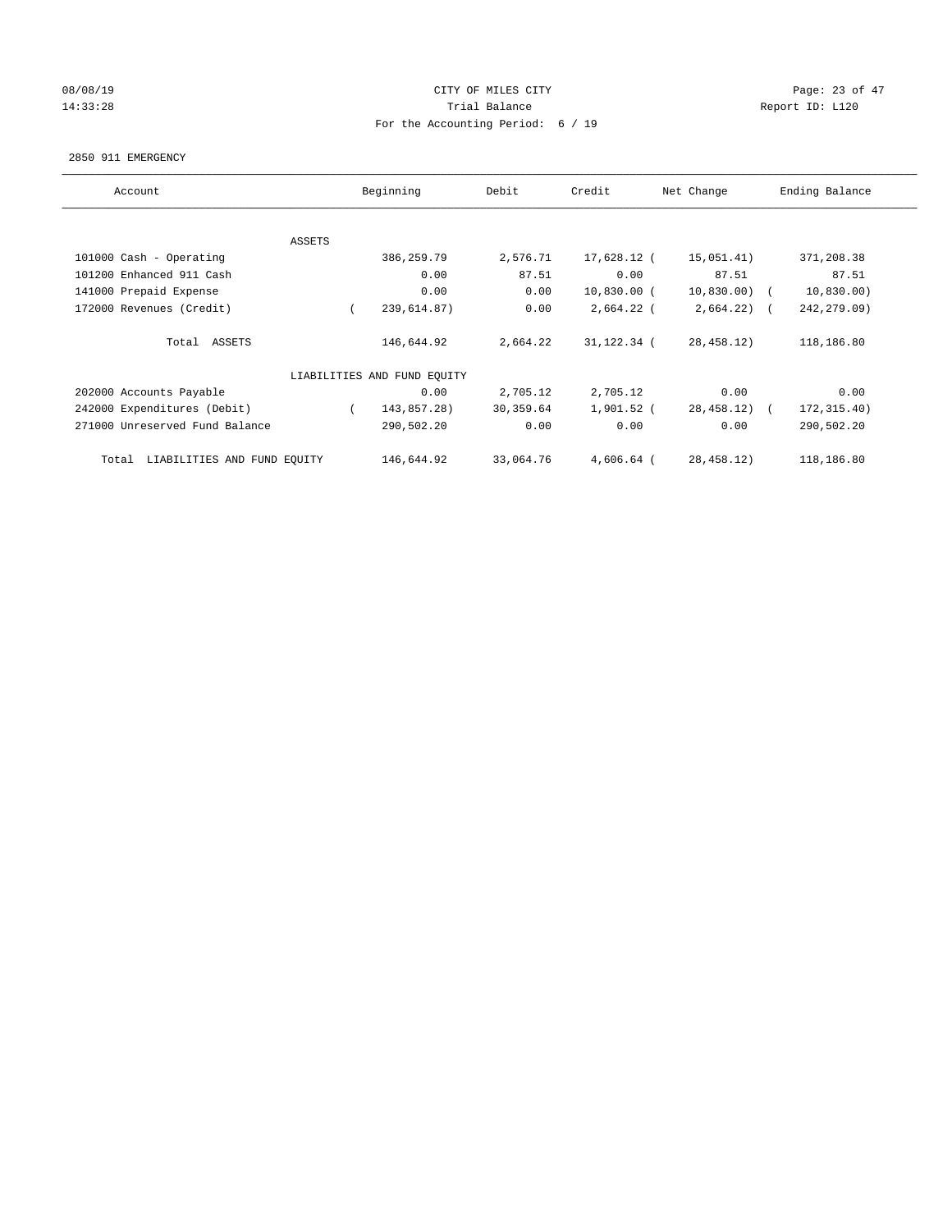## 08/08/19 Page: 23 of 47 14:33:28 Report ID: L120 For the Accounting Period: 6 / 19

#### 2850 911 EMERGENCY

| Account                              |               | Beginning                   | Debit     | Credit        | Net Change     | Ending Balance |
|--------------------------------------|---------------|-----------------------------|-----------|---------------|----------------|----------------|
|                                      | <b>ASSETS</b> |                             |           |               |                |                |
| 101000 Cash - Operating              |               | 386,259.79                  | 2,576.71  | 17,628.12 (   | 15,051.41)     | 371,208.38     |
| 101200 Enhanced 911 Cash             |               | 0.00                        | 87.51     | 0.00          | 87.51          | 87.51          |
| 141000 Prepaid Expense               |               | 0.00                        | 0.00      | $10,830.00$ ( | $10,830.00)$ ( | 10,830.00)     |
| 172000 Revenues (Credit)             |               | 239,614.87)                 | 0.00      | $2,664.22$ (  | $2,664.22$ ) ( | 242, 279.09)   |
| Total ASSETS                         |               | 146,644.92                  | 2,664.22  | 31,122.34 (   | 28,458.12)     | 118,186.80     |
|                                      |               | LIABILITIES AND FUND EQUITY |           |               |                |                |
| 202000 Accounts Payable              |               | 0.00                        | 2,705.12  | 2,705.12      | 0.00           | 0.00           |
| 242000 Expenditures (Debit)          |               | 143,857.28)                 | 30,359.64 | 1,901.52 (    | 28,458.12) (   | 172, 315.40)   |
| 271000 Unreserved Fund Balance       |               | 290,502.20                  | 0.00      | 0.00          | 0.00           | 290,502.20     |
| LIABILITIES AND FUND EQUITY<br>Total |               | 146,644.92                  | 33,064.76 | $4,606.64$ (  | 28,458.12)     | 118,186.80     |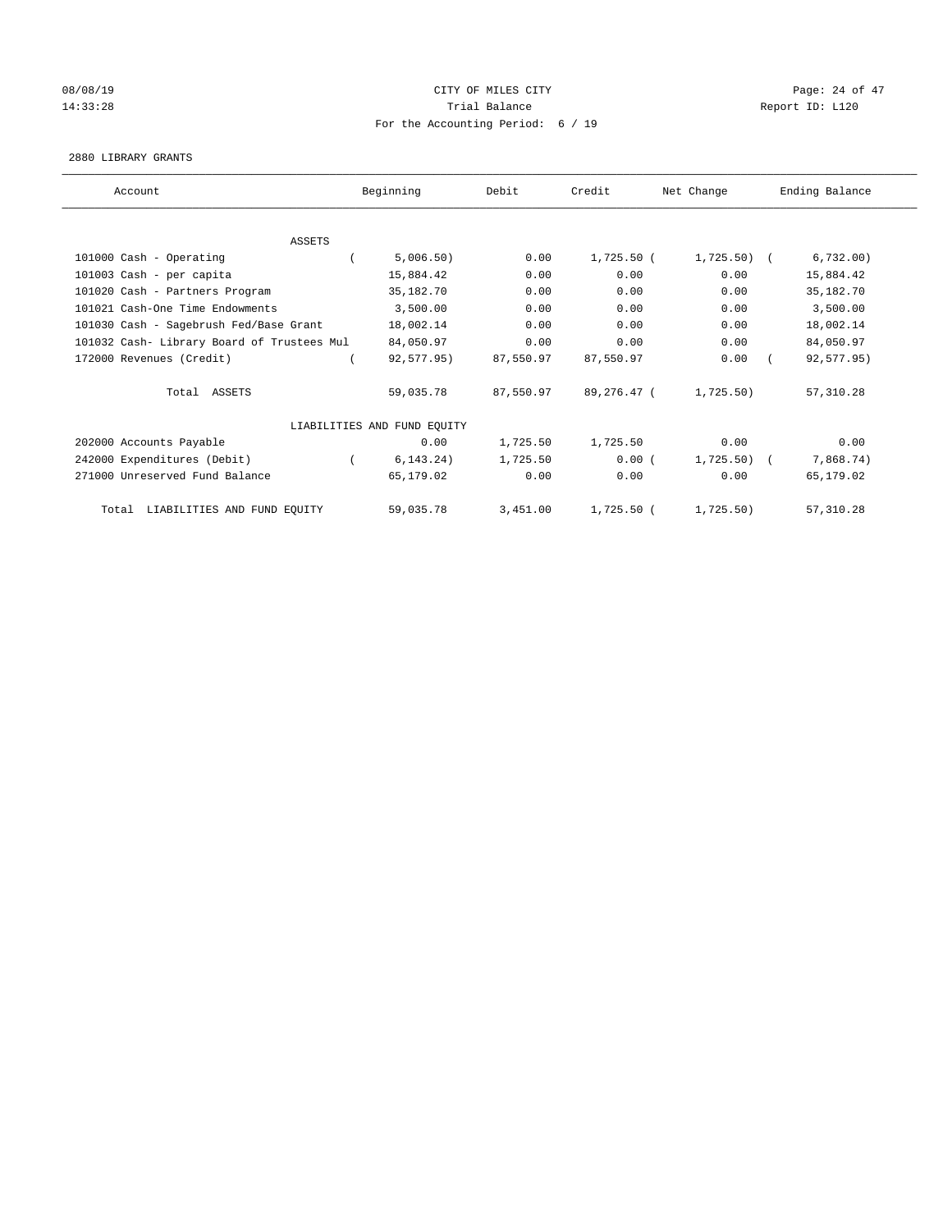## 08/08/19 Page: 24 of 47 14:33:28 Report ID: L120 For the Accounting Period: 6 / 19

### 2880 LIBRARY GRANTS

| Account                                    | Beginning                   | Debit     | Credit       | Net Change   | Ending Balance |
|--------------------------------------------|-----------------------------|-----------|--------------|--------------|----------------|
|                                            |                             |           |              |              |                |
| <b>ASSETS</b>                              |                             |           |              |              |                |
| 101000 Cash - Operating                    | 5,006.50)                   | 0.00      | 1,725.50 (   | $1,725.50$ ( | 6,732.00)      |
| 101003 Cash - per capita                   | 15,884.42                   | 0.00      | 0.00         | 0.00         | 15,884.42      |
| 101020 Cash - Partners Program             | 35,182.70                   | 0.00      | 0.00         | 0.00         | 35,182.70      |
| 101021 Cash-One Time Endowments            | 3,500.00                    | 0.00      | 0.00         | 0.00         | 3,500.00       |
| 101030 Cash - Sagebrush Fed/Base Grant     | 18,002.14                   | 0.00      | 0.00         | 0.00         | 18,002.14      |
| 101032 Cash- Library Board of Trustees Mul | 84,050.97                   | 0.00      | 0.00         | 0.00         | 84,050.97      |
| 172000 Revenues (Credit)                   | 92,577.95)                  | 87,550.97 | 87,550.97    | 0.00         | 92,577.95)     |
| Total ASSETS                               | 59,035.78                   | 87,550.97 | 89,276.47 (  | 1,725.50)    | 57, 310.28     |
|                                            | LIABILITIES AND FUND EQUITY |           |              |              |                |
| 202000 Accounts Payable                    | 0.00                        | 1,725.50  | 1,725.50     | 0.00         | 0.00           |
| 242000 Expenditures (Debit)                | 6, 143.24)                  | 1,725.50  | 0.00(        | 1,725.50)    | 7,868.74)      |
| 271000 Unreserved Fund Balance             | 65,179.02                   | 0.00      | 0.00         | 0.00         | 65,179.02      |
| LIABILITIES AND FUND EQUITY<br>Total       | 59,035.78                   | 3,451.00  | $1,725.50$ ( | 1,725.50)    | 57, 310.28     |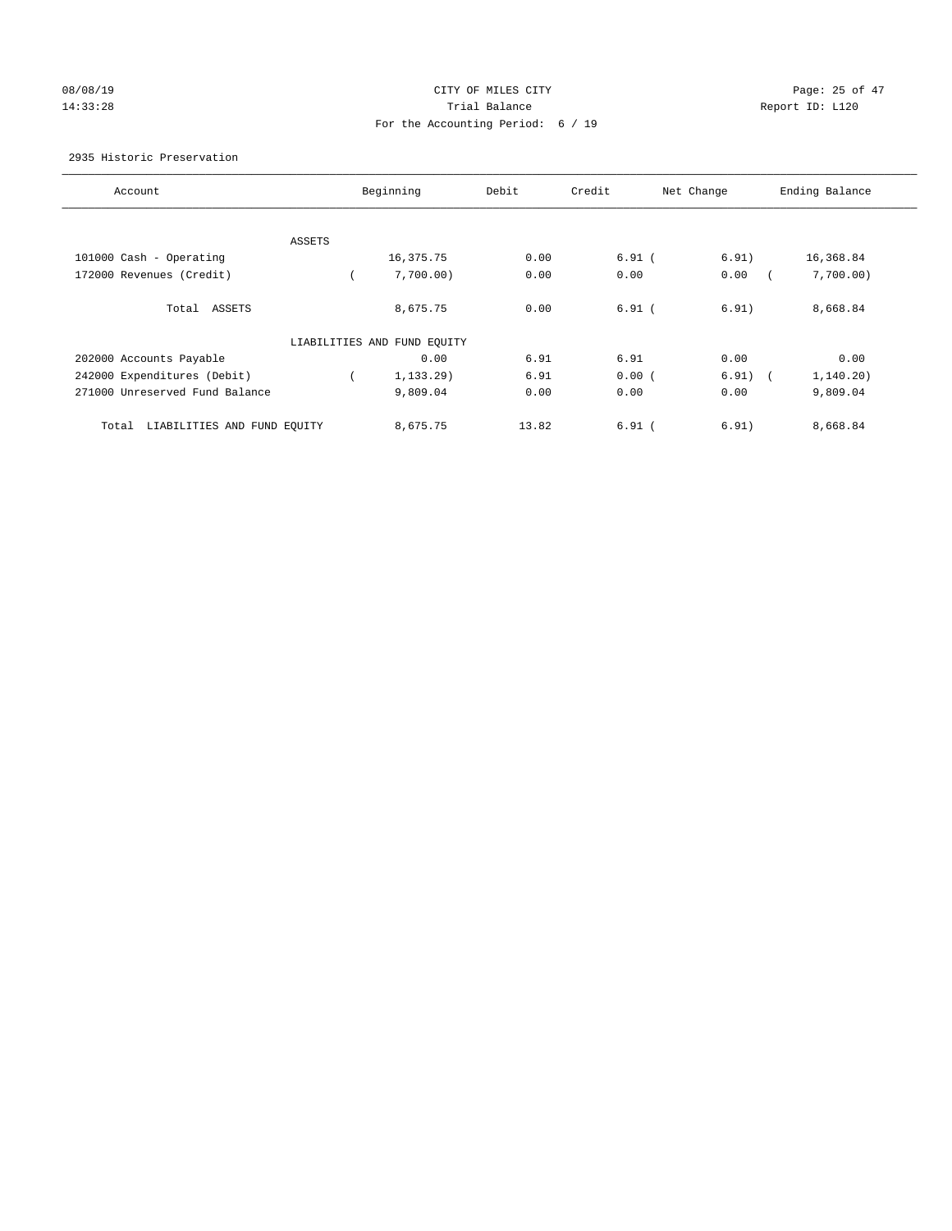# 08/08/19 Page: 25 of 47 14:33:28 Report ID: L120 For the Accounting Period: 6 / 19

## 2935 Historic Preservation

| Account                              |        | Beginning                   | Debit | Credit   | Net Change      | Ending Balance |
|--------------------------------------|--------|-----------------------------|-------|----------|-----------------|----------------|
|                                      |        |                             |       |          |                 |                |
|                                      | ASSETS |                             |       |          |                 |                |
| 101000 Cash - Operating              |        | 16,375.75                   | 0.00  | $6.91$ ( | 6.91)           | 16,368.84      |
| 172000 Revenues (Credit)             |        | 7,700.00)                   | 0.00  | 0.00     | 0.00            | 7,700.00)      |
| Total ASSETS                         |        | 8,675.75                    | 0.00  | $6.91$ ( | 6.91)           | 8,668.84       |
|                                      |        | LIABILITIES AND FUND EQUITY |       |          |                 |                |
| 202000 Accounts Payable              |        | 0.00                        | 6.91  | 6.91     | 0.00            | 0.00           |
| 242000 Expenditures (Debit)          |        | 1, 133, 29)                 | 6.91  | 0.00(    | 6.91)<br>$\sim$ | 1, 140.20)     |
| 271000 Unreserved Fund Balance       |        | 9,809.04                    | 0.00  | 0.00     | 0.00            | 9,809.04       |
| LIABILITIES AND FUND EQUITY<br>Total |        | 8,675.75                    | 13.82 | $6.91$ ( | 6.91)           | 8,668.84       |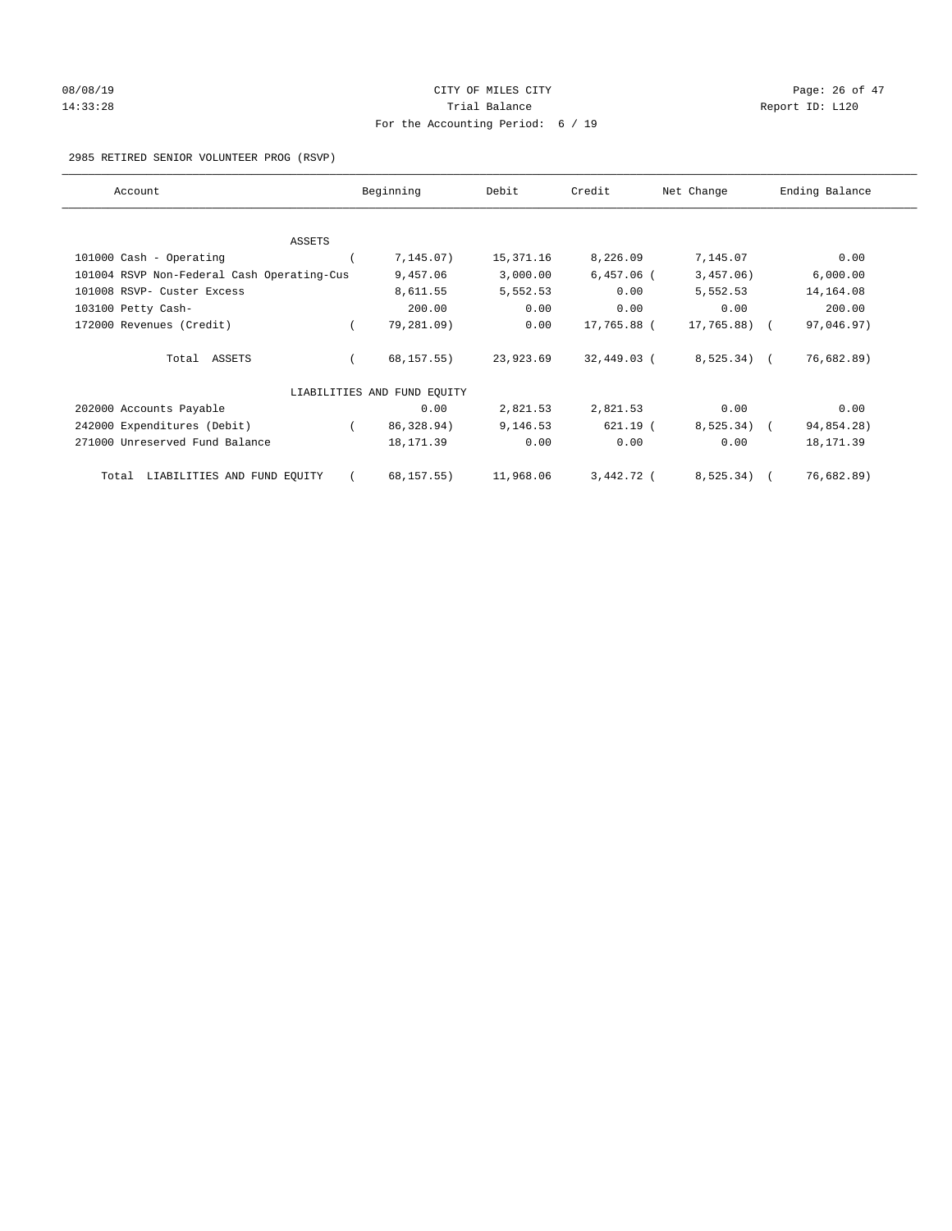# 08/08/19 Page: 26 of 47 14:33:28 Report ID: L120 For the Accounting Period: 6 / 19

## 2985 RETIRED SENIOR VOLUNTEER PROG (RSVP)

| Account                                    | Beginning                   | Debit     | Credit       | Net Change    | Ending Balance |
|--------------------------------------------|-----------------------------|-----------|--------------|---------------|----------------|
|                                            |                             |           |              |               |                |
| ASSETS                                     |                             |           |              |               |                |
| 101000 Cash - Operating                    | 7, 145.07)                  | 15,371.16 | 8,226.09     | 7,145.07      | 0.00           |
| 101004 RSVP Non-Federal Cash Operating-Cus | 9,457.06                    | 3,000.00  | $6,457.06$ ( | 3,457.06)     | 6,000.00       |
| 101008 RSVP- Custer Excess                 | 8,611.55                    | 5,552.53  | 0.00         | 5,552.53      | 14, 164.08     |
| 103100 Petty Cash-                         | 200.00                      | 0.00      | 0.00         | 0.00          | 200.00         |
| 172000 Revenues (Credit)                   | 79,281.09)                  | 0.00      | 17,765.88 (  | $17,765.88$ ( | 97,046.97)     |
| Total ASSETS                               | 68,157.55)                  | 23,923.69 | 32,449.03 (  | $8,525.34$ (  | 76,682.89)     |
|                                            | LIABILITIES AND FUND EQUITY |           |              |               |                |
| 202000 Accounts Payable                    | 0.00                        | 2,821.53  | 2,821.53     | 0.00          | 0.00           |
| 242000 Expenditures (Debit)                | 86,328.94)                  | 9,146.53  | $621.19$ (   | 8,525.34)     | 94,854.28)     |
| 271000 Unreserved Fund Balance             | 18, 171.39                  | 0.00      | 0.00         | 0.00          | 18, 171.39     |
| LIABILITIES AND FUND EQUITY<br>Total       | 68, 157. 55)                | 11,968.06 | 3,442.72 (   | 8, 525.34)    | 76,682.89)     |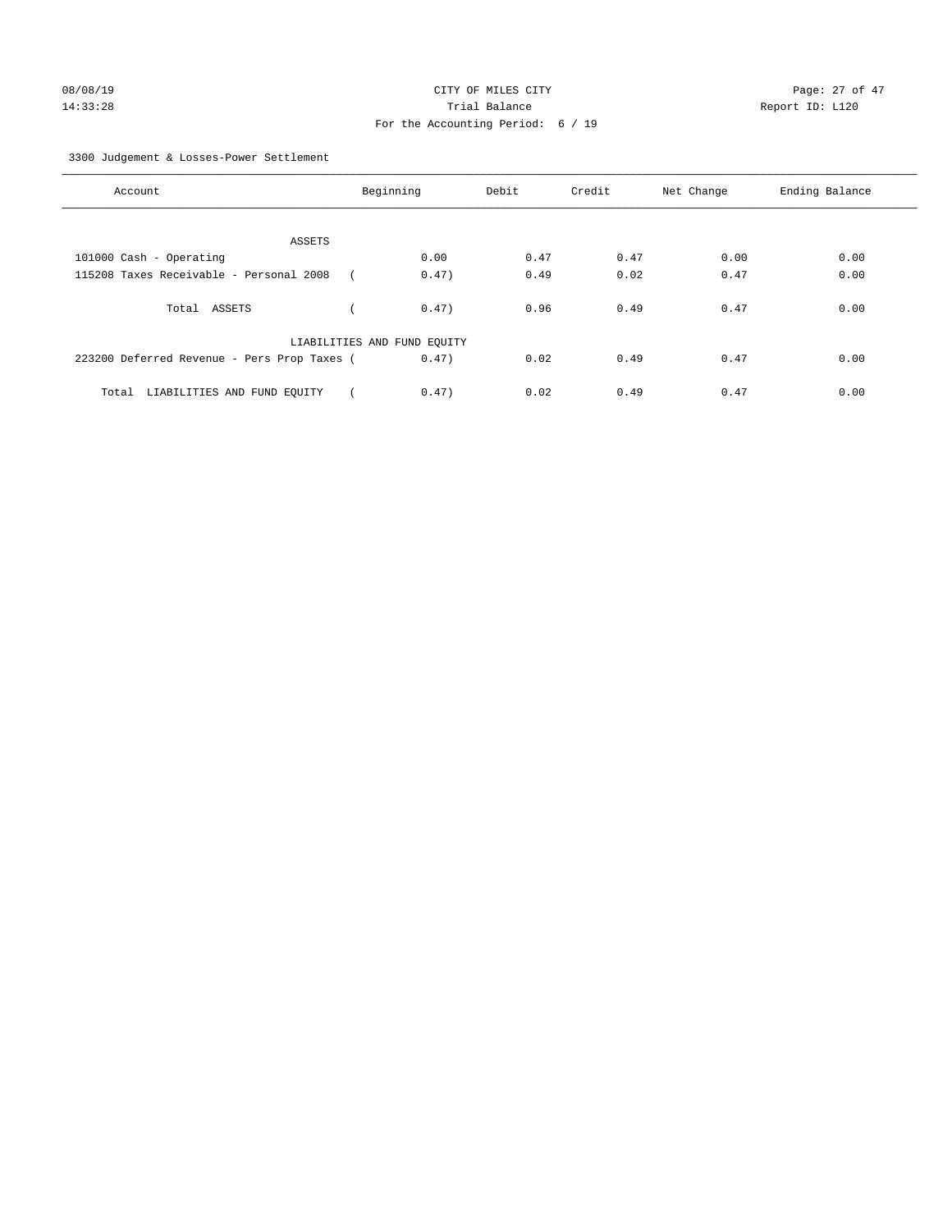3300 Judgement & Losses-Power Settlement

| Account                                     | Beginning                   |       | Debit | Credit | Net Change | Ending Balance |
|---------------------------------------------|-----------------------------|-------|-------|--------|------------|----------------|
|                                             |                             |       |       |        |            |                |
| ASSETS                                      |                             |       |       |        |            |                |
| 101000 Cash - Operating                     |                             | 0.00  | 0.47  | 0.47   | 0.00       | 0.00           |
| 115208 Taxes Receivable - Personal 2008     |                             | 0.47) | 0.49  | 0.02   | 0.47       | 0.00           |
| Total ASSETS                                |                             | 0.47) | 0.96  | 0.49   | 0.47       | 0.00           |
|                                             | LIABILITIES AND FUND EQUITY |       |       |        |            |                |
| 223200 Deferred Revenue - Pers Prop Taxes ( |                             | 0.47) | 0.02  | 0.49   | 0.47       | 0.00           |
| LIABILITIES AND FUND EQUITY<br>Total        |                             | 0.47) | 0.02  | 0.49   | 0.47       | 0.00           |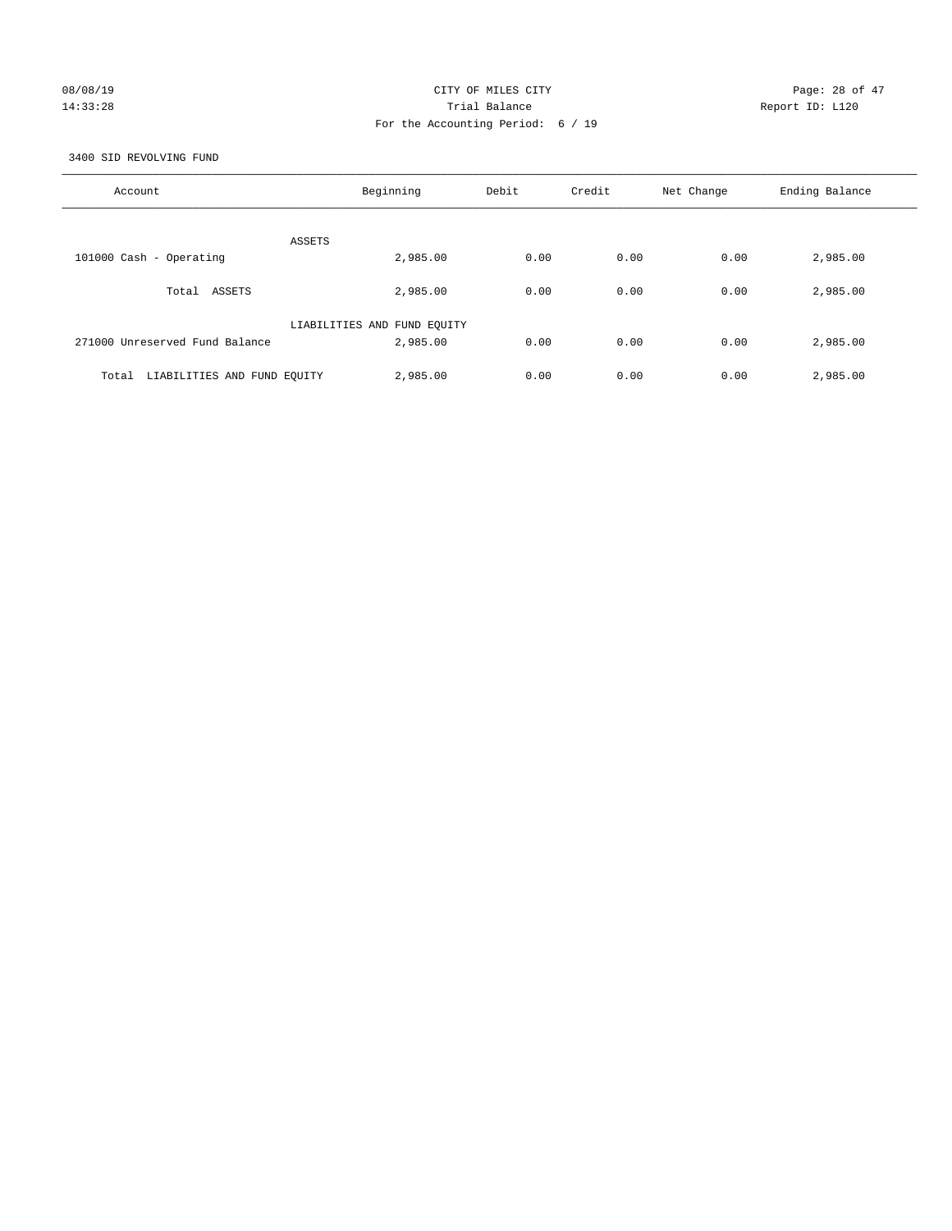## 08/08/19 Page: 28 of 47 14:33:28 Trial Balance Report ID: L120 For the Accounting Period: 6 / 19

3400 SID REVOLVING FUND

| Account                              | Beginning                   | Debit | Credit | Net Change | Ending Balance |
|--------------------------------------|-----------------------------|-------|--------|------------|----------------|
| ASSETS                               |                             |       |        |            |                |
| 101000 Cash - Operating              | 2,985.00                    | 0.00  | 0.00   | 0.00       | 2,985.00       |
| Total ASSETS                         | 2,985.00                    | 0.00  | 0.00   | 0.00       | 2,985.00       |
|                                      | LIABILITIES AND FUND EQUITY |       |        |            |                |
| 271000 Unreserved Fund Balance       | 2,985.00                    | 0.00  | 0.00   | 0.00       | 2,985.00       |
| LIABILITIES AND FUND EQUITY<br>Total | 2,985.00                    | 0.00  | 0.00   | 0.00       | 2,985.00       |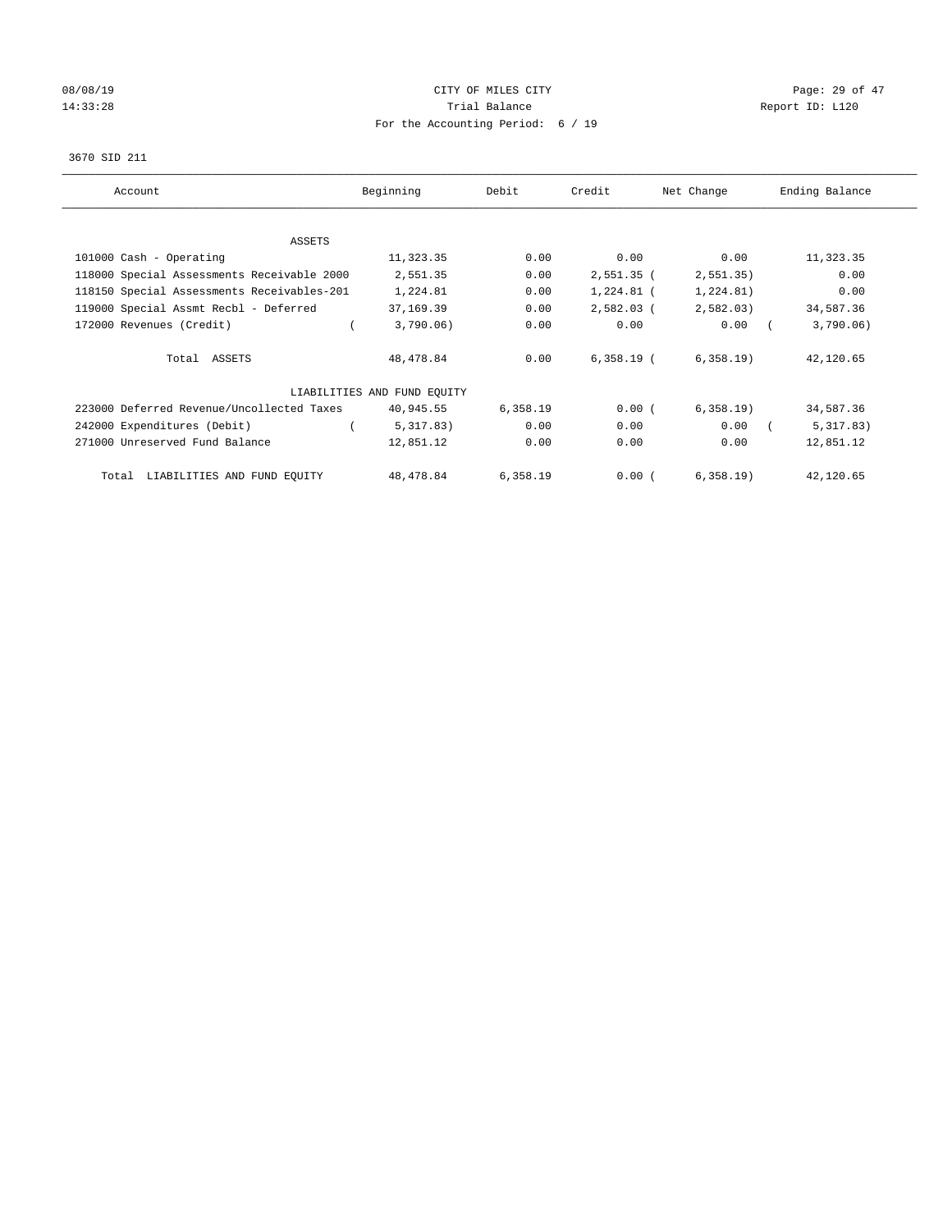# 08/08/19 Page: 29 of 47 14:33:28 Report ID: L120 For the Accounting Period: 6 / 19

#### 3670 SID 211

| Account                                    | Beginning                   | Debit    | Credit       | Net Change | Ending Balance |
|--------------------------------------------|-----------------------------|----------|--------------|------------|----------------|
|                                            |                             |          |              |            |                |
| ASSETS                                     |                             |          |              |            |                |
| 101000 Cash - Operating                    | 11,323.35                   | 0.00     | 0.00         | 0.00       | 11,323.35      |
| 118000 Special Assessments Receivable 2000 | 2,551.35                    | 0.00     | $2,551.35$ ( | 2, 551.35) | 0.00           |
| 118150 Special Assessments Receivables-201 | 1,224.81                    | 0.00     | 1,224.81 (   | 1,224.81)  | 0.00           |
| 119000 Special Assmt Recbl - Deferred      | 37,169.39                   | 0.00     | $2,582.03$ ( | 2,582.03)  | 34,587.36      |
| 172000 Revenues (Credit)                   | 3,790.06)                   | 0.00     | 0.00         | 0.00       | 3,790.06)      |
| Total ASSETS                               | 48,478.84                   | 0.00     | $6,358.19$ ( | 6,358.19   | 42,120.65      |
|                                            | LIABILITIES AND FUND EQUITY |          |              |            |                |
| 223000 Deferred Revenue/Uncollected Taxes  | 40,945.55                   | 6,358.19 | 0.00(        | 6,358.19   | 34,587.36      |
| 242000 Expenditures (Debit)                | 5,317.83)                   | 0.00     | 0.00         | 0.00       | 5,317.83)      |
| 271000 Unreserved Fund Balance             | 12,851.12                   | 0.00     | 0.00         | 0.00       | 12,851.12      |
| Total LIABILITIES AND FUND EQUITY          | 48,478.84                   | 6,358.19 | 0.00(        | 6,358.19   | 42,120.65      |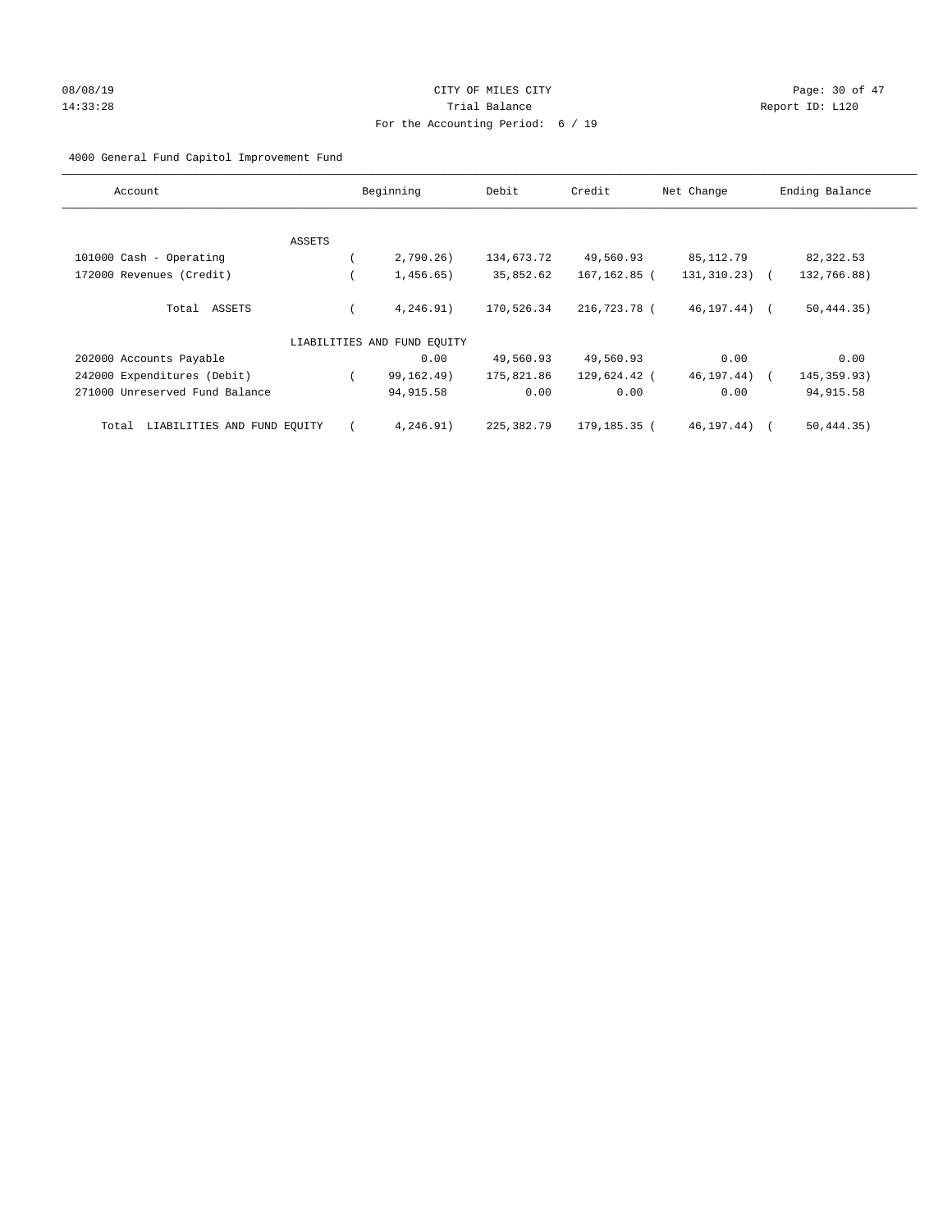# 08/08/19 Page: 30 of 47 14:33:28 Report ID: L120 For the Accounting Period: 6 / 19

## 4000 General Fund Capitol Improvement Fund

| Account                              |        | Beginning                   | Debit      | Credit       | Net Change        | Ending Balance |
|--------------------------------------|--------|-----------------------------|------------|--------------|-------------------|----------------|
|                                      |        |                             |            |              |                   |                |
|                                      | ASSETS |                             |            |              |                   |                |
| 101000 Cash - Operating              |        | 2,790.26)                   | 134,673.72 | 49,560.93    | 85,112.79         | 82,322.53      |
| 172000 Revenues (Credit)             |        | 1,456.65)                   | 35,852.62  | 167,162.85 ( | $131, 310.23)$ (  | 132,766.88)    |
| Total ASSETS                         |        | 4,246.91)                   | 170,526.34 | 216,723.78 ( | $46, 197, 44$ ) ( | 50, 444.35)    |
|                                      |        | LIABILITIES AND FUND EQUITY |            |              |                   |                |
| 202000 Accounts Payable              |        | 0.00                        | 49,560.93  | 49,560.93    | 0.00              | 0.00           |
| 242000 Expenditures (Debit)          |        | 99,162.49)                  | 175,821.86 | 129,624.42 ( | 46, 197. 44)      | 145, 359.93)   |
| 271000 Unreserved Fund Balance       |        | 94, 915.58                  | 0.00       | 0.00         | 0.00              | 94, 915.58     |
| LIABILITIES AND FUND EQUITY<br>Total |        | 4,246.91)                   | 225,382.79 | 179,185.35 ( | 46,197.44)        | 50, 444.35)    |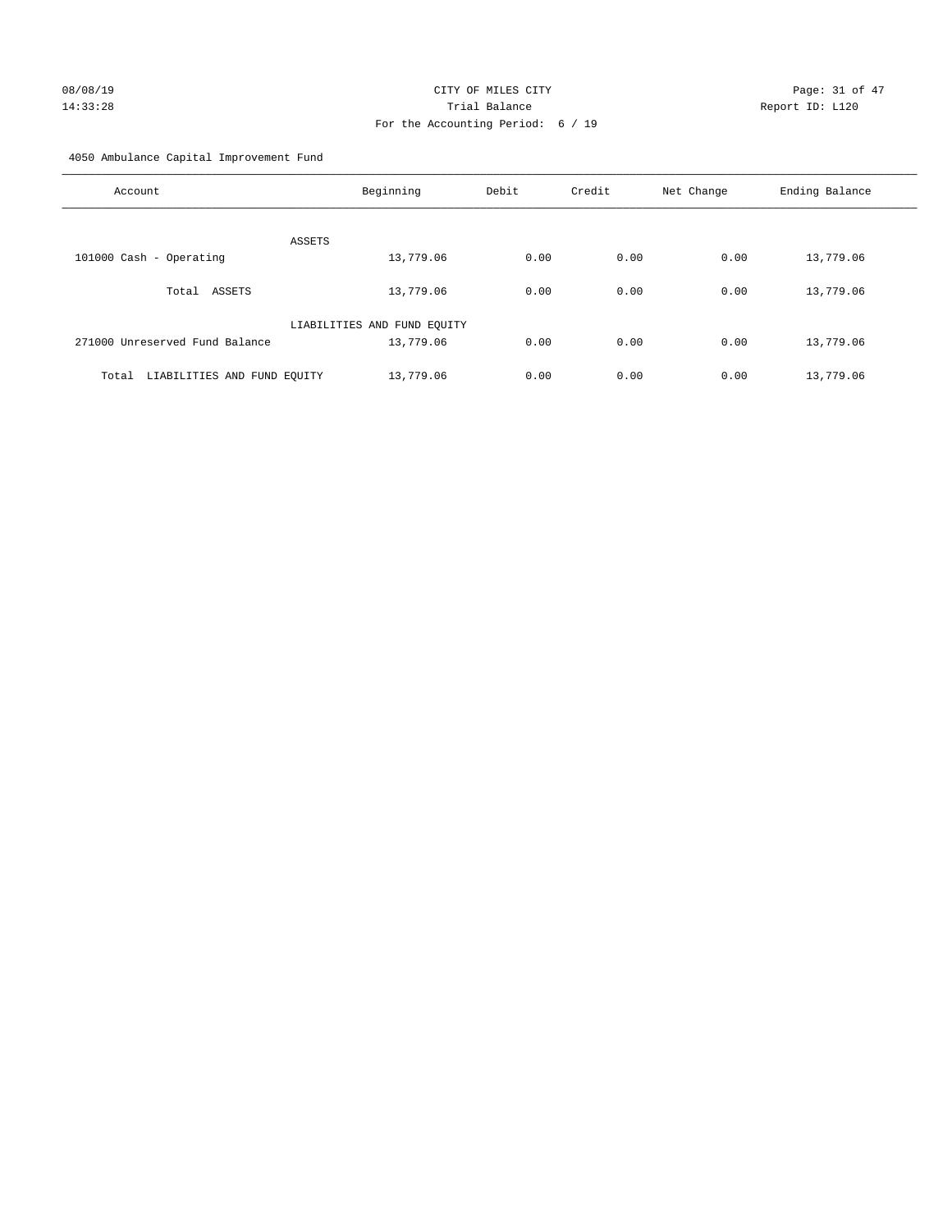# 08/08/19 Page: 31 of 47 14:33:28 Trial Balance Report ID: L120 For the Accounting Period: 6 / 19

4050 Ambulance Capital Improvement Fund

| Account                              | Beginning                   | Debit | Credit | Net Change | Ending Balance |
|--------------------------------------|-----------------------------|-------|--------|------------|----------------|
| ASSETS                               |                             |       |        |            |                |
| 101000 Cash - Operating              | 13,779.06                   | 0.00  | 0.00   | 0.00       | 13,779.06      |
| ASSETS<br>Total                      | 13,779.06                   | 0.00  | 0.00   | 0.00       | 13,779.06      |
|                                      | LIABILITIES AND FUND EQUITY |       |        |            |                |
| 271000 Unreserved Fund Balance       | 13,779.06                   | 0.00  | 0.00   | 0.00       | 13,779.06      |
| LIABILITIES AND FUND EQUITY<br>Total | 13,779.06                   | 0.00  | 0.00   | 0.00       | 13,779.06      |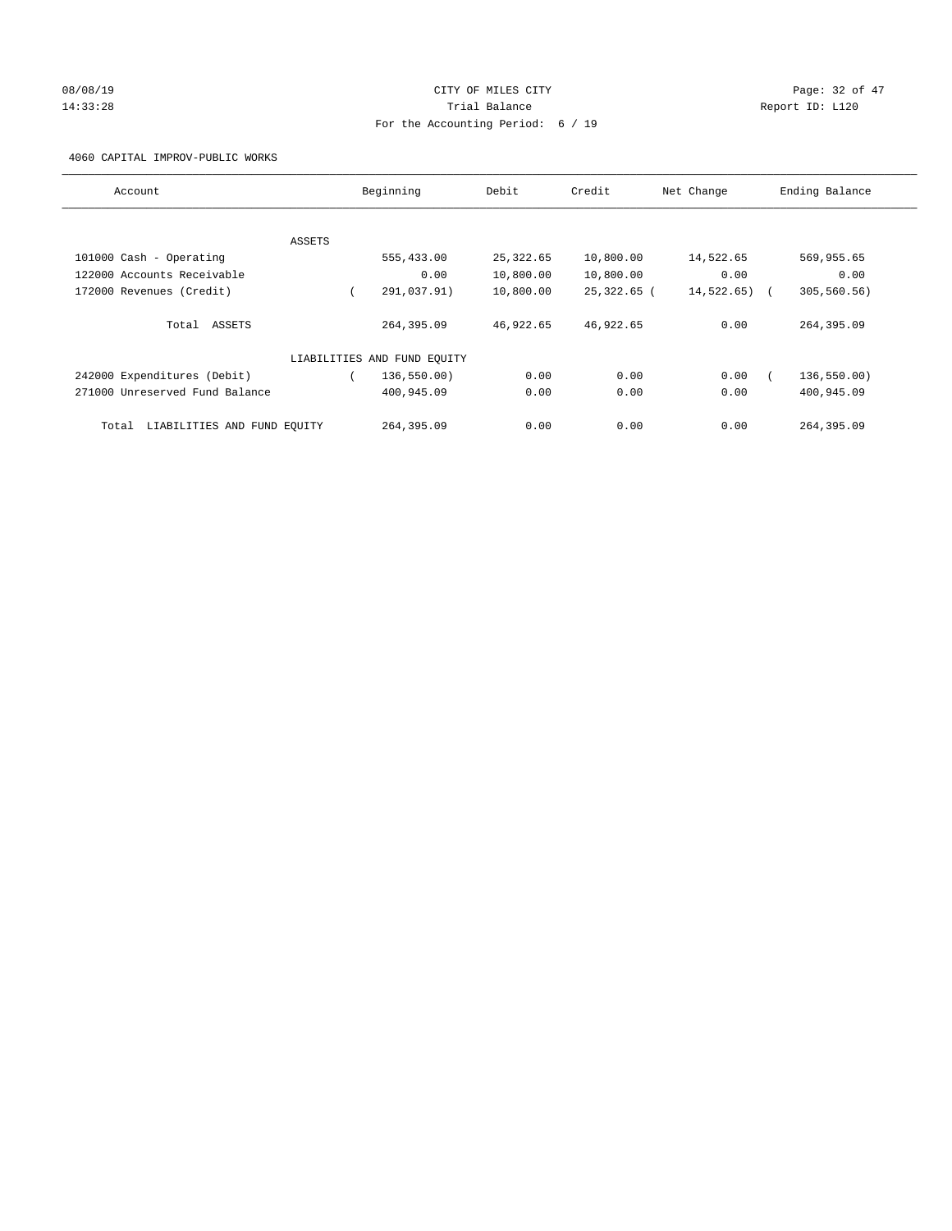# 08/08/19 Page: 32 of 47 14:33:28 Report ID: L120 For the Accounting Period: 6 / 19

## 4060 CAPITAL IMPROV-PUBLIC WORKS

| Account                              |        | Beginning                   | Debit     | Credit      | Net Change | Ending Balance |
|--------------------------------------|--------|-----------------------------|-----------|-------------|------------|----------------|
|                                      |        |                             |           |             |            |                |
|                                      | ASSETS |                             |           |             |            |                |
| 101000 Cash - Operating              |        | 555,433.00                  | 25,322.65 | 10,800.00   | 14,522.65  | 569,955.65     |
| 122000 Accounts Receivable           |        | 0.00                        | 10,800.00 | 10,800.00   | 0.00       | 0.00           |
| 172000 Revenues (Credit)             |        | 291,037.91)                 | 10,800.00 | 25,322.65 ( | 14,522.65) | 305, 560.56)   |
| Total ASSETS                         |        | 264,395.09                  | 46,922.65 | 46,922.65   | 0.00       | 264,395.09     |
|                                      |        | LIABILITIES AND FUND EQUITY |           |             |            |                |
| 242000 Expenditures (Debit)          |        | 136, 550.00)                | 0.00      | 0.00        | 0.00       | 136,550.00)    |
| 271000 Unreserved Fund Balance       |        | 400,945.09                  | 0.00      | 0.00        | 0.00       | 400,945.09     |
| LIABILITIES AND FUND EQUITY<br>Total |        | 264,395.09                  | 0.00      | 0.00        | 0.00       | 264,395.09     |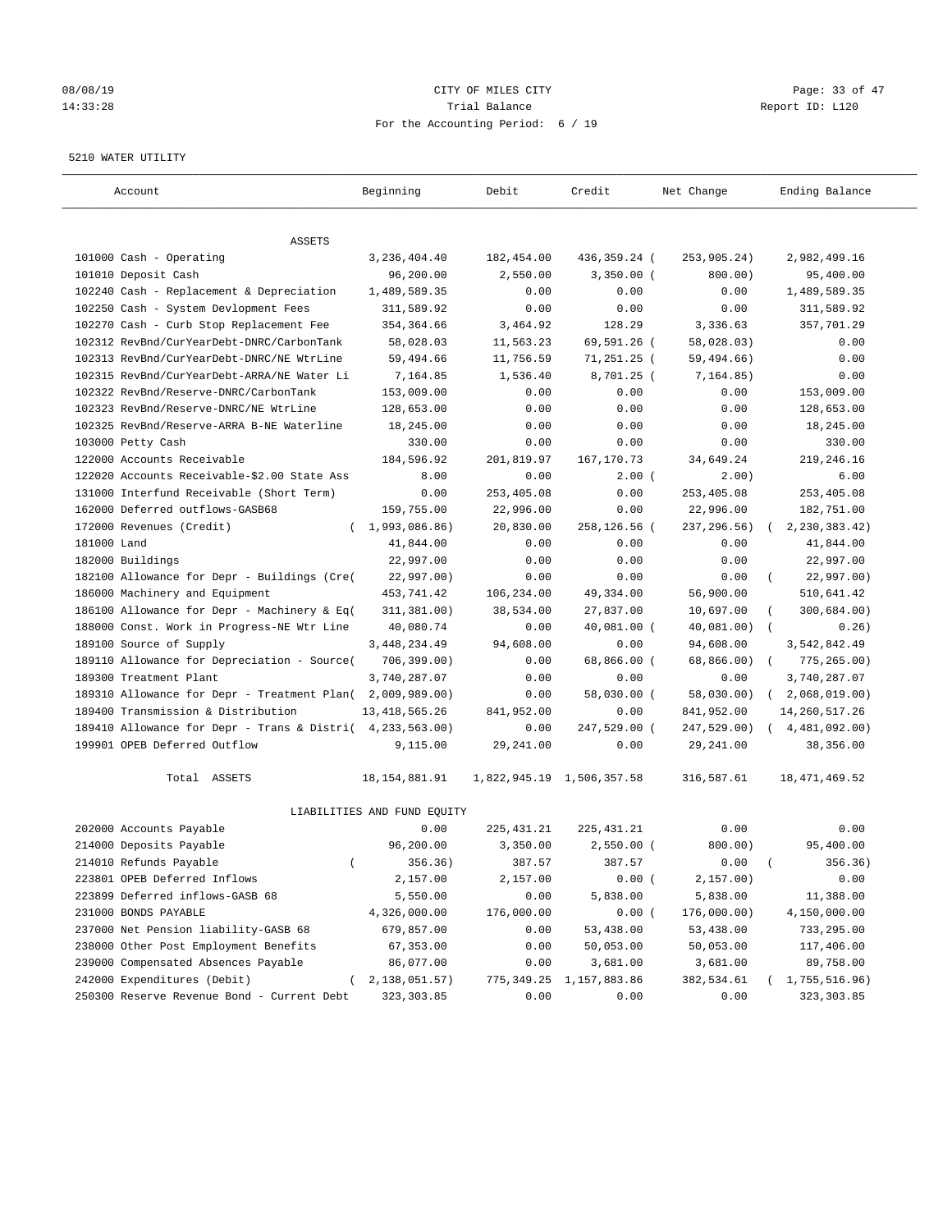## 08/08/19 Page: 33 of 47 14:33:28 Trial Balance Report ID: L120 For the Accounting Period: 6 / 19

#### 5210 WATER UTILITY

| Account                                                   | Beginning                   | Debit       | Credit                    | Net Change   | Ending Balance             |
|-----------------------------------------------------------|-----------------------------|-------------|---------------------------|--------------|----------------------------|
| <b>ASSETS</b>                                             |                             |             |                           |              |                            |
| 101000 Cash - Operating                                   | 3,236,404.40                | 182,454.00  | 436,359.24 (              | 253,905.24)  | 2,982,499.16               |
| 101010 Deposit Cash                                       | 96,200.00                   | 2,550.00    | $3,350.00$ (              | 800.00)      | 95,400.00                  |
| 102240 Cash - Replacement & Depreciation                  | 1,489,589.35                | 0.00        | 0.00                      | 0.00         | 1,489,589.35               |
| 102250 Cash - System Devlopment Fees                      | 311,589.92                  | 0.00        | 0.00                      | 0.00         | 311,589.92                 |
| 102270 Cash - Curb Stop Replacement Fee                   | 354, 364.66                 | 3,464.92    | 128.29                    | 3,336.63     | 357,701.29                 |
| 102312 RevBnd/CurYearDebt-DNRC/CarbonTank                 | 58,028.03                   | 11,563.23   | 69,591.26 (               | 58,028.03)   | 0.00                       |
| 102313 RevBnd/CurYearDebt-DNRC/NE WtrLine                 | 59,494.66                   | 11,756.59   | 71,251.25 (               | 59,494.66)   | 0.00                       |
| 102315 RevBnd/CurYearDebt-ARRA/NE Water Li                | 7,164.85                    | 1,536.40    | 8,701.25 (                | 7, 164.85)   | 0.00                       |
| 102322 RevBnd/Reserve-DNRC/CarbonTank                     | 153,009.00                  | 0.00        | 0.00                      | 0.00         | 153,009.00                 |
| 102323 RevBnd/Reserve-DNRC/NE WtrLine                     | 128,653.00                  | 0.00        | 0.00                      | 0.00         | 128,653.00                 |
| 102325 RevBnd/Reserve-ARRA B-NE Waterline                 | 18,245.00                   | 0.00        | 0.00                      | 0.00         | 18,245.00                  |
| 103000 Petty Cash                                         | 330.00                      | 0.00        | 0.00                      | 0.00         | 330.00                     |
| 122000 Accounts Receivable                                | 184,596.92                  | 201,819.97  | 167, 170.73               | 34,649.24    | 219,246.16                 |
| 122020 Accounts Receivable-\$2.00 State Ass               | 8.00                        | 0.00        | $2.00$ (                  | 2.00)        | 6.00                       |
| 131000 Interfund Receivable (Short Term)                  | 0.00                        | 253,405.08  | 0.00                      | 253,405.08   | 253,405.08                 |
| 162000 Deferred outflows-GASB68                           | 159,755.00                  | 22,996.00   | 0.00                      | 22,996.00    | 182,751.00                 |
| 172000 Revenues (Credit)                                  | (1,993,086.86)              | 20,830.00   | 258,126.56 (              | 237, 296.56) | 2, 230, 383.42)            |
| 181000 Land                                               | 41,844.00                   | 0.00        | 0.00                      | 0.00         | 41,844.00                  |
| 182000 Buildings                                          | 22,997.00                   | 0.00        | 0.00                      | 0.00         | 22,997.00                  |
| 182100 Allowance for Depr - Buildings (Cre(               | 22,997.00)                  | 0.00        | 0.00                      | 0.00         | 22,997.00)                 |
| 186000 Machinery and Equipment                            | 453,741.42                  | 106,234.00  | 49,334.00                 | 56,900.00    | 510,641.42                 |
| 186100 Allowance for Depr - Machinery & Eq(               | 311,381.00)                 | 38,534.00   | 27,837.00                 | 10,697.00    | 300,684.00)                |
| 188000 Const. Work in Progress-NE Wtr Line                | 40,080.74                   | 0.00        | 40,081.00 (               | 40,081.00)   | 0.26)                      |
| 189100 Source of Supply                                   | 3, 448, 234.49              | 94,608.00   | 0.00                      | 94,608.00    | 3,542,842.49               |
| 189110 Allowance for Depreciation - Source(               | 706, 399.00)                | 0.00        | 68,866.00 (               | 68,866.00)   | 775, 265.00)<br>$\sqrt{2}$ |
| 189300 Treatment Plant                                    | 3,740,287.07                | 0.00        | 0.00                      | 0.00         | 3,740,287.07               |
| 189310 Allowance for Depr - Treatment Plan(               | 2,009,989.00)               | 0.00        | 58,030.00 (               | 58,030.00)   | 2,068,019.00)<br>$\left($  |
| 189400 Transmission & Distribution                        | 13, 418, 565.26             | 841,952.00  | 0.00                      | 841,952.00   | 14,260,517.26              |
| 189410 Allowance for Depr - Trans & Distri( 4,233,563.00) |                             | 0.00        | 247,529.00 (              | 247,529.00)  | (4, 481, 092, 00)          |
| 199901 OPEB Deferred Outflow                              | 9,115.00                    | 29, 241.00  | 0.00                      | 29, 241.00   | 38,356.00                  |
| Total ASSETS                                              | 18, 154, 881. 91            |             | 1,822,945.19 1,506,357.58 | 316,587.61   | 18, 471, 469.52            |
|                                                           | LIABILITIES AND FUND EQUITY |             |                           |              |                            |
| 202000 Accounts Payable                                   | 0.00                        | 225, 431.21 | 225, 431.21               | 0.00         | 0.00                       |
| 214000 Deposits Payable                                   | 96,200.00                   | 3,350.00    | $2,550.00$ (              | 800.00)      | 95,400.00                  |
| 214010 Refunds Payable<br>$\left($                        | 356.36)                     | 387.57      | 387.57                    | 0.00         | 356.36)                    |
| 223801 OPEB Deferred Inflows                              | 2,157.00                    | 2,157.00    | 0.00(                     | 2,157.00)    | 0.00                       |
| 223899 Deferred inflows-GASB 68                           | 5,550.00                    | 0.00        | 5,838.00                  | 5,838.00     | 11,388.00                  |
| 231000 BONDS PAYABLE                                      | 4,326,000.00                | 176,000.00  | 0.00(                     | 176,000.00)  | 4,150,000.00               |
| 237000 Net Pension liability-GASB 68                      | 679,857.00                  | 0.00        | 53,438.00                 | 53,438.00    | 733,295.00                 |
| 238000 Other Post Employment Benefits                     | 67,353.00                   | 0.00        | 50,053.00                 | 50,053.00    | 117,406.00                 |
| 239000 Compensated Absences Payable                       | 86,077.00                   | 0.00        | 3,681.00                  | 3,681.00     | 89,758.00                  |
| 242000 Expenditures (Debit)<br>$\left($                   | 2,138,051.57)               | 775, 349.25 | 1,157,883.86              | 382,534.61   | 1,755,516.96)              |
| 250300 Reserve Revenue Bond - Current Debt                | 323, 303.85                 | 0.00        | 0.00                      | 0.00         | 323, 303.85                |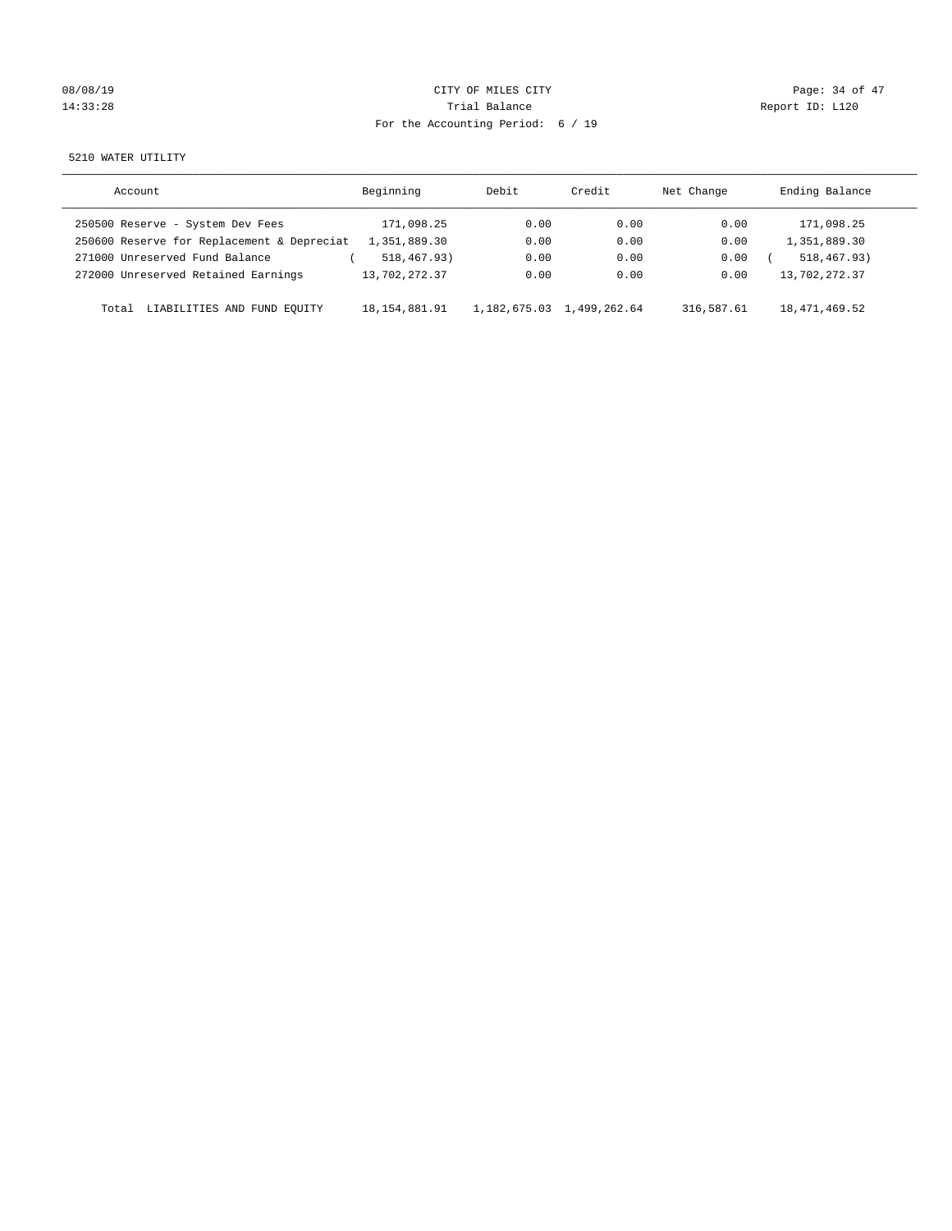# 08/08/19 Page: 34 of 47 14:33:28 Report ID: L120 For the Accounting Period: 6 / 19

5210 WATER UTILITY

| Account                                    | Beginning        | Debit        | Credit       | Net Change | Ending Balance |
|--------------------------------------------|------------------|--------------|--------------|------------|----------------|
| 250500 Reserve - System Dev Fees           | 171,098.25       | 0.00         | 0.00         | 0.00       | 171,098.25     |
| 250600 Reserve for Replacement & Depreciat | 1,351,889.30     | 0.00         | 0.00         | 0.00       | 1,351,889.30   |
| 271000 Unreserved Fund Balance             | 518,467.93)      | 0.00         | 0.00         | 0.00       | 518, 467, 93)  |
| 272000 Unreserved Retained Earnings        | 13,702,272.37    | 0.00         | 0.00         | 0.00       | 13,702,272.37  |
| LIABILITIES AND FUND EQUITY<br>Total       | 18, 154, 881, 91 | 1,182,675.03 | 1,499,262.64 | 316,587.61 | 18,471,469.52  |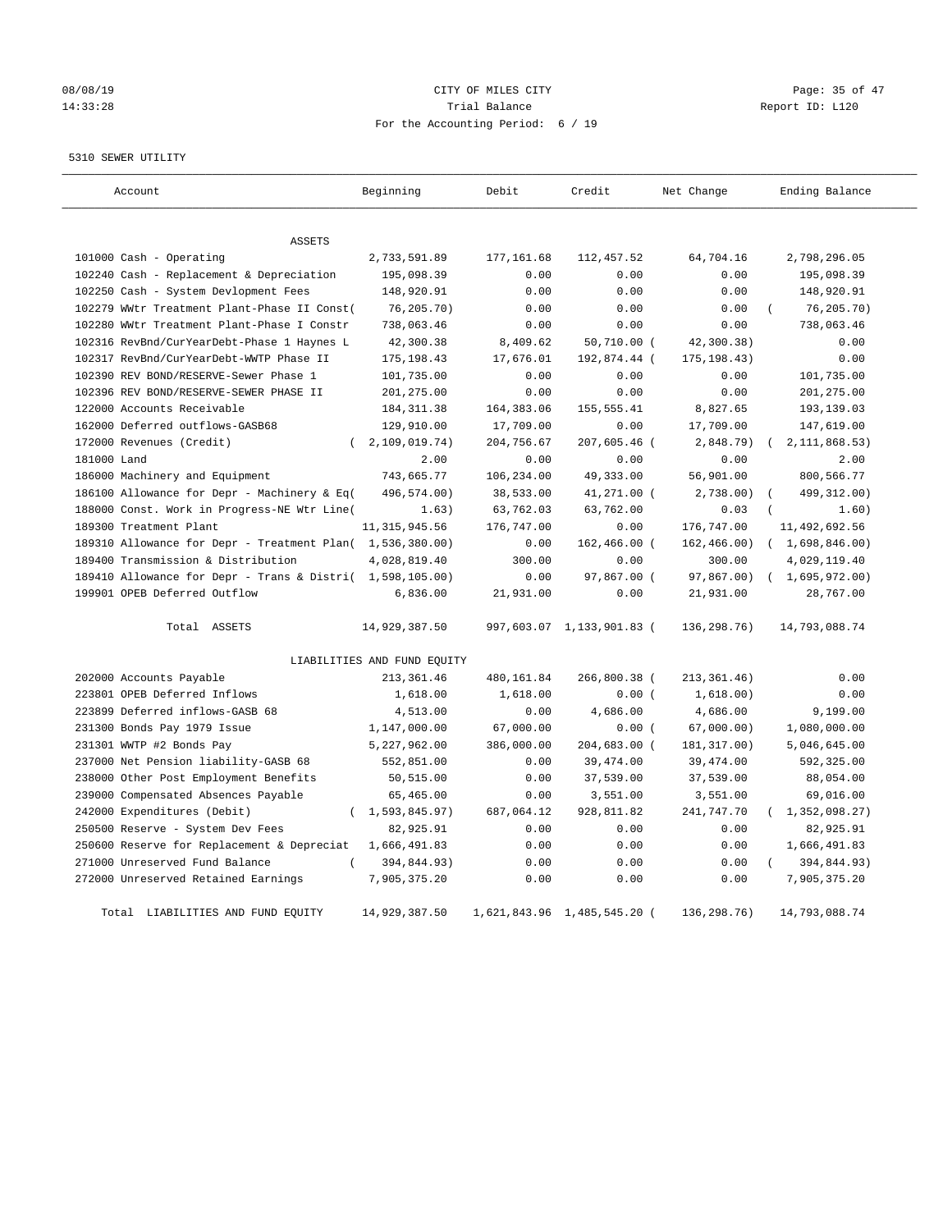# 08/08/19 Page: 35 of 47 14:33:28 Report ID: L120 For the Accounting Period: 6 / 19

5310 SEWER UTILITY

| Account                                                   | Beginning                   | Debit       | Credit                      | Net Change   | Ending Balance          |
|-----------------------------------------------------------|-----------------------------|-------------|-----------------------------|--------------|-------------------------|
|                                                           |                             |             |                             |              |                         |
| ASSETS                                                    |                             |             |                             |              |                         |
| 101000 Cash - Operating                                   | 2,733,591.89                | 177, 161.68 | 112,457.52                  | 64,704.16    | 2,798,296.05            |
| 102240 Cash - Replacement & Depreciation                  | 195,098.39                  | 0.00        | 0.00                        | 0.00         | 195,098.39              |
| 102250 Cash - System Devlopment Fees                      | 148,920.91                  | 0.00        | 0.00                        | 0.00         | 148,920.91              |
| 102279 WWtr Treatment Plant-Phase II Const(               | 76, 205.70)                 | 0.00        | 0.00                        | 0.00         | 76, 205.70)             |
| 102280 WWtr Treatment Plant-Phase I Constr                | 738,063.46                  | 0.00        | 0.00                        | 0.00         | 738,063.46              |
| 102316 RevBnd/CurYearDebt-Phase 1 Haynes L                | 42,300.38                   | 8,409.62    | 50,710.00 (                 | 42,300.38)   | 0.00                    |
| 102317 RevBnd/CurYearDebt-WWTP Phase II                   | 175, 198.43                 | 17,676.01   | 192,874.44 (                | 175, 198.43) | 0.00                    |
| 102390 REV BOND/RESERVE-Sewer Phase 1                     | 101,735.00                  | 0.00        | 0.00                        | 0.00         | 101,735.00              |
| 102396 REV BOND/RESERVE-SEWER PHASE II                    | 201,275.00                  | 0.00        | 0.00                        | 0.00         | 201, 275.00             |
| 122000 Accounts Receivable                                | 184, 311.38                 | 164, 383.06 | 155, 555.41                 | 8,827.65     | 193,139.03              |
| 162000 Deferred outflows-GASB68                           | 129,910.00                  | 17,709.00   | 0.00                        | 17,709.00    | 147,619.00              |
| 172000 Revenues (Credit)                                  | 2,109,019.74)               | 204,756.67  | 207,605.46 (                | 2,848.79)    | 2, 111, 868.53)         |
| 181000 Land                                               | 2.00                        | 0.00        | 0.00                        | 0.00         | 2.00                    |
| 186000 Machinery and Equipment                            | 743,665.77                  | 106,234.00  | 49,333.00                   | 56,901.00    | 800,566.77              |
| 186100 Allowance for Depr - Machinery & Eq(               | 496,574.00)                 | 38,533.00   | 41,271.00 (                 | $2,738.00$ ) | 499, 312.00)            |
| 188000 Const. Work in Progress-NE Wtr Line(               | 1.63)                       | 63,762.03   | 63,762.00                   | 0.03         | 1.60)                   |
| 189300 Treatment Plant                                    | 11, 315, 945.56             | 176,747.00  | 0.00                        | 176,747.00   | 11,492,692.56           |
| 189310 Allowance for Depr - Treatment Plan( 1,536,380.00) |                             | 0.00        | 162,466.00 (                | 162, 466.00) | (1,698,846.00)          |
| 189400 Transmission & Distribution                        | 4,028,819.40                | 300.00      | 0.00                        | 300.00       | 4,029,119.40            |
| 189410 Allowance for Depr - Trans & Distri( 1,598,105.00) |                             | 0.00        | 97,867.00 (                 | 97,867.00)   | (1,695,972.00)          |
| 199901 OPEB Deferred Outflow                              | 6,836.00                    | 21,931.00   | 0.00                        | 21,931.00    | 28,767.00               |
| Total ASSETS                                              | 14,929,387.50               |             | 997,603.07 1,133,901.83 (   | 136,298.76)  | 14,793,088.74           |
|                                                           | LIABILITIES AND FUND EQUITY |             |                             |              |                         |
| 202000 Accounts Payable                                   | 213, 361.46                 | 480,161.84  | 266,800.38 (                | 213, 361.46) | 0.00                    |
| 223801 OPEB Deferred Inflows                              | 1,618.00                    | 1,618.00    | 0.00(                       | 1,618.00)    | 0.00                    |
| 223899 Deferred inflows-GASB 68                           | 4,513.00                    | 0.00        | 4,686.00                    | 4,686.00     | 9,199.00                |
| 231300 Bonds Pay 1979 Issue                               | 1,147,000.00                | 67,000.00   | 0.00(                       | 67,000.00)   | 1,080,000.00            |
| 231301 WWTP #2 Bonds Pay                                  | 5,227,962.00                | 386,000.00  | 204,683.00 (                | 181, 317.00) | 5,046,645.00            |
| 237000 Net Pension liability-GASB 68                      | 552,851.00                  | 0.00        | 39,474.00                   | 39, 474.00   | 592,325.00              |
| 238000 Other Post Employment Benefits                     | 50,515.00                   | 0.00        | 37,539.00                   | 37,539.00    | 88,054.00               |
| 239000 Compensated Absences Payable                       | 65,465.00                   | 0.00        | 3,551.00                    | 3,551.00     | 69,016.00               |
| 242000 Expenditures (Debit)<br>$\left($                   | 1,593,845.97)               | 687,064.12  | 928,811.82                  | 241,747.70   | 1,352,098.27)           |
| 250500 Reserve - System Dev Fees                          | 82,925.91                   | 0.00        | 0.00                        | 0.00         | 82,925.91               |
| 250600 Reserve for Replacement & Depreciat                | 1,666,491.83                | 0.00        | 0.00                        | 0.00         | 1,666,491.83            |
| 271000 Unreserved Fund Balance                            | 394,844.93)                 | 0.00        | 0.00                        | 0.00         | 394,844.93)<br>$\left($ |
| 272000 Unreserved Retained Earnings                       | 7,905,375.20                | 0.00        | 0.00                        | 0.00         | 7,905,375.20            |
| Total LIABILITIES AND FUND EQUITY                         | 14,929,387.50               |             | 1,621,843.96 1,485,545.20 ( | 136,298.76)  | 14,793,088.74           |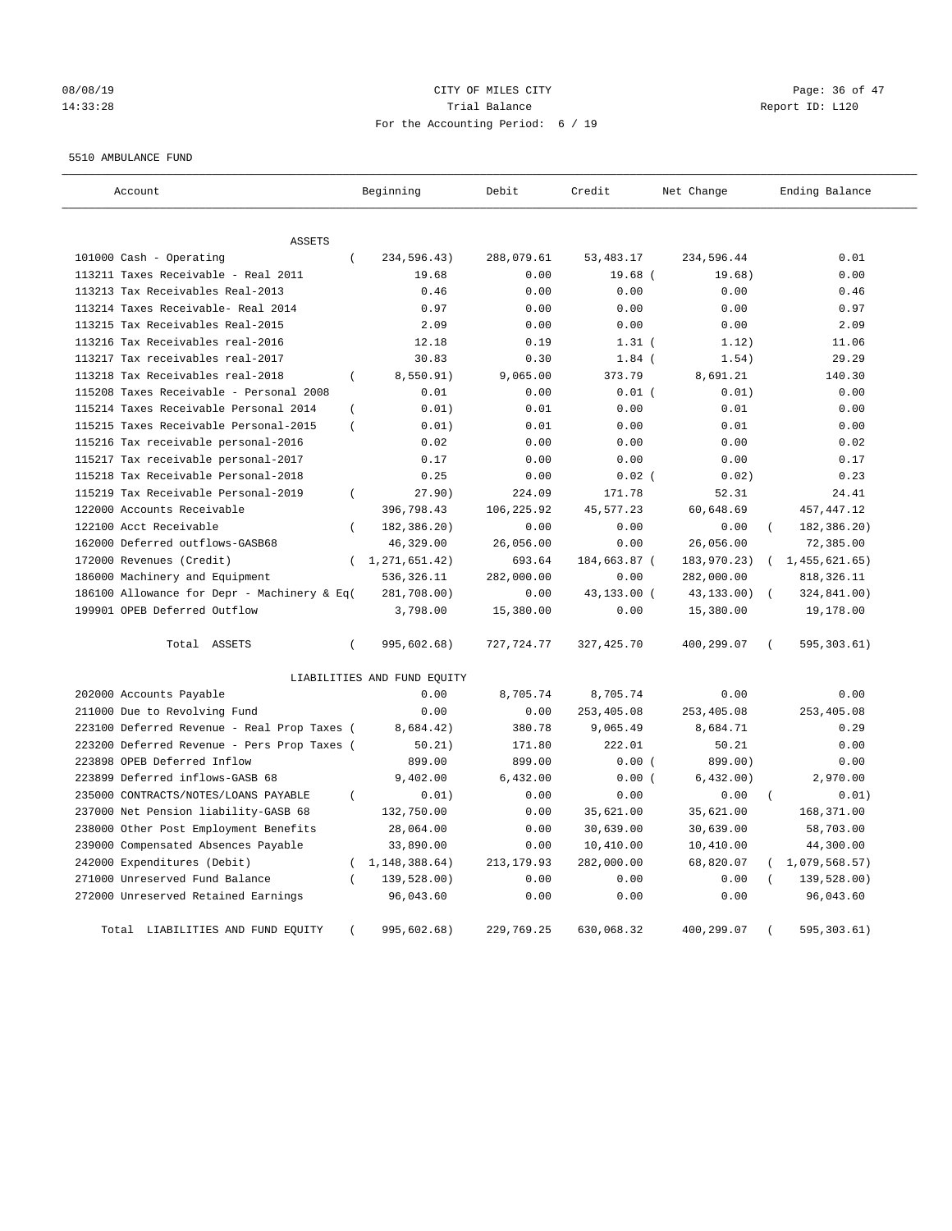# 08/08/19 Page: 36 of 47 14:33:28 Trial Balance Report ID: L120 For the Accounting Period: 6 / 19

#### 5510 AMBULANCE FUND

| Account                                     | Beginning                   | Debit       | Credit       | Net Change  | Ending Balance           |
|---------------------------------------------|-----------------------------|-------------|--------------|-------------|--------------------------|
|                                             |                             |             |              |             |                          |
| <b>ASSETS</b>                               |                             |             |              |             |                          |
| 101000 Cash - Operating                     | $\left($<br>234,596.43)     | 288,079.61  | 53, 483. 17  | 234,596.44  | 0.01                     |
| 113211 Taxes Receivable - Real 2011         | 19.68                       | 0.00        | $19.68$ (    | 19.68)      | 0.00                     |
| 113213 Tax Receivables Real-2013            | 0.46                        | 0.00        | 0.00         | 0.00        | 0.46                     |
| 113214 Taxes Receivable- Real 2014          | 0.97                        | 0.00        | 0.00         | 0.00        | 0.97                     |
| 113215 Tax Receivables Real-2015            | 2.09                        | 0.00        | 0.00         | 0.00        | 2.09                     |
| 113216 Tax Receivables real-2016            | 12.18                       | 0.19        | $1.31$ (     | 1.12)       | 11.06                    |
| 113217 Tax receivables real-2017            | 30.83                       | 0.30        | $1.84$ (     | 1.54)       | 29.29                    |
| 113218 Tax Receivables real-2018            | 8,550.91)<br>$\left($       | 9,065.00    | 373.79       | 8,691.21    | 140.30                   |
| 115208 Taxes Receivable - Personal 2008     | 0.01                        | 0.00        | $0.01$ (     | 0.01)       | 0.00                     |
| 115214 Taxes Receivable Personal 2014       | 0.01)<br>$\overline{(\ }$   | 0.01        | 0.00         | 0.01        | 0.00                     |
| 115215 Taxes Receivable Personal-2015       | 0.01)<br>$\left($           | 0.01        | 0.00         | 0.01        | 0.00                     |
| 115216 Tax receivable personal-2016         | 0.02                        | 0.00        | 0.00         | 0.00        | 0.02                     |
| 115217 Tax receivable personal-2017         | 0.17                        | 0.00        | 0.00         | 0.00        | 0.17                     |
| 115218 Tax Receivable Personal-2018         | 0.25                        | 0.00        | $0.02$ (     | 0.02)       | 0.23                     |
| 115219 Tax Receivable Personal-2019         | 27.90)<br>$\left($          | 224.09      | 171.78       | 52.31       | 24.41                    |
| 122000 Accounts Receivable                  | 396,798.43                  | 106,225.92  | 45,577.23    | 60,648.69   | 457, 447.12              |
| 122100 Acct Receivable                      | 182,386.20)<br>$\left($     | 0.00        | 0.00         | 0.00        | 182,386.20)              |
| 162000 Deferred outflows-GASB68             | 46,329.00                   | 26,056.00   | 0.00         | 26,056.00   | 72,385.00                |
| 172000 Revenues (Credit)                    | 1,271,651.42)               | 693.64      | 184,663.87 ( | 183,970.23) | (1, 455, 621, 65)        |
| 186000 Machinery and Equipment              | 536,326.11                  | 282,000.00  | 0.00         | 282,000.00  | 818, 326.11              |
| 186100 Allowance for Depr - Machinery & Eq( | 281,708.00)                 | 0.00        | 43,133.00 (  | 43,133.00)  | 324,841.00)              |
| 199901 OPEB Deferred Outflow                | 3,798.00                    | 15,380.00   | 0.00         | 15,380.00   | 19,178.00                |
| Total ASSETS                                | $\left($<br>995,602.68)     | 727,724.77  | 327,425.70   | 400,299.07  | 595, 303.61)<br>$\left($ |
|                                             | LIABILITIES AND FUND EQUITY |             |              |             |                          |
| 202000 Accounts Payable                     | 0.00                        | 8,705.74    | 8,705.74     | 0.00        | 0.00                     |
| 211000 Due to Revolving Fund                | 0.00                        | 0.00        | 253,405.08   | 253,405.08  | 253,405.08               |
| 223100 Deferred Revenue - Real Prop Taxes ( | 8,684.42)                   | 380.78      | 9,065.49     | 8,684.71    | 0.29                     |
| 223200 Deferred Revenue - Pers Prop Taxes ( | 50.21)                      | 171.80      | 222.01       | 50.21       | 0.00                     |
| 223898 OPEB Deferred Inflow                 | 899.00                      | 899.00      | 0.00(        | 899.00)     | 0.00                     |
| 223899 Deferred inflows-GASB 68             | 9,402.00                    | 6,432.00    | 0.00(        | 6,432.00)   | 2,970.00                 |
| 235000 CONTRACTS/NOTES/LOANS PAYABLE        | 0.01)<br>$\left($           | 0.00        | 0.00         | 0.00        | 0.01)<br>$\left($        |
| 237000 Net Pension liability-GASB 68        | 132,750.00                  | 0.00        | 35,621.00    | 35,621.00   | 168,371.00               |
| 238000 Other Post Employment Benefits       | 28,064.00                   | 0.00        | 30,639.00    | 30,639.00   | 58,703.00                |
| 239000 Compensated Absences Payable         | 33,890.00                   | 0.00        | 10,410.00    | 10,410.00   | 44,300.00                |
| 242000 Expenditures (Debit)                 | $\left($<br>1, 148, 388.64) | 213, 179.93 | 282,000.00   | 68,820.07   | 1,079,568.57)            |
| 271000 Unreserved Fund Balance              | 139,528.00)                 | 0.00        | 0.00         | 0.00        | 139,528.00)              |
| 272000 Unreserved Retained Earnings         | 96,043.60                   | 0.00        | 0.00         | 0.00        | 96,043.60                |
| Total LIABILITIES AND FUND EQUITY           | 995,602.68)                 | 229,769.25  | 630,068.32   | 400,299.07  | 595, 303.61)             |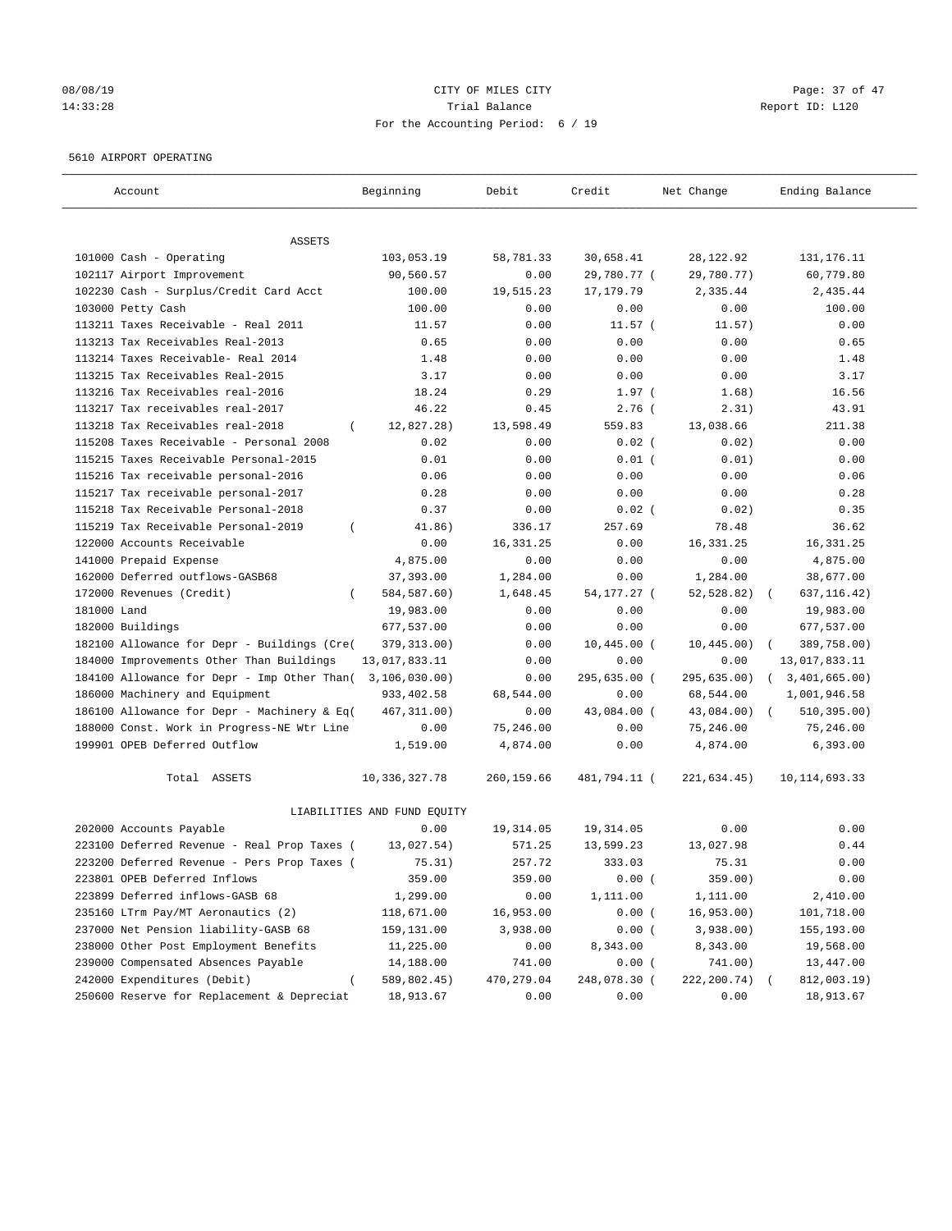## 08/08/19 Page: 37 of 47 14:33:28 Trial Balance Report ID: L120 For the Accounting Period: 6 / 19

#### 5610 AIRPORT OPERATING

| Account                                         | Beginning                   | Debit       | Credit        | Net Change   | Ending Balance             |
|-------------------------------------------------|-----------------------------|-------------|---------------|--------------|----------------------------|
| ASSETS                                          |                             |             |               |              |                            |
| 101000 Cash - Operating                         | 103,053.19                  | 58,781.33   | 30,658.41     | 28, 122.92   | 131, 176. 11               |
| 102117 Airport Improvement                      | 90,560.57                   | 0.00        | 29,780.77 (   | 29,780.77)   | 60,779.80                  |
| 102230 Cash - Surplus/Credit Card Acct          | 100.00                      | 19,515.23   | 17, 179.79    | 2,335.44     | 2,435.44                   |
| 103000 Petty Cash                               | 100.00                      | 0.00        | 0.00          | 0.00         | 100.00                     |
| 113211 Taxes Receivable - Real 2011             | 11.57                       | 0.00        | $11.57$ (     | 11.57)       | 0.00                       |
| 113213 Tax Receivables Real-2013                | 0.65                        | 0.00        | 0.00          | 0.00         | 0.65                       |
| 113214 Taxes Receivable- Real 2014              | 1.48                        | 0.00        | 0.00          | 0.00         | 1.48                       |
| 113215 Tax Receivables Real-2015                | 3.17                        | 0.00        | 0.00          | 0.00         | 3.17                       |
| 113216 Tax Receivables real-2016                | 18.24                       | 0.29        | $1.97$ (      | 1.68)        | 16.56                      |
| 113217 Tax receivables real-2017                | 46.22                       | 0.45        | $2.76$ (      | 2.31)        | 43.91                      |
| 113218 Tax Receivables real-2018<br>$\left($    | 12,827.28)                  | 13,598.49   | 559.83        | 13,038.66    | 211.38                     |
| 115208 Taxes Receivable - Personal 2008         | 0.02                        | 0.00        | $0.02$ (      | 0.02)        | 0.00                       |
| 115215 Taxes Receivable Personal-2015           | 0.01                        | 0.00        | $0.01$ (      | 0.01)        | 0.00                       |
| 115216 Tax receivable personal-2016             | 0.06                        | 0.00        | 0.00          | 0.00         | 0.06                       |
| 115217 Tax receivable personal-2017             | 0.28                        | 0.00        | 0.00          | 0.00         | 0.28                       |
| 115218 Tax Receivable Personal-2018             | 0.37                        | 0.00        | $0.02$ (      | 0.02)        | 0.35                       |
| 115219 Tax Receivable Personal-2019<br>$\left($ | 41.86)                      | 336.17      | 257.69        | 78.48        | 36.62                      |
| 122000 Accounts Receivable                      | 0.00                        | 16, 331.25  | 0.00          | 16, 331.25   | 16, 331.25                 |
| 141000 Prepaid Expense                          | 4,875.00                    | 0.00        | 0.00          | 0.00         | 4,875.00                   |
| 162000 Deferred outflows-GASB68                 | 37,393.00                   | 1,284.00    | 0.00          | 1,284.00     | 38,677.00                  |
| 172000 Revenues (Credit)                        | 584, 587.60)                | 1,648.45    | 54,177.27 (   | 52,528.82)   | 637, 116.42)               |
| 181000 Land                                     | 19,983.00                   | 0.00        | 0.00          | 0.00         | 19,983.00                  |
| 182000 Buildings                                | 677,537.00                  | 0.00        | 0.00          | 0.00         | 677,537.00                 |
| 182100 Allowance for Depr - Buildings (Cre(     | 379, 313.00)                | 0.00        | $10,445.00$ ( | 10, 445.00)  | 389,758.00)                |
| 184000 Improvements Other Than Buildings        | 13,017,833.11               | 0.00        | 0.00          | 0.00         | 13,017,833.11              |
| 184100 Allowance for Depr - Imp Other Than(     | 3,106,030.00)               | 0.00        | 295,635.00 (  | 295,635.00)  | 3,401,665.00)<br>$\left($  |
| 186000 Machinery and Equipment                  | 933, 402.58                 | 68,544.00   | 0.00          | 68,544.00    | 1,001,946.58               |
| 186100 Allowance for Depr - Machinery & Eq(     | 467, 311.00)                | 0.00        | 43,084.00 (   | 43,084.00)   | 510, 395.00)<br>$\sqrt{2}$ |
| 188000 Const. Work in Progress-NE Wtr Line      | 0.00                        | 75,246.00   | 0.00          | 75,246.00    | 75,246.00                  |
| 199901 OPEB Deferred Outflow                    | 1,519.00                    | 4,874.00    | 0.00          | 4,874.00     | 6,393.00                   |
| Total ASSETS                                    | 10,336,327.78               | 260,159.66  | 481,794.11 (  | 221,634.45)  | 10, 114, 693.33            |
|                                                 | LIABILITIES AND FUND EQUITY |             |               |              |                            |
| 202000 Accounts Payable                         | 0.00                        | 19,314.05   | 19,314.05     | 0.00         | 0.00                       |
| 223100 Deferred Revenue - Real Prop Taxes (     | 13,027.54)                  | 571.25      | 13,599.23     | 13,027.98    | 0.44                       |
| 223200 Deferred Revenue - Pers Prop Taxes (     | 75.31)                      | 257.72      | 333.03        | 75.31        | 0.00                       |
| 223801 OPEB Deferred Inflows                    | 359.00                      | 359.00      | 0.00(         | 359.00)      | 0.00                       |
| 223899 Deferred inflows-GASB 68                 | 1,299.00                    | 0.00        | 1,111.00      | 1,111.00     | 2,410.00                   |
| 235160 LTrm Pay/MT Aeronautics (2)              | 118,671.00                  | 16,953.00   | 0.00(         | 16, 953.00)  | 101,718.00                 |
| 237000 Net Pension liability-GASB 68            | 159,131.00                  | 3,938.00    | 0.00(         | 3,938.00)    | 155,193.00                 |
| 238000 Other Post Employment Benefits           | 11,225.00                   | 0.00        | 8,343.00      | 8,343.00     | 19,568.00                  |
| 239000 Compensated Absences Payable             | 14,188.00                   | 741.00      | 0.00(         | 741.00)      | 13,447.00                  |
| 242000 Expenditures (Debit)                     | 589,802.45)                 | 470, 279.04 | 248,078.30 (  | 222, 200.74) | 812,003.19)                |
| 250600 Reserve for Replacement & Depreciat      | 18,913.67                   | 0.00        | 0.00          | 0.00         | 18,913.67                  |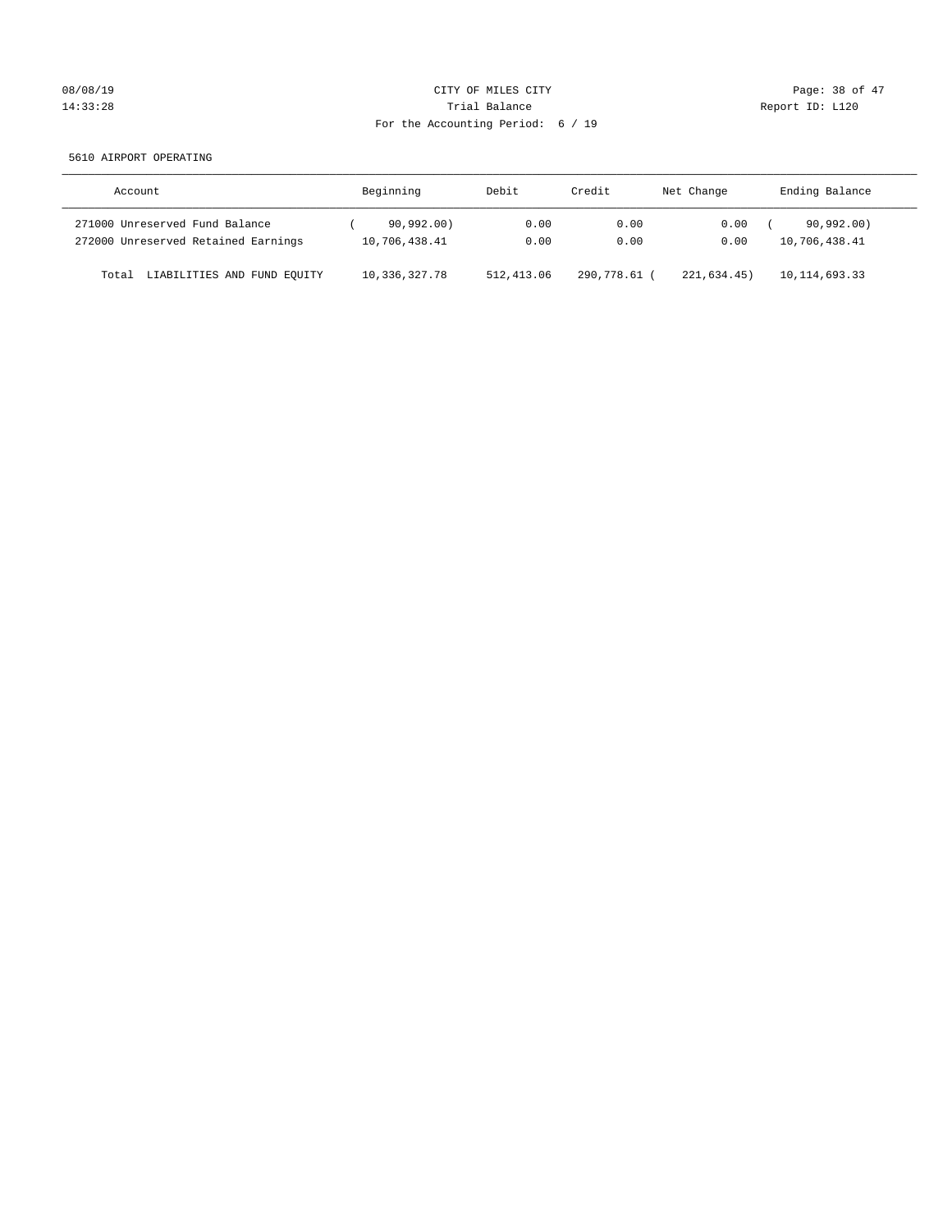# 08/08/19 Page: 38 of 47 14:33:28 Report ID: L120 For the Accounting Period: 6 / 19

5610 AIRPORT OPERATING

| Account                              | Beginning       | Debit       | Credit     | Net Change | Ending Balance  |
|--------------------------------------|-----------------|-------------|------------|------------|-----------------|
| 271000 Unreserved Fund Balance       | 90,992,00)      | 0.00        | 0.00       | 0.00       | 90,992,00)      |
| 272000 Unreserved Retained Earnings  | 10,706,438.41   | 0.00        | 0.00       | 0.00       | 10,706,438.41   |
| LIABILITIES AND FUND EQUITY<br>Total | 10, 336, 327.78 | 512, 413.06 | 290,778.61 | 221.634.45 | 10, 114, 693.33 |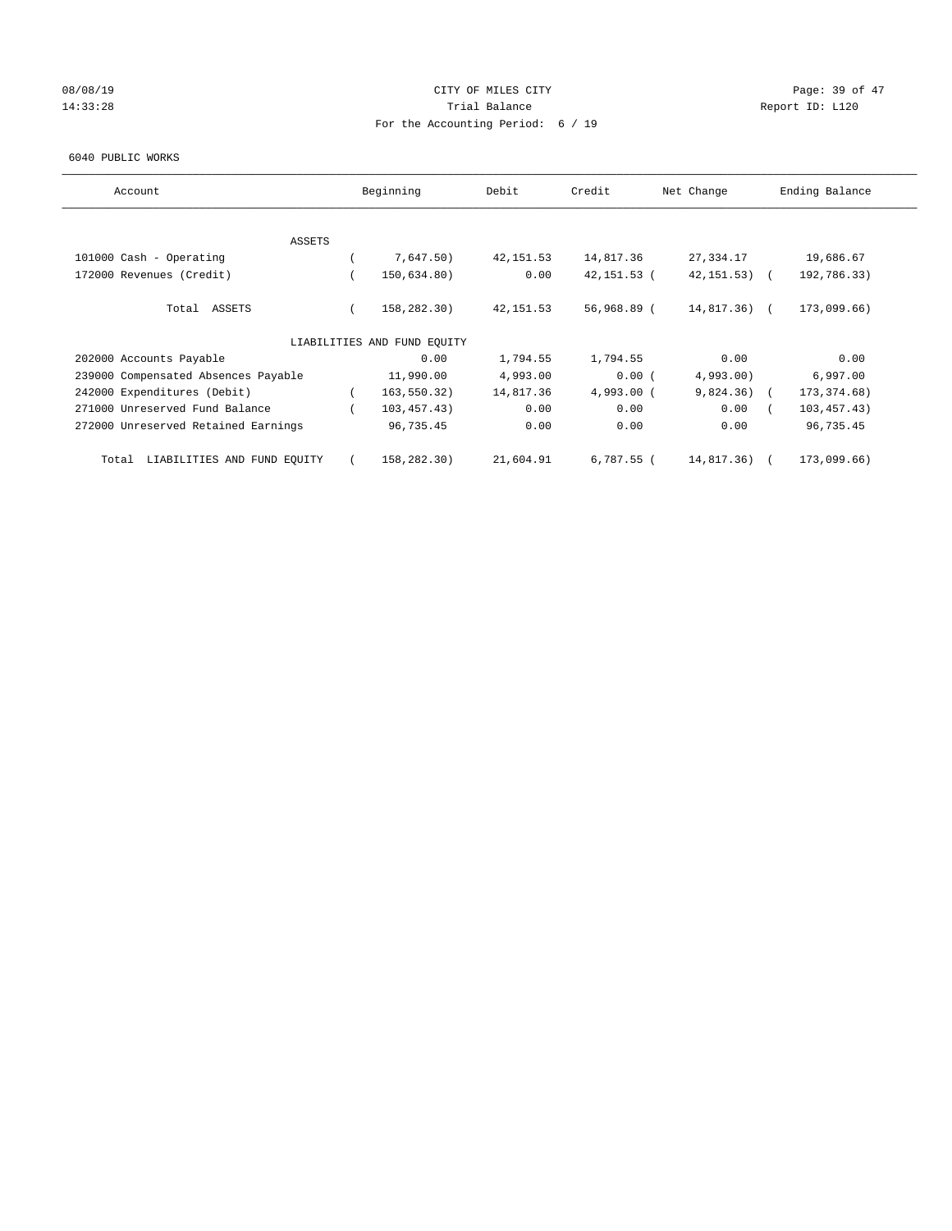# 08/08/19 Page: 39 of 47 14:33:28 Report ID: L120 For the Accounting Period: 6 / 19

#### 6040 PUBLIC WORKS

| Account                              | Beginning                   | Debit      | Credit      | Net Change      | Ending Balance |
|--------------------------------------|-----------------------------|------------|-------------|-----------------|----------------|
| <b>ASSETS</b>                        |                             |            |             |                 |                |
| 101000 Cash - Operating              | 7,647.50)                   | 42, 151.53 | 14,817.36   | 27,334.17       | 19,686.67      |
| 172000 Revenues (Credit)             | 150,634.80)                 | 0.00       | 42,151.53 ( | $42, 151, 53$ ( | 192,786.33)    |
| Total ASSETS                         | 158,282.30)                 | 42, 151.53 | 56,968.89 ( | 14,817.36) (    | 173,099.66)    |
|                                      | LIABILITIES AND FUND EQUITY |            |             |                 |                |
| 202000 Accounts Payable              | 0.00                        | 1,794.55   | 1,794.55    | 0.00            | 0.00           |
| 239000 Compensated Absences Payable  | 11,990.00                   | 4,993.00   | 0.00(       | 4,993.00        | 6,997.00       |
| 242000 Expenditures (Debit)          | 163,550.32)                 | 14,817.36  | 4,993.00 (  | 9,824.36)       | 173, 374.68)   |
| 271000 Unreserved Fund Balance       | 103,457.43)                 | 0.00       | 0.00        | 0.00            | 103, 457.43)   |
| 272000 Unreserved Retained Earnings  | 96,735.45                   | 0.00       | 0.00        | 0.00            | 96,735.45      |
| LIABILITIES AND FUND EQUITY<br>Total | 158,282.30)                 | 21,604.91  | 6,787.55 (  | 14,817.36)      | 173,099.66)    |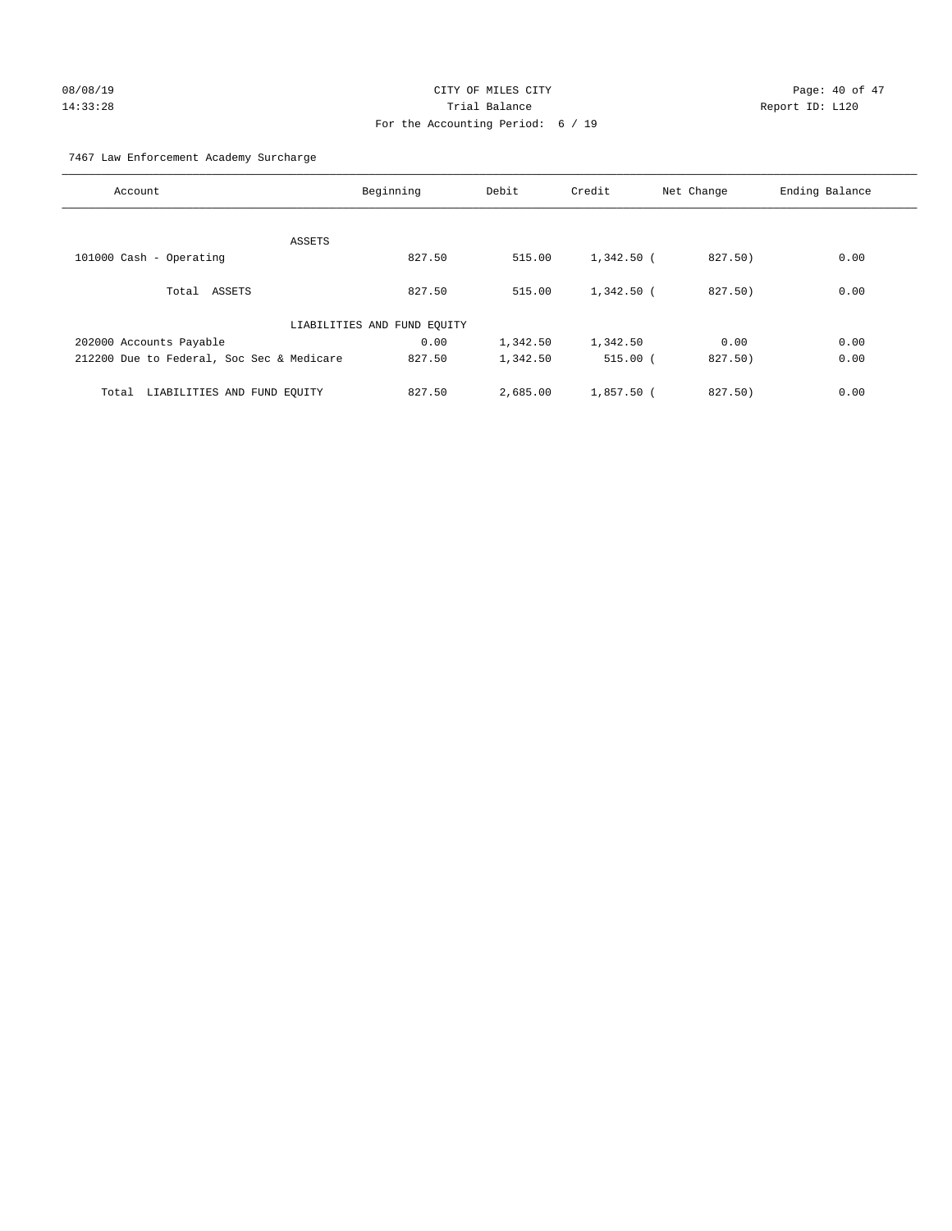# 08/08/19 Page: 40 of 47 14:33:28 Trial Balance Report ID: L120 For the Accounting Period: 6 / 19

7467 Law Enforcement Academy Surcharge

| Account                                   | Beginning                   | Debit    | Credit       | Net Change | Ending Balance |
|-------------------------------------------|-----------------------------|----------|--------------|------------|----------------|
|                                           |                             |          |              |            |                |
|                                           | ASSETS                      |          |              |            |                |
| 101000 Cash - Operating                   | 827.50                      | 515.00   | 1,342.50 (   | 827.50)    | 0.00           |
| Total ASSETS                              | 827.50                      | 515.00   | $1,342.50$ ( | 827.50)    | 0.00           |
|                                           | LIABILITIES AND FUND EQUITY |          |              |            |                |
| 202000 Accounts Payable                   | 0.00                        | 1,342.50 | 1,342.50     | 0.00       | 0.00           |
| 212200 Due to Federal, Soc Sec & Medicare | 827.50                      | 1,342.50 | $515.00$ (   | 827.50)    | 0.00           |
| Total                                     | 827.50                      | 2,685.00 | $1,857.50$ ( | 827.50     | 0.00           |
| LIABILITIES AND FUND EQUITY               |                             |          |              |            |                |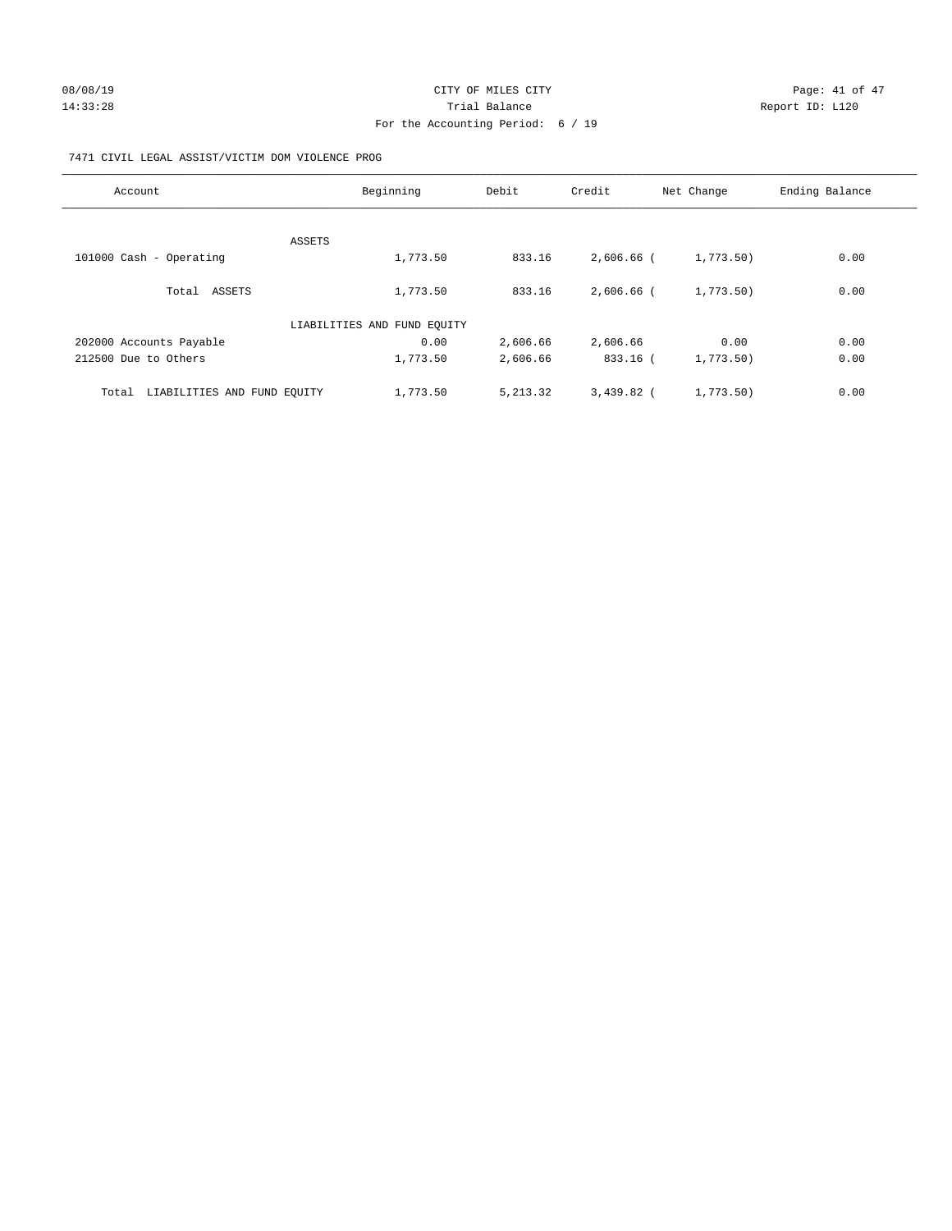## 7471 CIVIL LEGAL ASSIST/VICTIM DOM VIOLENCE PROG

| Account                              | Beginning                   | Debit     | Credit       | Net Change | Ending Balance |
|--------------------------------------|-----------------------------|-----------|--------------|------------|----------------|
|                                      |                             |           |              |            |                |
|                                      | ASSETS                      |           |              |            |                |
| 101000 Cash - Operating              | 1,773.50                    | 833.16    | 2,606.66 (   | 1,773.50)  | 0.00           |
| Total ASSETS                         | 1,773.50                    | 833.16    | $2.606.66$ ( | 1,773.50)  | 0.00           |
|                                      | LIABILITIES AND FUND EQUITY |           |              |            |                |
| 202000 Accounts Payable              | 0.00                        | 2,606.66  | 2,606.66     | 0.00       | 0.00           |
| 212500 Due to Others                 | 1,773.50                    | 2,606.66  | 833.16 (     | 1,773.50)  | 0.00           |
| LIABILITIES AND FUND EQUITY<br>Total | 1,773.50                    | 5, 213.32 | $3,439.82$ ( | 1,773.50)  | 0.00           |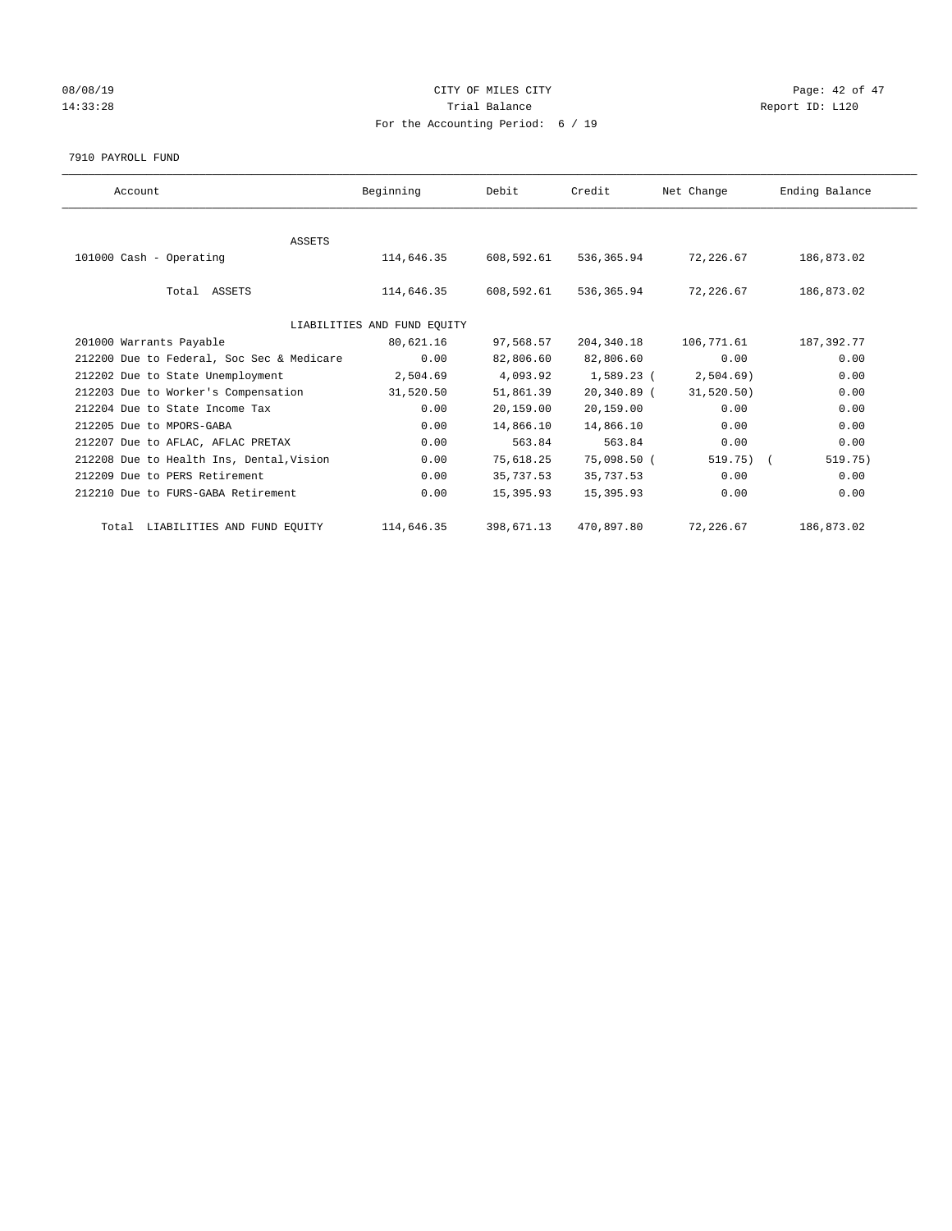## 08/08/19 Page: 42 of 47 14:33:28 Report ID: L120 For the Accounting Period: 6 / 19

7910 PAYROLL FUND

| Account                                   | Beginning                   | Debit      | Credit      | Net Change   | Ending Balance |
|-------------------------------------------|-----------------------------|------------|-------------|--------------|----------------|
|                                           |                             |            |             |              |                |
| ASSETS                                    |                             |            |             |              |                |
| 101000 Cash - Operating                   | 114,646.35                  | 608,592.61 | 536,365.94  | 72,226.67    | 186,873.02     |
|                                           |                             |            |             |              |                |
| Total ASSETS                              | 114,646.35                  | 608,592.61 | 536,365.94  | 72,226.67    | 186,873.02     |
|                                           |                             |            |             |              |                |
|                                           | LIABILITIES AND FUND EQUITY |            |             |              |                |
| 201000 Warrants Payable                   | 80,621.16                   | 97,568.57  | 204,340.18  | 106,771.61   | 187,392.77     |
| 212200 Due to Federal, Soc Sec & Medicare | 0.00                        | 82,806.60  | 82,806.60   | 0.00         | 0.00           |
| 212202 Due to State Unemployment          | 2,504.69                    | 4,093.92   | 1,589.23 (  | 2,504.69     | 0.00           |
| 212203 Due to Worker's Compensation       | 31,520.50                   | 51,861.39  | 20,340.89 ( | 31,520.50)   | 0.00           |
| 212204 Due to State Income Tax            | 0.00                        | 20,159.00  | 20,159.00   | 0.00         | 0.00           |
| 212205 Due to MPORS-GABA                  | 0.00                        | 14,866.10  | 14,866.10   | 0.00         | 0.00           |
| 212207 Due to AFLAC, AFLAC PRETAX         | 0.00                        | 563.84     | 563.84      | 0.00         | 0.00           |
| 212208 Due to Health Ins, Dental, Vision  | 0.00                        | 75,618.25  | 75,098.50 ( | $519.75$ ) ( | 519.75)        |
| 212209 Due to PERS Retirement             | 0.00                        | 35,737.53  | 35,737.53   | 0.00         | 0.00           |
| 212210 Due to FURS-GABA Retirement        | 0.00                        | 15,395.93  | 15,395.93   | 0.00         | 0.00           |
|                                           |                             |            |             |              |                |
| Total LIABILITIES AND FUND EQUITY         | 114,646.35                  | 398,671.13 | 470,897.80  | 72,226.67    | 186,873.02     |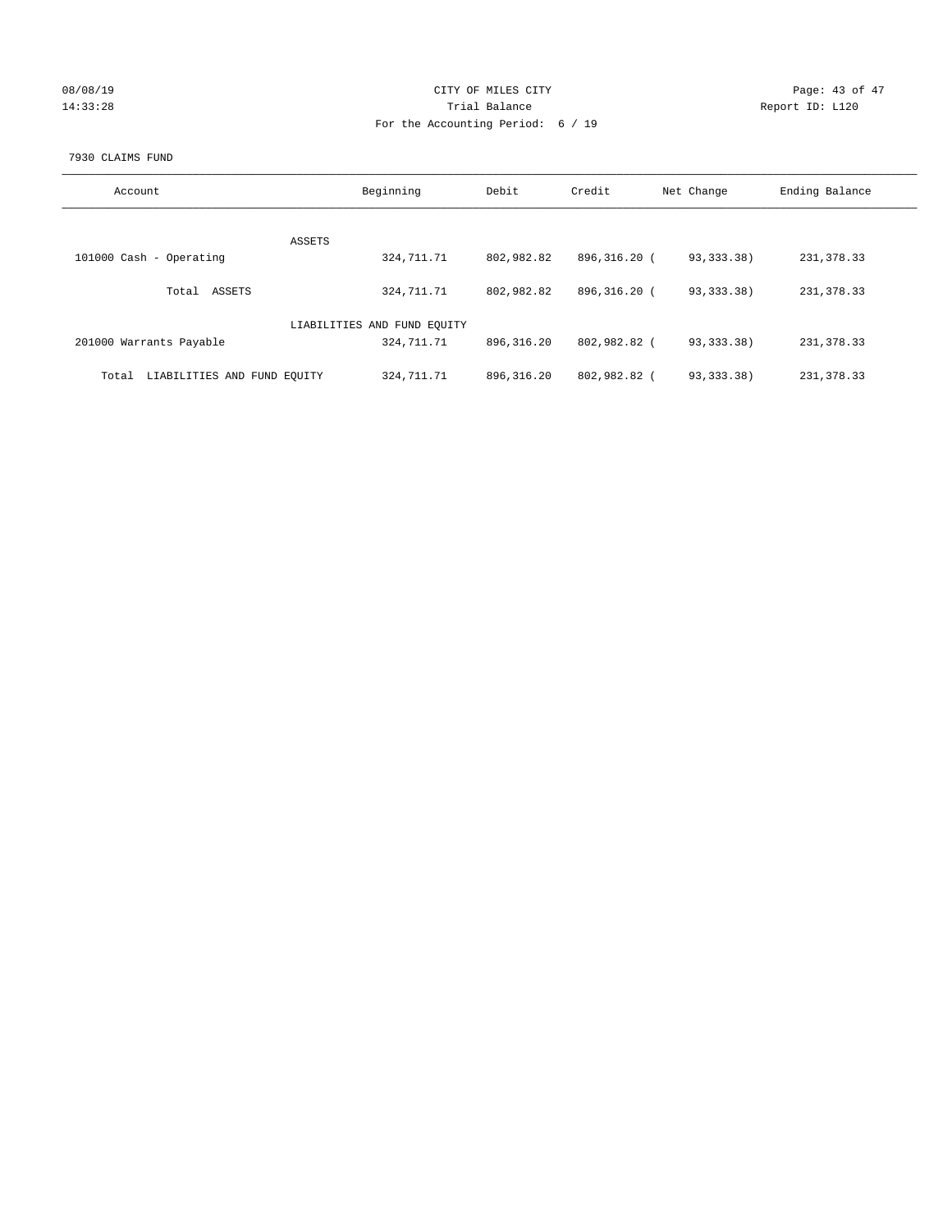| 08/08/19 |  |
|----------|--|
| 14:33:28 |  |

## CITY OF MILES CITY Page: 43 of 47<br>Trial Balance Report ID: L120 14:33:28 Report ID: L120 For the Accounting Period: 6 / 19

### 7930 CLAIMS FUND

| Account                              | Beginning                   | Debit       | Credit       | Net Change   | Ending Balance |
|--------------------------------------|-----------------------------|-------------|--------------|--------------|----------------|
|                                      |                             |             |              |              |                |
|                                      | ASSETS                      |             |              |              |                |
| 101000 Cash - Operating              | 324,711.71                  | 802,982.82  | 896,316.20 ( | 93, 333, 38) | 231, 378.33    |
|                                      |                             |             |              |              |                |
| ASSETS<br>Total                      | 324,711.71                  | 802,982.82  | 896,316.20 ( | 93, 333, 38) | 231, 378.33    |
|                                      |                             |             |              |              |                |
|                                      | LIABILITIES AND FUND EQUITY |             |              |              |                |
| 201000 Warrants Payable              | 324,711.71                  | 896, 316.20 | 802,982.82 ( | 93, 333. 38) | 231, 378.33    |
|                                      |                             |             |              |              |                |
| LIABILITIES AND FUND EOUITY<br>Total | 324, 711. 71                | 896, 316.20 | 802,982.82 ( | 93, 333, 38) | 231, 378, 33   |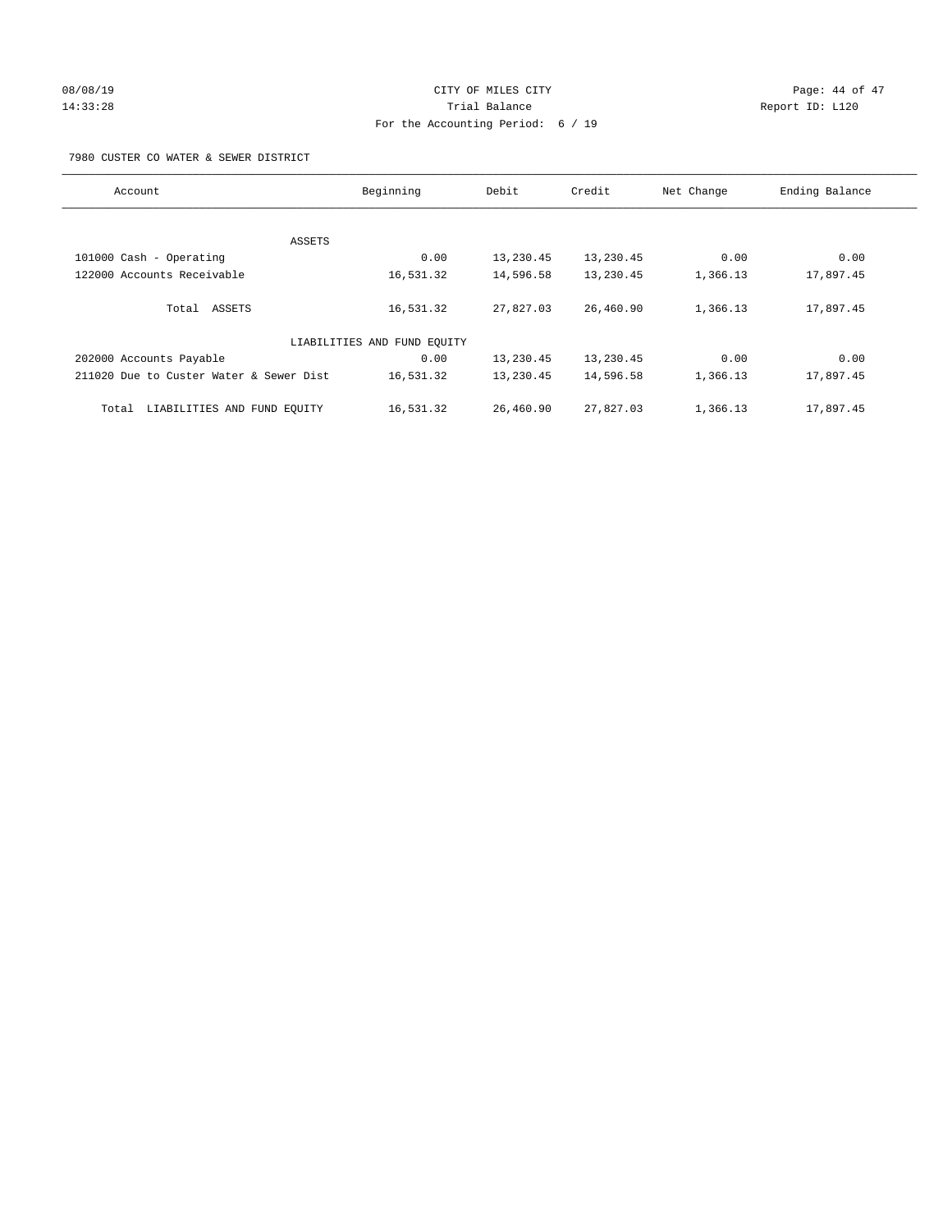# 08/08/19 Page: 44 of 47 14:33:28 Trial Balance Report ID: L120 For the Accounting Period: 6 / 19

7980 CUSTER CO WATER & SEWER DISTRICT

| Account                                 | Beginning                   | Debit     | Credit    | Net Change | Ending Balance |
|-----------------------------------------|-----------------------------|-----------|-----------|------------|----------------|
|                                         |                             |           |           |            |                |
| ASSETS                                  |                             |           |           |            |                |
| 101000 Cash - Operating                 | 0.00                        | 13,230.45 | 13,230.45 | 0.00       | 0.00           |
| 122000 Accounts Receivable              | 16,531.32                   | 14,596.58 | 13,230.45 | 1,366.13   | 17,897.45      |
| Total ASSETS                            | 16,531.32                   | 27,827.03 | 26,460.90 | 1,366.13   | 17,897.45      |
|                                         | LIABILITIES AND FUND EQUITY |           |           |            |                |
| 202000 Accounts Payable                 | 0.00                        | 13,230.45 | 13,230.45 | 0.00       | 0.00           |
| 211020 Due to Custer Water & Sewer Dist | 16,531.32                   | 13,230.45 | 14,596.58 | 1,366.13   | 17,897.45      |
| LIABILITIES AND FUND EQUITY<br>Total    | 16,531.32                   | 26,460.90 | 27,827.03 | 1,366.13   | 17,897.45      |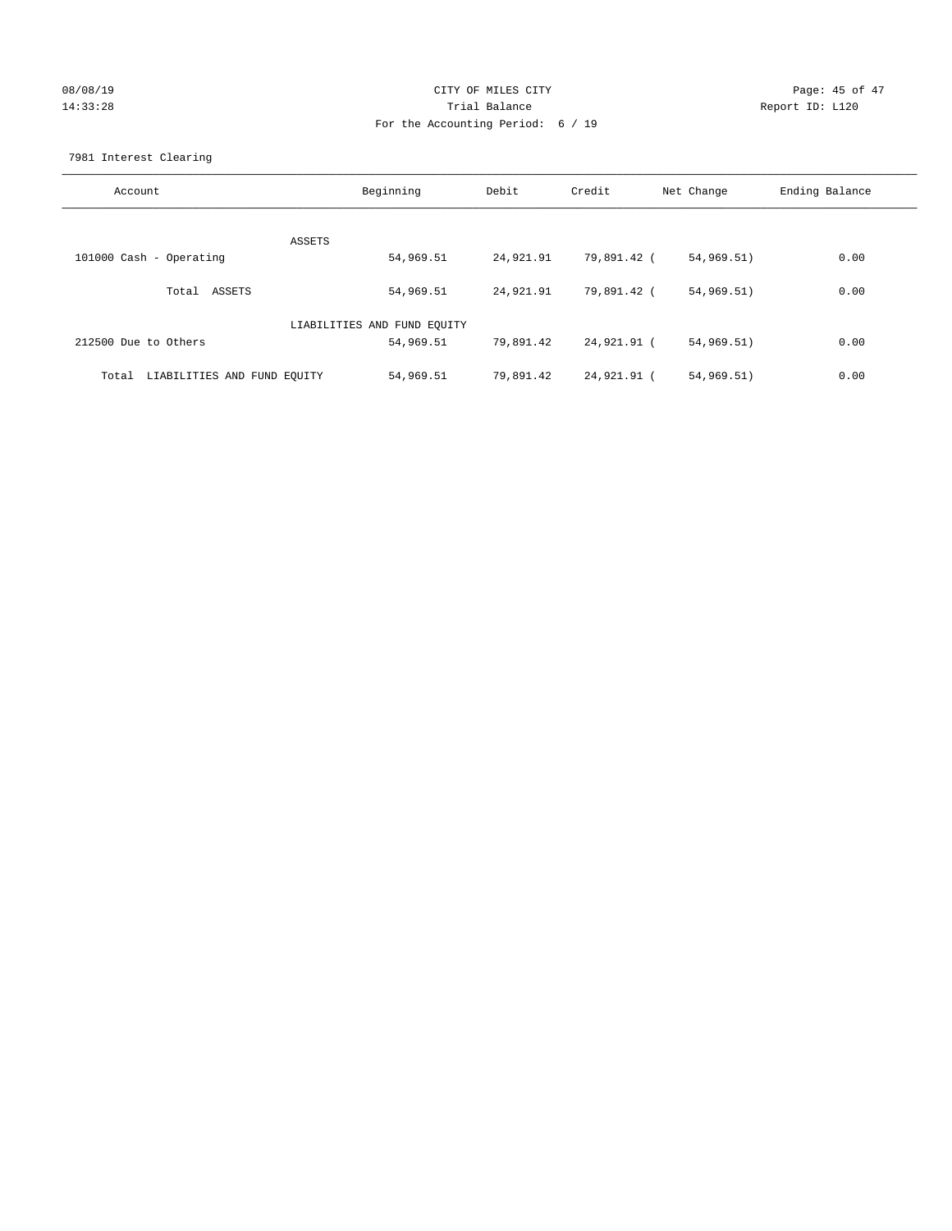## 08/08/19 Page: 45 of 47 14:33:28 Trial Balance Report ID: L120 For the Accounting Period: 6 / 19

7981 Interest Clearing

| Account                              | Beginning                   | Debit     | Credit      | Net Change | Ending Balance |
|--------------------------------------|-----------------------------|-----------|-------------|------------|----------------|
|                                      | ASSETS                      |           |             |            |                |
| 101000 Cash - Operating              | 54,969.51                   | 24,921.91 | 79,891.42 ( | 54,969.51) | 0.00           |
| Total ASSETS                         | 54,969.51                   | 24,921.91 | 79,891.42 ( | 54,969.51) | 0.00           |
|                                      | LIABILITIES AND FUND EQUITY |           |             |            |                |
| 212500 Due to Others                 | 54,969.51                   | 79,891.42 | 24,921.91 ( | 54,969.51) | 0.00           |
| LIABILITIES AND FUND EQUITY<br>Total | 54,969.51                   | 79,891.42 | 24,921.91 ( | 54,969.51) | 0.00           |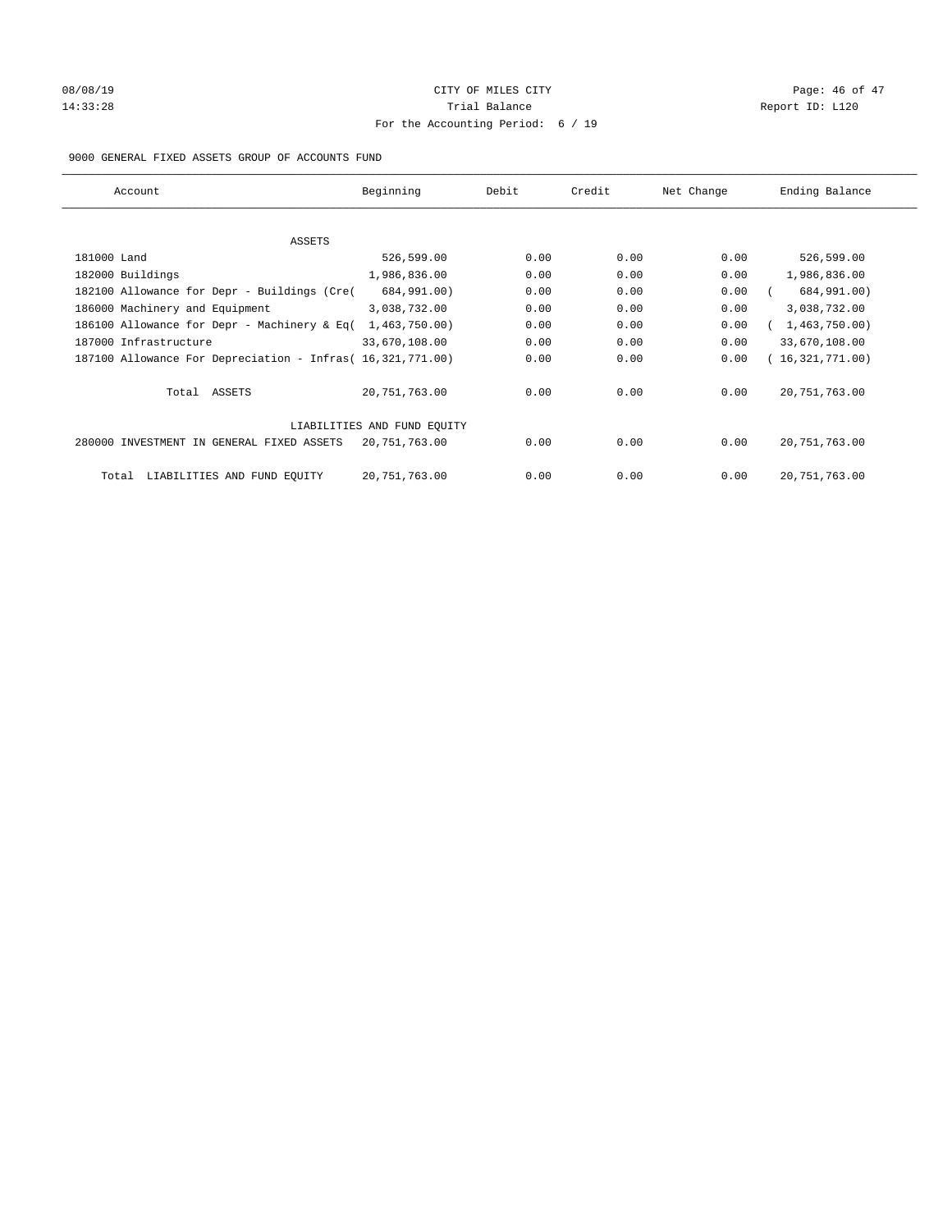# 08/08/19 Page: 46 of 47 14:33:28 Report ID: L120 For the Accounting Period: 6 / 19

## 9000 GENERAL FIXED ASSETS GROUP OF ACCOUNTS FUND

| Account                                                    | Beginning                   | Debit | Credit | Net Change | Ending Balance  |
|------------------------------------------------------------|-----------------------------|-------|--------|------------|-----------------|
| ASSETS                                                     |                             |       |        |            |                 |
| 181000 Land                                                | 526,599.00                  | 0.00  | 0.00   | 0.00       | 526,599.00      |
| 182000 Buildings                                           | 1,986,836.00                | 0.00  | 0.00   | 0.00       | 1,986,836.00    |
| 182100 Allowance for Depr - Buildings (Cre(                | 684,991.00)                 | 0.00  | 0.00   | 0.00       | 684,991.00)     |
| 186000 Machinery and Equipment                             | 3,038,732.00                | 0.00  | 0.00   | 0.00       | 3,038,732.00    |
| 186100 Allowance for Depr - Machinery & Eq(                | 1,463,750.00)               | 0.00  | 0.00   | 0.00       | 1,463,750.00)   |
| 187000 Infrastructure                                      | 33,670,108.00               | 0.00  | 0.00   | 0.00       | 33,670,108.00   |
| 187100 Allowance For Depreciation - Infras( 16,321,771.00) |                             | 0.00  | 0.00   | 0.00       | 16,321,771.00)  |
| Total ASSETS                                               | 20,751,763.00               | 0.00  | 0.00   | 0.00       | 20, 751, 763.00 |
|                                                            | LIABILITIES AND FUND EQUITY |       |        |            |                 |
| 280000 INVESTMENT IN GENERAL FIXED ASSETS                  | 20,751,763.00               | 0.00  | 0.00   | 0.00       | 20, 751, 763.00 |
| LIABILITIES AND FUND EQUITY<br>Total                       | 20, 751, 763.00             | 0.00  | 0.00   | 0.00       | 20, 751, 763.00 |